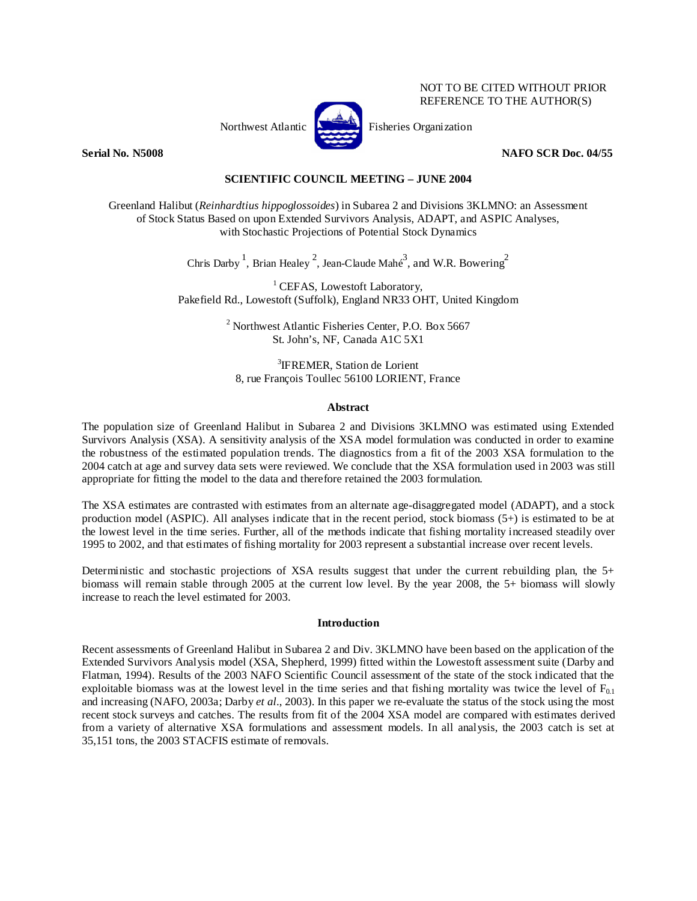

NOT TO BE CITED WITHOUT PRIOR REFERENCE TO THE AUTHOR(S)

## **Serial No. N5008 NAFO SCR Doc. 04/55**

## **SCIENTIFIC COUNCIL MEETING – JUNE 2004**

Greenland Halibut (*Reinhardtius hippoglossoides*) in Subarea 2 and Divisions 3KLMNO: an Assessment of Stock Status Based on upon Extended Survivors Analysis, ADAPT, and ASPIC Analyses, with Stochastic Projections of Potential Stock Dynamics

Chris Darby<sup>1</sup>, Brian Healey<sup>2</sup>, Jean-Claude Mahé<sup>3</sup>, and W.R. Bowering<sup>2</sup>

<sup>1</sup> CEFAS, Lowestoft Laboratory, Pakefield Rd., Lowestoft (Suffolk), England NR33 OHT, United Kingdom

> <sup>2</sup> Northwest Atlantic Fisheries Center, P.O. Box 5667 St. John's, NF, Canada A1C 5X1

<sup>3</sup>IFREMER, Station de Lorient 8, rue François Toullec 56100 LORIENT, France

## **Abstract**

The population size of Greenland Halibut in Subarea 2 and Divisions 3KLMNO was estimated using Extended Survivors Analysis (XSA). A sensitivity analysis of the XSA model formulation was conducted in order to examine the robustness of the estimated population trends. The diagnostics from a fit of the 2003 XSA formulation to the 2004 catch at age and survey data sets were reviewed. We conclude that the XSA formulation used in 2003 was still appropriate for fitting the model to the data and therefore retained the 2003 formulation.

The XSA estimates are contrasted with estimates from an alternate age-disaggregated model (ADAPT), and a stock production model (ASPIC). All analyses indicate that in the recent period, stock biomass (5+) is estimated to be at the lowest level in the time series. Further, all of the methods indicate that fishing mortality increased steadily over 1995 to 2002, and that estimates of fishing mortality for 2003 represent a substantial increase over recent levels.

Deterministic and stochastic projections of XSA results suggest that under the current rebuilding plan, the 5+ biomass will remain stable through 2005 at the current low level. By the year 2008, the 5+ biomass will slowly increase to reach the level estimated for 2003.

## **Introduction**

Recent assessments of Greenland Halibut in Subarea 2 and Div. 3KLMNO have been based on the application of the Extended Survivors Analysis model (XSA, Shepherd, 1999) fitted within the Lowestoft assessment suite (Darby and Flatman, 1994). Results of the 2003 NAFO Scientific Council assessment of the state of the stock indicated that the exploitable biomass was at the lowest level in the time series and that fishing mortality was twice the level of  $F_{0.1}$ and increasing (NAFO, 2003a; Darby *et al*., 2003). In this paper we re-evaluate the status of the stock using the most recent stock surveys and catches. The results from fit of the 2004 XSA model are compared with estimates derived from a variety of alternative XSA formulations and assessment models. In all analysis, the 2003 catch is set at 35,151 tons, the 2003 STACFIS estimate of removals.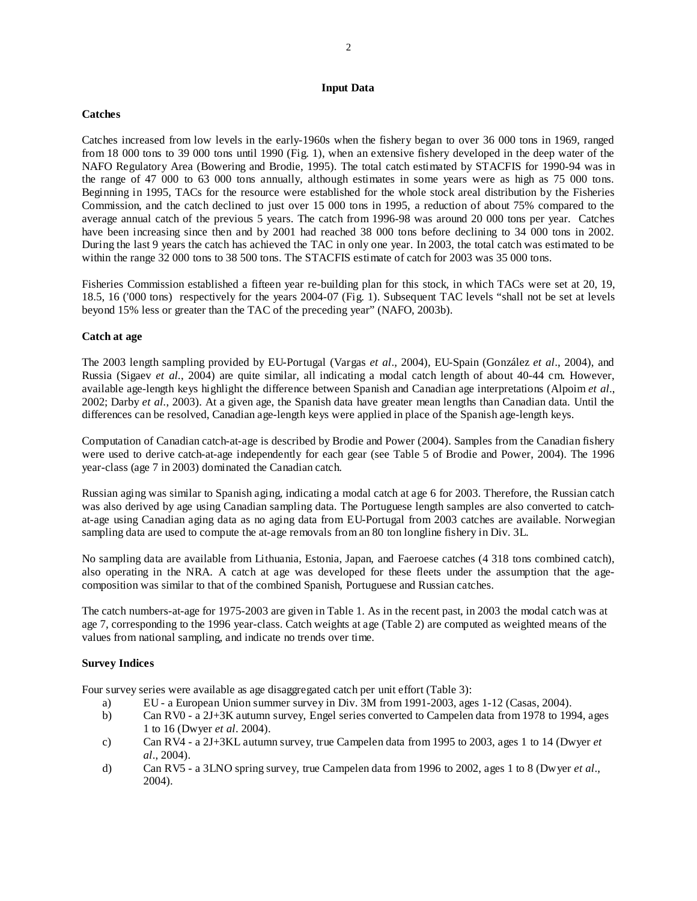## **Input Data**

## **Catches**

Catches increased from low levels in the early-1960s when the fishery began to over 36 000 tons in 1969, ranged from 18 000 tons to 39 000 tons until 1990 (Fig. 1), when an extensive fishery developed in the deep water of the NAFO Regulatory Area (Bowering and Brodie, 1995). The total catch estimated by STACFIS for 1990-94 was in the range of 47 000 to 63 000 tons annually, although estimates in some years were as high as 75 000 tons. Beginning in 1995, TACs for the resource were established for the whole stock areal distribution by the Fisheries Commission, and the catch declined to just over 15 000 tons in 1995, a reduction of about 75% compared to the average annual catch of the previous 5 years. The catch from 1996-98 was around 20 000 tons per year. Catches have been increasing since then and by 2001 had reached 38 000 tons before declining to 34 000 tons in 2002. During the last 9 years the catch has achieved the TAC in only one year. In 2003, the total catch was estimated to be within the range 32 000 tons to 38 500 tons. The STACFIS estimate of catch for 2003 was 35 000 tons.

Fisheries Commission established a fifteen year re-building plan for this stock, in which TACs were set at 20, 19, 18.5, 16 ('000 tons) respectively for the years 2004-07 (Fig. 1). Subsequent TAC levels "shall not be set at levels beyond 15% less or greater than the TAC of the preceding year" (NAFO, 2003b).

## **Catch at age**

The 2003 length sampling provided by EU-Portugal (Vargas *et al*., 2004), EU-Spain (González *et al*., 2004), and Russia (Sigaev *et al.*, 2004) are quite similar, all indicating a modal catch length of about 40-44 cm. However, available age-length keys highlight the difference between Spanish and Canadian age interpretations (Alpoim *et al*., 2002; Darby *et al.*, 2003). At a given age, the Spanish data have greater mean lengths than Canadian data. Until the differences can be resolved, Canadian age-length keys were applied in place of the Spanish age-length keys.

Computation of Canadian catch-at-age is described by Brodie and Power (2004). Samples from the Canadian fishery were used to derive catch-at-age independently for each gear (see Table 5 of Brodie and Power, 2004). The 1996 year-class (age 7 in 2003) dominated the Canadian catch.

Russian aging was similar to Spanish aging, indicating a modal catch at age 6 for 2003. Therefore, the Russian catch was also derived by age using Canadian sampling data. The Portuguese length samples are also converted to catchat-age using Canadian aging data as no aging data from EU-Portugal from 2003 catches are available. Norwegian sampling data are used to compute the at-age removals from an 80 ton longline fishery in Div. 3L.

No sampling data are available from Lithuania, Estonia, Japan, and Faeroese catches (4 318 tons combined catch), also operating in the NRA. A catch at age was developed for these fleets under the assumption that the agecomposition was similar to that of the combined Spanish, Portuguese and Russian catches.

The catch numbers-at-age for 1975-2003 are given in Table 1. As in the recent past, in 2003 the modal catch was at age 7, corresponding to the 1996 year-class. Catch weights at age (Table 2) are computed as weighted means of the values from national sampling, and indicate no trends over time.

## **Survey Indices**

Four survey series were available as age disaggregated catch per unit effort (Table 3):

- a) EU a European Union summer survey in Div. 3M from 1991-2003, ages 1-12 (Casas, 2004).
- b) Can RV0 a 2J+3K autumn survey, Engel series converted to Campelen data from 1978 to 1994, ages 1 to 16 (Dwyer *et al*. 2004).
- c) Can RV4 a 2J+3KL autumn survey, true Campelen data from 1995 to 2003, ages 1 to 14 (Dwyer *et al*., 2004).
- d) Can RV5 a 3LNO spring survey, true Campelen data from 1996 to 2002, ages 1 to 8 (Dwyer *et al*., 2004).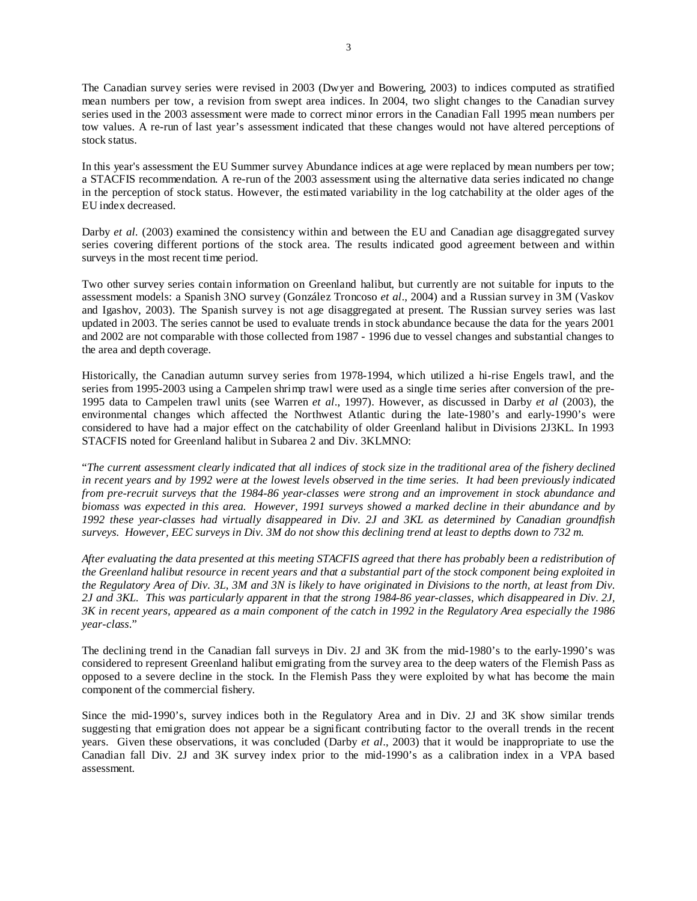The Canadian survey series were revised in 2003 (Dwyer and Bowering, 2003) to indices computed as stratified mean numbers per tow, a revision from swept area indices. In 2004, two slight changes to the Canadian survey series used in the 2003 assessment were made to correct minor errors in the Canadian Fall 1995 mean numbers per tow values. A re-run of last year's assessment indicated that these changes would not have altered perceptions of stock status.

In this year's assessment the EU Summer survey Abundance indices at age were replaced by mean numbers per tow; a STACFIS recommendation. A re-run of the 2003 assessment using the alternative data series indicated no change in the perception of stock status. However, the estimated variability in the log catchability at the older ages of the EU index decreased.

Darby *et al.* (2003) examined the consistency within and between the EU and Canadian age disaggregated survey series covering different portions of the stock area. The results indicated good agreement between and within surveys in the most recent time period.

Two other survey series contain information on Greenland halibut, but currently are not suitable for inputs to the assessment models: a Spanish 3NO survey (González Troncoso *et al*., 2004) and a Russian survey in 3M (Vaskov and Igashov, 2003). The Spanish survey is not age disaggregated at present. The Russian survey series was last updated in 2003. The series cannot be used to evaluate trends in stock abundance because the data for the years 2001 and 2002 are not comparable with those collected from 1987 - 1996 due to vessel changes and substantial changes to the area and depth coverage.

Historically, the Canadian autumn survey series from 1978-1994, which utilized a hi-rise Engels trawl, and the series from 1995-2003 using a Campelen shrimp trawl were used as a single time series after conversion of the pre-1995 data to Campelen trawl units (see Warren *et al*., 1997). However, as discussed in Darby *et al* (2003), the environmental changes which affected the Northwest Atlantic during the late-1980's and early-1990's were considered to have had a major effect on the catchability of older Greenland halibut in Divisions 2J3KL. In 1993 STACFIS noted for Greenland halibut in Subarea 2 and Div. 3KLMNO:

"*The current assessment clearly indicated that all indices of stock size in the traditional area of the fishery declined in recent years and by 1992 were at the lowest levels observed in the time series. It had been previously indicated from pre-recruit surveys that the 1984-86 year-classes were strong and an improvement in stock abundance and biomass was expected in this area. However, 1991 surveys showed a marked decline in their abundance and by 1992 these year-classes had virtually disappeared in Div. 2J and 3KL as determined by Canadian groundfish surveys. However, EEC surveys in Div. 3M do not show this declining trend at least to depths down to 732 m.* 

*After evaluating the data presented at this meeting STACFIS agreed that there has probably been a redistribution of the Greenland halibut resource in recent years and that a substantial part of the stock component being exploited in the Regulatory Area of Div. 3L, 3M and 3N is likely to have originated in Divisions to the north, at least from Div. 2J and 3KL. This was particularly apparent in that the strong 1984-86 year-classes, which disappeared in Div. 2J, 3K in recent years, appeared as a main component of the catch in 1992 in the Regulatory Area especially the 1986 year-class*."

The declining trend in the Canadian fall surveys in Div. 2J and 3K from the mid-1980's to the early-1990's was considered to represent Greenland halibut emigrating from the survey area to the deep waters of the Flemish Pass as opposed to a severe decline in the stock. In the Flemish Pass they were exploited by what has become the main component of the commercial fishery.

Since the mid-1990's, survey indices both in the Regulatory Area and in Div. 2J and 3K show similar trends suggesting that emigration does not appear be a significant contributing factor to the overall trends in the recent years. Given these observations, it was concluded (Darby *et al*., 2003) that it would be inappropriate to use the Canadian fall Div. 2J and 3K survey index prior to the mid-1990's as a calibration index in a VPA based assessment.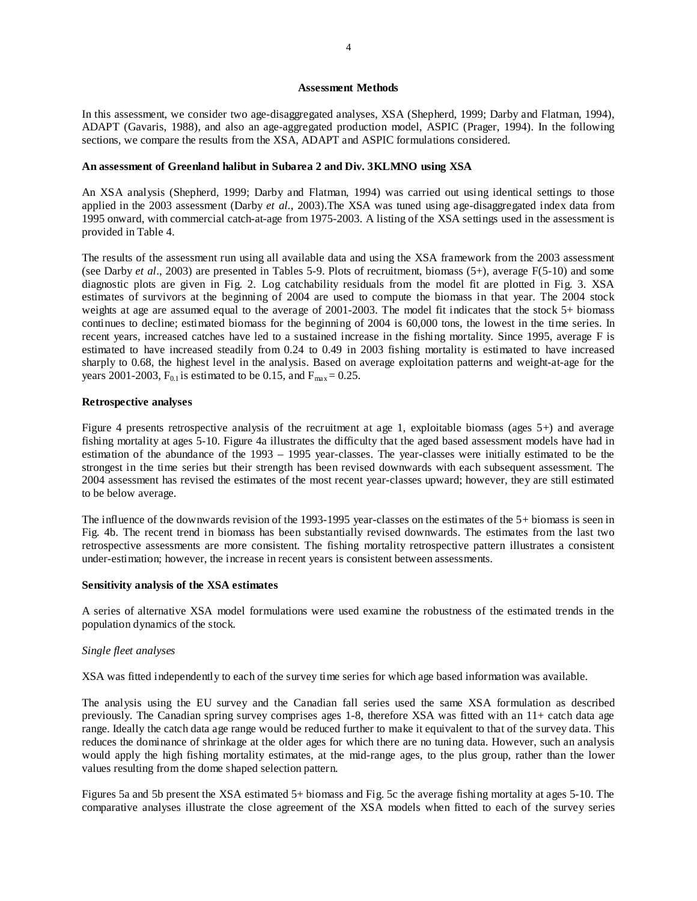### **Assessment Methods**

In this assessment, we consider two age-disaggregated analyses, XSA (Shepherd, 1999; Darby and Flatman, 1994), ADAPT (Gavaris, 1988), and also an age-aggregated production model, ASPIC (Prager, 1994). In the following sections, we compare the results from the XSA, ADAPT and ASPIC formulations considered.

### **An assessment of Greenland halibut in Subarea 2 and Div. 3KLMNO using XSA**

An XSA analysis (Shepherd, 1999; Darby and Flatman, 1994) was carried out using identical settings to those applied in the 2003 assessment (Darby *et al.*, 2003).The XSA was tuned using age-disaggregated index data from 1995 onward, with commercial catch-at-age from 1975-2003. A listing of the XSA settings used in the assessment is provided in Table 4.

The results of the assessment run using all available data and using the XSA framework from the 2003 assessment (see Darby *et al*., 2003) are presented in Tables 5-9. Plots of recruitment, biomass (5+), average F(5-10) and some diagnostic plots are given in Fig. 2. Log catchability residuals from the model fit are plotted in Fig. 3. XSA estimates of survivors at the beginning of 2004 are used to compute the biomass in that year. The 2004 stock weights at age are assumed equal to the average of 2001-2003. The model fit indicates that the stock 5+ biomass continues to decline; estimated biomass for the beginning of 2004 is 60,000 tons, the lowest in the time series. In recent years, increased catches have led to a sustained increase in the fishing mortality. Since 1995, average F is estimated to have increased steadily from 0.24 to 0.49 in 2003 fishing mortality is estimated to have increased sharply to 0.68, the highest level in the analysis. Based on average exploitation patterns and weight-at-age for the years 2001-2003,  $F_{0.1}$  is estimated to be 0.15, and  $F_{\text{max}} = 0.25$ .

### **Retrospective analyses**

Figure 4 presents retrospective analysis of the recruitment at age 1, exploitable biomass (ages 5+) and average fishing mortality at ages 5-10. Figure 4a illustrates the difficulty that the aged based assessment models have had in estimation of the abundance of the 1993 – 1995 year-classes. The year-classes were initially estimated to be the strongest in the time series but their strength has been revised downwards with each subsequent assessment. The 2004 assessment has revised the estimates of the most recent year-classes upward; however, they are still estimated to be below average.

The influence of the downwards revision of the 1993-1995 year-classes on the estimates of the 5+ biomass is seen in Fig. 4b. The recent trend in biomass has been substantially revised downwards. The estimates from the last two retrospective assessments are more consistent. The fishing mortality retrospective pattern illustrates a consistent under-estimation; however, the increase in recent years is consistent between assessments.

#### **Sensitivity analysis of the XSA estimates**

A series of alternative XSA model formulations were used examine the robustness of the estimated trends in the population dynamics of the stock.

#### *Single fleet analyses*

XSA was fitted independently to each of the survey time series for which age based information was available.

The analysis using the EU survey and the Canadian fall series used the same XSA formulation as described previously. The Canadian spring survey comprises ages 1-8, therefore XSA was fitted with an 11+ catch data age range. Ideally the catch data age range would be reduced further to make it equivalent to that of the survey data. This reduces the dominance of shrinkage at the older ages for which there are no tuning data. However, such an analysis would apply the high fishing mortality estimates, at the mid-range ages, to the plus group, rather than the lower values resulting from the dome shaped selection pattern.

Figures 5a and 5b present the XSA estimated 5+ biomass and Fig. 5c the average fishing mortality at ages 5-10. The comparative analyses illustrate the close agreement of the XSA models when fitted to each of the survey series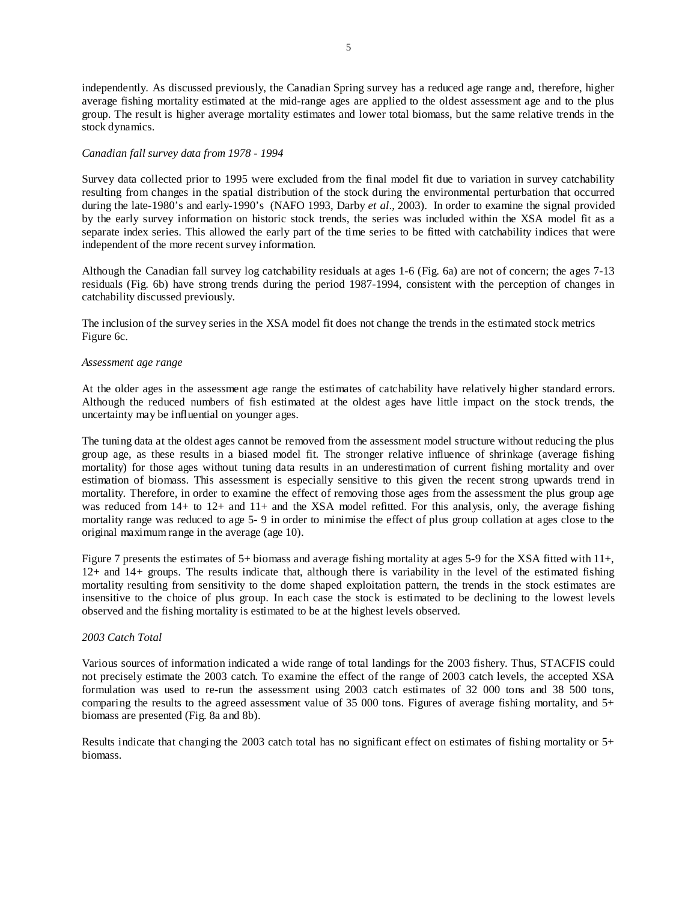independently. As discussed previously, the Canadian Spring survey has a reduced age range and, therefore, higher average fishing mortality estimated at the mid-range ages are applied to the oldest assessment age and to the plus group. The result is higher average mortality estimates and lower total biomass, but the same relative trends in the stock dynamics.

## *Canadian fall survey data from 1978 - 1994*

Survey data collected prior to 1995 were excluded from the final model fit due to variation in survey catchability resulting from changes in the spatial distribution of the stock during the environmental perturbation that occurred during the late-1980's and early-1990's (NAFO 1993, Darby *et al*., 2003). In order to examine the signal provided by the early survey information on historic stock trends, the series was included within the XSA model fit as a separate index series. This allowed the early part of the time series to be fitted with catchability indices that were independent of the more recent survey information.

Although the Canadian fall survey log catchability residuals at ages 1-6 (Fig. 6a) are not of concern; the ages 7-13 residuals (Fig. 6b) have strong trends during the period 1987-1994, consistent with the perception of changes in catchability discussed previously.

The inclusion of the survey series in the XSA model fit does not change the trends in the estimated stock metrics Figure 6c.

#### *Assessment age range*

At the older ages in the assessment age range the estimates of catchability have relatively higher standard errors. Although the reduced numbers of fish estimated at the oldest ages have little impact on the stock trends, the uncertainty may be influential on younger ages.

The tuning data at the oldest ages cannot be removed from the assessment model structure without reducing the plus group age, as these results in a biased model fit. The stronger relative influence of shrinkage (average fishing mortality) for those ages without tuning data results in an underestimation of current fishing mortality and over estimation of biomass. This assessment is especially sensitive to this given the recent strong upwards trend in mortality. Therefore, in order to examine the effect of removing those ages from the assessment the plus group age was reduced from 14+ to 12+ and 11+ and the XSA model refitted. For this analysis, only, the average fishing mortality range was reduced to age 5- 9 in order to minimise the effect of plus group collation at ages close to the original maximum range in the average (age 10).

Figure 7 presents the estimates of 5+ biomass and average fishing mortality at ages 5-9 for the XSA fitted with 11+, 12+ and 14+ groups. The results indicate that, although there is variability in the level of the estimated fishing mortality resulting from sensitivity to the dome shaped exploitation pattern, the trends in the stock estimates are insensitive to the choice of plus group. In each case the stock is estimated to be declining to the lowest levels observed and the fishing mortality is estimated to be at the highest levels observed.

## *2003 Catch Total*

Various sources of information indicated a wide range of total landings for the 2003 fishery. Thus, STACFIS could not precisely estimate the 2003 catch. To examine the effect of the range of 2003 catch levels, the accepted XSA formulation was used to re-run the assessment using 2003 catch estimates of 32 000 tons and 38 500 tons, comparing the results to the agreed assessment value of 35 000 tons. Figures of average fishing mortality, and  $5+$ biomass are presented (Fig. 8a and 8b).

Results indicate that changing the 2003 catch total has no significant effect on estimates of fishing mortality or 5+ biomass.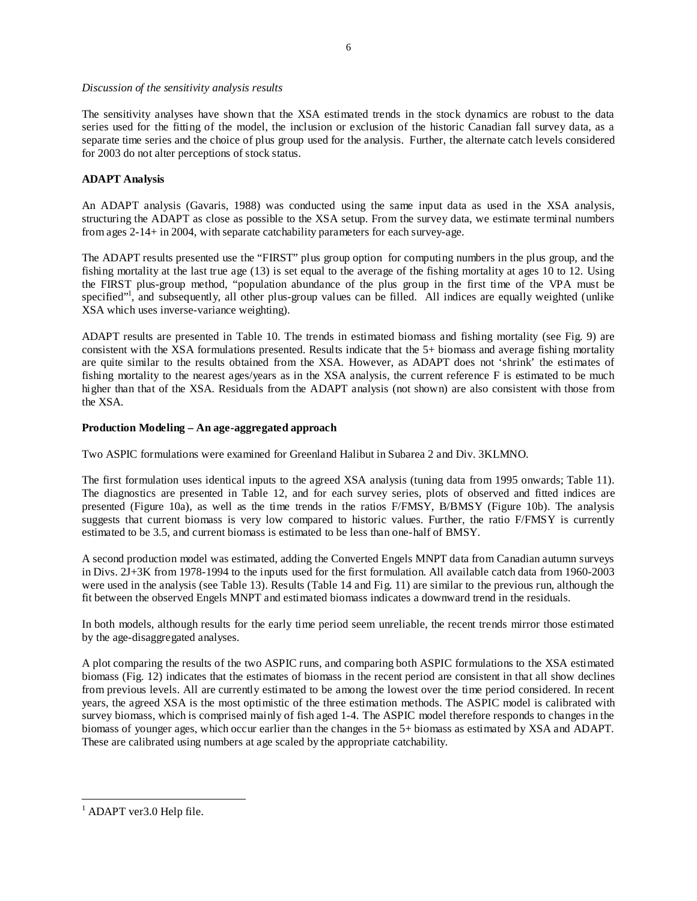## *Discussion of the sensitivity analysis results*

The sensitivity analyses have shown that the XSA estimated trends in the stock dynamics are robust to the data series used for the fitting of the model, the inclusion or exclusion of the historic Canadian fall survey data, as a separate time series and the choice of plus group used for the analysis. Further, the alternate catch levels considered for 2003 do not alter perceptions of stock status.

## **ADAPT Analysis**

An ADAPT analysis (Gavaris, 1988) was conducted using the same input data as used in the XSA analysis, structuring the ADAPT as close as possible to the XSA setup. From the survey data, we estimate terminal numbers from ages 2-14+ in 2004, with separate catchability parameters for each survey-age.

The ADAPT results presented use the "FIRST" plus group option for computing numbers in the plus group, and the fishing mortality at the last true age (13) is set equal to the average of the fishing mortality at ages 10 to 12. Using the FIRST plus-group method, "population abundance of the plus group in the first time of the VPA must be specified"<sup>1</sup>, and subsequently, all other plus-group values can be filled. All indices are equally weighted (unlike XSA which uses inverse-variance weighting).

ADAPT results are presented in Table 10. The trends in estimated biomass and fishing mortality (see Fig. 9) are consistent with the XSA formulations presented. Results indicate that the 5+ biomass and average fishing mortality are quite similar to the results obtained from the XSA. However, as ADAPT does not 'shrink' the estimates of fishing mortality to the nearest ages/years as in the XSA analysis, the current reference F is estimated to be much higher than that of the XSA. Residuals from the ADAPT analysis (not shown) are also consistent with those from the XSA.

## **Production Modeling – An age-aggregated approach**

Two ASPIC formulations were examined for Greenland Halibut in Subarea 2 and Div. 3KLMNO.

The first formulation uses identical inputs to the agreed XSA analysis (tuning data from 1995 onwards; Table 11). The diagnostics are presented in Table 12, and for each survey series, plots of observed and fitted indices are presented (Figure 10a), as well as the time trends in the ratios F/FMSY, B/BMSY (Figure 10b). The analysis suggests that current biomass is very low compared to historic values. Further, the ratio F/FMSY is currently estimated to be 3.5, and current biomass is estimated to be less than one-half of BMSY.

A second production model was estimated, adding the Converted Engels MNPT data from Canadian autumn surveys in Divs. 2J+3K from 1978-1994 to the inputs used for the first formulation. All available catch data from 1960-2003 were used in the analysis (see Table 13). Results (Table 14 and Fig. 11) are similar to the previous run, although the fit between the observed Engels MNPT and estimated biomass indicates a downward trend in the residuals.

In both models, although results for the early time period seem unreliable, the recent trends mirror those estimated by the age-disaggregated analyses.

A plot comparing the results of the two ASPIC runs, and comparing both ASPIC formulations to the XSA estimated biomass (Fig. 12) indicates that the estimates of biomass in the recent period are consistent in that all show declines from previous levels. All are currently estimated to be among the lowest over the time period considered. In recent years, the agreed XSA is the most optimistic of the three estimation methods. The ASPIC model is calibrated with survey biomass, which is comprised mainly of fish aged 1-4. The ASPIC model therefore responds to changes in the biomass of younger ages, which occur earlier than the changes in the 5+ biomass as estimated by XSA and ADAPT. These are calibrated using numbers at age scaled by the appropriate catchability.

 $\overline{a}$ 

<sup>&</sup>lt;sup>1</sup> ADAPT ver3.0 Help file.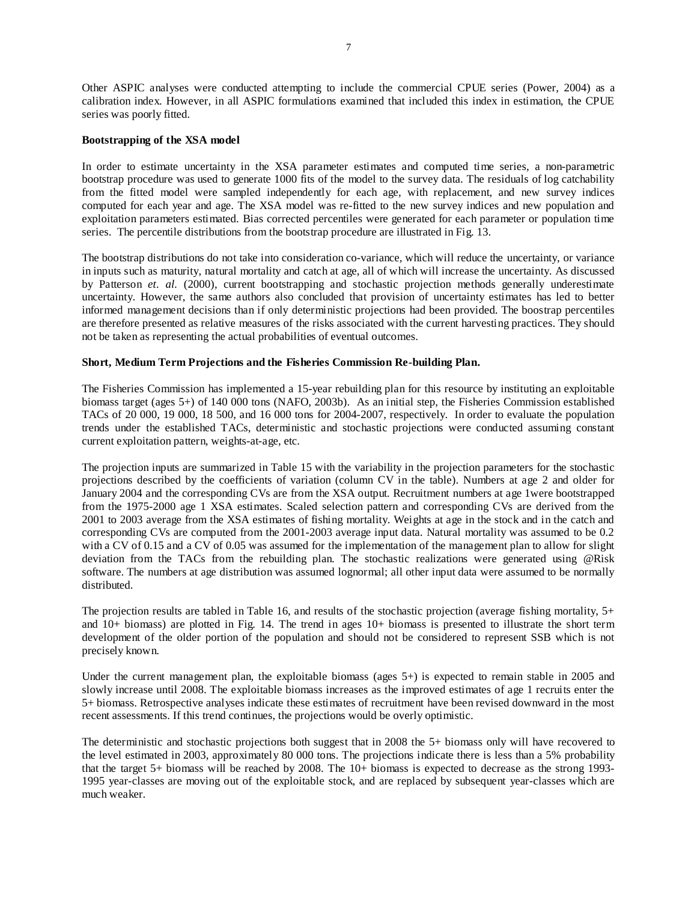Other ASPIC analyses were conducted attempting to include the commercial CPUE series (Power, 2004) as a calibration index. However, in all ASPIC formulations examined that included this index in estimation, the CPUE series was poorly fitted.

## **Bootstrapping of the XSA model**

In order to estimate uncertainty in the XSA parameter estimates and computed time series, a non-parametric bootstrap procedure was used to generate 1000 fits of the model to the survey data. The residuals of log catchability from the fitted model were sampled independently for each age, with replacement, and new survey indices computed for each year and age. The XSA model was re-fitted to the new survey indices and new population and exploitation parameters estimated. Bias corrected percentiles were generated for each parameter or population time series. The percentile distributions from the bootstrap procedure are illustrated in Fig. 13.

The bootstrap distributions do not take into consideration co-variance, which will reduce the uncertainty, or variance in inputs such as maturity, natural mortality and catch at age, all of which will increase the uncertainty. As discussed by Patterson *et. al.* (2000), current bootstrapping and stochastic projection methods generally underestimate uncertainty. However, the same authors also concluded that provision of uncertainty estimates has led to better informed management decisions than if only deterministic projections had been provided. The boostrap percentiles are therefore presented as relative measures of the risks associated with the current harvesting practices. They should not be taken as representing the actual probabilities of eventual outcomes.

## **Short, Medium Term Projections and the Fisheries Commission Re-building Plan.**

The Fisheries Commission has implemented a 15-year rebuilding plan for this resource by instituting an exploitable biomass target (ages 5+) of 140 000 tons (NAFO, 2003b). As an initial step, the Fisheries Commission established TACs of 20 000, 19 000, 18 500, and 16 000 tons for 2004-2007, respectively. In order to evaluate the population trends under the established TACs, deterministic and stochastic projections were conducted assuming constant current exploitation pattern, weights-at-age, etc.

The projection inputs are summarized in Table 15 with the variability in the projection parameters for the stochastic projections described by the coefficients of variation (column CV in the table). Numbers at age 2 and older for January 2004 and the corresponding CVs are from the XSA output. Recruitment numbers at age 1were bootstrapped from the 1975-2000 age 1 XSA estimates. Scaled selection pattern and corresponding CVs are derived from the 2001 to 2003 average from the XSA estimates of fishing mortality. Weights at age in the stock and in the catch and corresponding CVs are computed from the 2001-2003 average input data. Natural mortality was assumed to be 0.2 with a CV of 0.15 and a CV of 0.05 was assumed for the implementation of the management plan to allow for slight deviation from the TACs from the rebuilding plan. The stochastic realizations were generated using @Risk software. The numbers at age distribution was assumed lognormal; all other input data were assumed to be normally distributed.

The projection results are tabled in Table 16, and results of the stochastic projection (average fishing mortality, 5+ and 10+ biomass) are plotted in Fig. 14. The trend in ages 10+ biomass is presented to illustrate the short term development of the older portion of the population and should not be considered to represent SSB which is not precisely known.

Under the current management plan, the exploitable biomass (ages 5+) is expected to remain stable in 2005 and slowly increase until 2008. The exploitable biomass increases as the improved estimates of age 1 recruits enter the 5+ biomass. Retrospective analyses indicate these estimates of recruitment have been revised downward in the most recent assessments. If this trend continues, the projections would be overly optimistic.

The deterministic and stochastic projections both suggest that in 2008 the 5+ biomass only will have recovered to the level estimated in 2003, approximately 80 000 tons. The projections indicate there is less than a 5% probability that the target 5+ biomass will be reached by 2008. The 10+ biomass is expected to decrease as the strong 1993- 1995 year-classes are moving out of the exploitable stock, and are replaced by subsequent year-classes which are much weaker.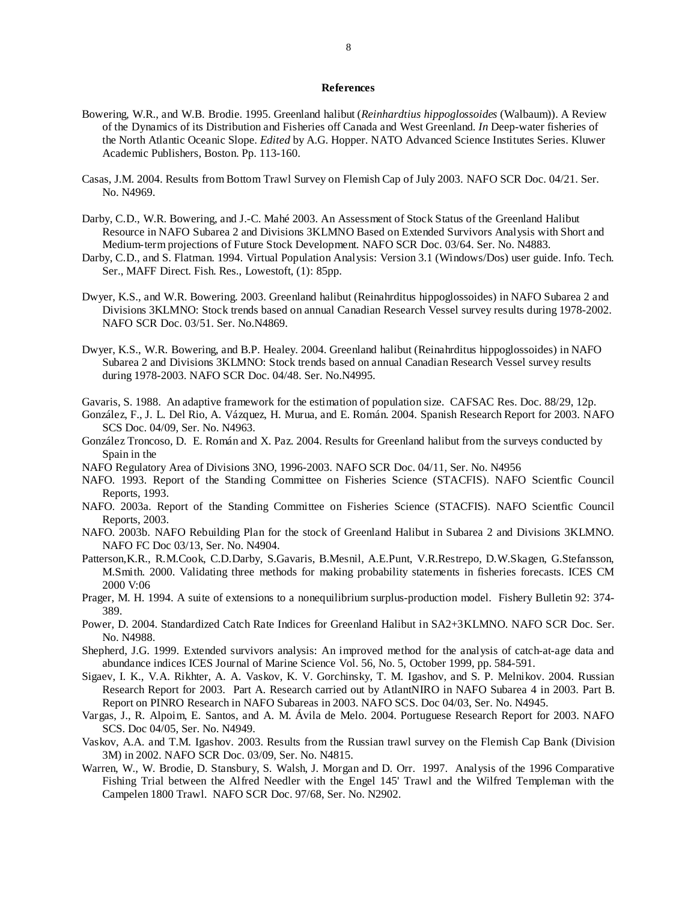#### **References**

- Bowering, W.R., and W.B. Brodie. 1995. Greenland halibut (*Reinhardtius hippoglossoides* (Walbaum)). A Review of the Dynamics of its Distribution and Fisheries off Canada and West Greenland. *In* Deep-water fisheries of the North Atlantic Oceanic Slope. *Edited* by A.G. Hopper. NATO Advanced Science Institutes Series. Kluwer Academic Publishers, Boston. Pp. 113-160.
- Casas, J.M. 2004. Results from Bottom Trawl Survey on Flemish Cap of July 2003. NAFO SCR Doc. 04/21. Ser. No. N4969.
- Darby, C.D., W.R. Bowering, and J.-C. Mahé 2003. An Assessment of Stock Status of the Greenland Halibut Resource in NAFO Subarea 2 and Divisions 3KLMNO Based on Extended Survivors Analysis with Short and Medium-term projections of Future Stock Development. NAFO SCR Doc. 03/64. Ser. No. N4883.
- Darby, C.D., and S. Flatman. 1994. Virtual Population Analysis: Version 3.1 (Windows/Dos) user guide. Info. Tech. Ser., MAFF Direct. Fish. Res., Lowestoft, (1): 85pp.
- Dwyer, K.S., and W.R. Bowering. 2003. Greenland halibut (Reinahrditus hippoglossoides) in NAFO Subarea 2 and Divisions 3KLMNO: Stock trends based on annual Canadian Research Vessel survey results during 1978-2002. NAFO SCR Doc. 03/51. Ser. No.N4869.
- Dwyer, K.S., W.R. Bowering, and B.P. Healey. 2004. Greenland halibut (Reinahrditus hippoglossoides) in NAFO Subarea 2 and Divisions 3KLMNO: Stock trends based on annual Canadian Research Vessel survey results during 1978-2003. NAFO SCR Doc. 04/48. Ser. No.N4995.

Gavaris, S. 1988. An adaptive framework for the estimation of population size. CAFSAC Res. Doc. 88/29, 12p.

- González, F., J. L. Del Rio, A. Vázquez, H. Murua, and E. Román. 2004. Spanish Research Report for 2003. NAFO SCS Doc. 04/09, Ser. No. N4963.
- González Troncoso, D. E. Román and X. Paz. 2004. Results for Greenland halibut from the surveys conducted by Spain in the
- NAFO Regulatory Area of Divisions 3NO, 1996-2003. NAFO SCR Doc. 04/11, Ser. No. N4956
- NAFO. 1993. Report of the Standing Committee on Fisheries Science (STACFIS). NAFO Scientfic Council Reports, 1993.
- NAFO. 2003a. Report of the Standing Committee on Fisheries Science (STACFIS). NAFO Scientfic Council Reports, 2003.
- NAFO. 2003b. NAFO Rebuilding Plan for the stock of Greenland Halibut in Subarea 2 and Divisions 3KLMNO. NAFO FC Doc 03/13, Ser. No. N4904.
- Patterson,K.R., R.M.Cook, C.D.Darby, S.Gavaris, B.Mesnil, A.E.Punt, V.R.Restrepo, D.W.Skagen, G.Stefansson, M.Smith. 2000. Validating three methods for making probability statements in fisheries forecasts. ICES CM 2000 V:06
- Prager, M. H. 1994. A suite of extensions to a nonequilibrium surplus-production model. Fishery Bulletin 92: 374- 389.
- Power, D. 2004. Standardized Catch Rate Indices for Greenland Halibut in SA2+3KLMNO. NAFO SCR Doc. Ser. No. N4988.
- Shepherd, J.G. 1999. Extended survivors analysis: An improved method for the analysis of catch-at-age data and abundance indices ICES Journal of Marine Science Vol. 56, No. 5, October 1999, pp. 584-591.
- Sigaev, I. K., V.A. Rikhter, A. A. Vaskov, K. V. Gorchinsky, T. M. Igashov, and S. P. Melnikov. 2004. Russian Research Report for 2003. Part A. Research carried out by AtlantNIRO in NAFO Subarea 4 in 2003. Part B. Report on PINRO Research in NAFO Subareas in 2003. NAFO SCS. Doc 04/03, Ser. No. N4945.
- Vargas, J., R. Alpoim, E. Santos, and A. M. Ávila de Melo. 2004. Portuguese Research Report for 2003. NAFO SCS. Doc 04/05, Ser. No. N4949.
- Vaskov, A.A. and T.M. Igashov. 2003. Results from the Russian trawl survey on the Flemish Cap Bank (Division 3M) in 2002. NAFO SCR Doc. 03/09, Ser. No. N4815.
- Warren, W., W. Brodie, D. Stansbury, S. Walsh, J. Morgan and D. Orr. 1997. Analysis of the 1996 Comparative Fishing Trial between the Alfred Needler with the Engel 145' Trawl and the Wilfred Templeman with the Campelen 1800 Trawl. NAFO SCR Doc. 97/68, Ser. No. N2902.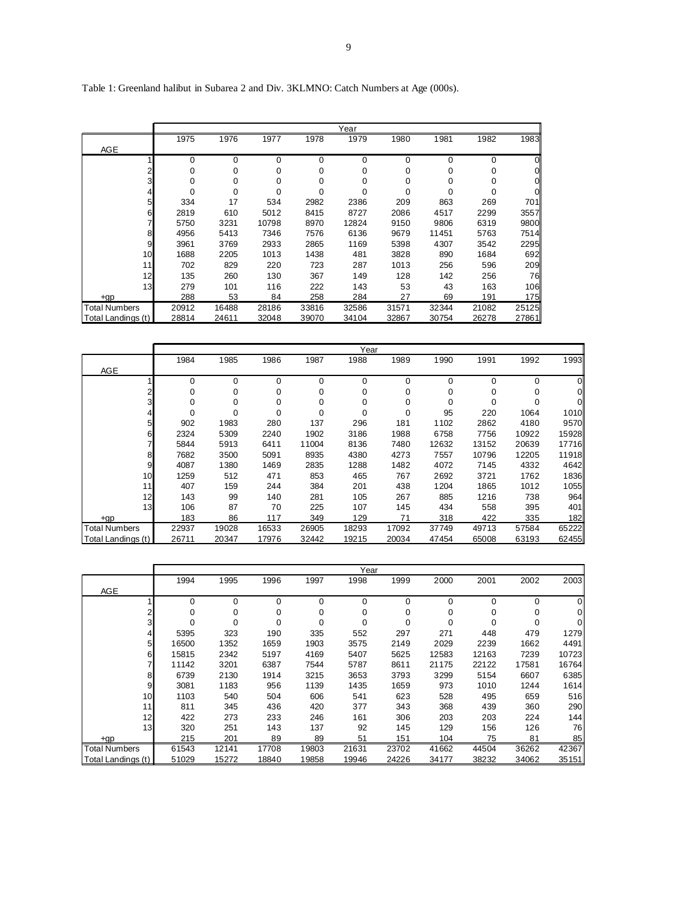# Table 1: Greenland halibut in Subarea 2 and Div. 3KLMNO: Catch Numbers at Age (000s).

|                      |       |       |       |       | Year  |       |       |       |          |
|----------------------|-------|-------|-------|-------|-------|-------|-------|-------|----------|
|                      | 1975  | 1976  | 1977  | 1978  | 1979  | 1980  | 1981  | 1982  | 1983     |
| AGE                  |       |       |       |       |       |       |       |       |          |
|                      | 0     | 0     | 0     | 0     | 0     | 0     | 0     | 0     | 0        |
|                      | 0     | 0     | 0     | 0     | 0     | 0     | 0     | 0     | 0        |
| 3                    | 0     | 0     | 0     | 0     | 0     | 0     | 0     | 0     | 01       |
| 4                    | 0     | 0     | 0     | 0     | 0     | 0     | 0     | 0     | $\Omega$ |
| 5                    | 334   | 17    | 534   | 2982  | 2386  | 209   | 863   | 269   | 701      |
| 6                    | 2819  | 610   | 5012  | 8415  | 8727  | 2086  | 4517  | 2299  | 3557     |
|                      | 5750  | 3231  | 10798 | 8970  | 12824 | 9150  | 9806  | 6319  | 9800     |
| 8                    | 4956  | 5413  | 7346  | 7576  | 6136  | 9679  | 11451 | 5763  | 7514     |
| 9                    | 3961  | 3769  | 2933  | 2865  | 1169  | 5398  | 4307  | 3542  | 2295     |
| 10                   | 1688  | 2205  | 1013  | 1438  | 481   | 3828  | 890   | 1684  | 692      |
| 11                   | 702   | 829   | 220   | 723   | 287   | 1013  | 256   | 596   | 209      |
| 12 <sub>1</sub>      | 135   | 260   | 130   | 367   | 149   | 128   | 142   | 256   | 76       |
| 13                   | 279   | 101   | 116   | 222   | 143   | 53    | 43    | 163   | 106      |
| +gp                  | 288   | 53    | 84    | 258   | 284   | 27    | 69    | 191   | 175      |
| <b>Total Numbers</b> | 20912 | 16488 | 28186 | 33816 | 32586 | 31571 | 32344 | 21082 | 25125    |
| Total Landings (t)   | 28814 | 24611 | 32048 | 39070 | 34104 | 32867 | 30754 | 26278 | 27861    |

|                      |       |       |             |       | Year  |       |          |       |       |       |
|----------------------|-------|-------|-------------|-------|-------|-------|----------|-------|-------|-------|
|                      | 1984  | 1985  | 1986        | 1987  | 1988  | 1989  | 1990     | 1991  | 1992  | 1993  |
| AGE                  |       |       |             |       |       |       |          |       |       |       |
|                      | 0     | 0     | $\Omega$    | 0     | 0     | 0     | $\Omega$ | 0     | 0     | 0     |
| 2                    | 0     | 0     | 0           | 0     | 0     | 0     | 0        | 0     | 0     | 0     |
| 3                    | 0     | 0     | $\mathbf 0$ | 0     | 0     | 0     | $\Omega$ | 0     | 0     | 01    |
| $\overline{4}$       | 0     | 0     | 0           | 0     | 0     | 0     | 95       | 220   | 1064  | 1010  |
| 5                    | 902   | 1983  | 280         | 137   | 296   | 181   | 1102     | 2862  | 4180  | 9570  |
| 6                    | 2324  | 5309  | 2240        | 1902  | 3186  | 1988  | 6758     | 7756  | 10922 | 15928 |
| 7                    | 5844  | 5913  | 6411        | 11004 | 8136  | 7480  | 12632    | 13152 | 20639 | 17716 |
| 8                    | 7682  | 3500  | 5091        | 8935  | 4380  | 4273  | 7557     | 10796 | 12205 | 11918 |
| 9                    | 4087  | 1380  | 1469        | 2835  | 1288  | 1482  | 4072     | 7145  | 4332  | 4642  |
| 10                   | 1259  | 512   | 471         | 853   | 465   | 767   | 2692     | 3721  | 1762  | 1836  |
| 11                   | 407   | 159   | 244         | 384   | 201   | 438   | 1204     | 1865  | 1012  | 1055  |
| 12                   | 143   | 99    | 140         | 281   | 105   | 267   | 885      | 1216  | 738   | 964   |
| 13                   | 106   | 87    | 70          | 225   | 107   | 145   | 434      | 558   | 395   | 401   |
| $+qp$                | 183   | 86    | 117         | 349   | 129   | 71    | 318      | 422   | 335   | 182   |
| <b>Total Numbers</b> | 22937 | 19028 | 16533       | 26905 | 18293 | 17092 | 37749    | 49713 | 57584 | 65222 |
| Total Landings (t)   | 26711 | 20347 | 17976       | 32442 | 19215 | 20034 | 47454    | 65008 | 63193 | 62455 |

|                      |       |          |          |          | Year  |             |          |          |             |       |
|----------------------|-------|----------|----------|----------|-------|-------------|----------|----------|-------------|-------|
|                      | 1994  | 1995     | 1996     | 1997     | 1998  | 1999        | 2000     | 2001     | 2002        | 2003  |
| AGE                  |       |          |          |          |       |             |          |          |             |       |
|                      | 0     | $\Omega$ | $\Omega$ | $\Omega$ | 0     | $\mathbf 0$ | $\Omega$ | $\Omega$ | 0           | Οl    |
| 2                    | 0     | 0        | 0        | 0        | 0     | 0           | 0        | 0        | 0           | Οl    |
| 3                    | 0     | $\Omega$ | $\Omega$ | 0        | 0     | 0           | 0        | 0        | $\mathbf 0$ | Οl    |
| 4                    | 5395  | 323      | 190      | 335      | 552   | 297         | 271      | 448      | 479         | 1279  |
| 5                    | 16500 | 1352     | 1659     | 1903     | 3575  | 2149        | 2029     | 2239     | 1662        | 4491  |
| 6                    | 15815 | 2342     | 5197     | 4169     | 5407  | 5625        | 12583    | 12163    | 7239        | 10723 |
| 7                    | 11142 | 3201     | 6387     | 7544     | 5787  | 8611        | 21175    | 22122    | 17581       | 16764 |
| 8                    | 6739  | 2130     | 1914     | 3215     | 3653  | 3793        | 3299     | 5154     | 6607        | 6385  |
| 9                    | 3081  | 1183     | 956      | 1139     | 1435  | 1659        | 973      | 1010     | 1244        | 1614  |
| 10                   | 1103  | 540      | 504      | 606      | 541   | 623         | 528      | 495      | 659         | 516   |
| 11                   | 811   | 345      | 436      | 420      | 377   | 343         | 368      | 439      | 360         | 290   |
| 12                   | 422   | 273      | 233      | 246      | 161   | 306         | 203      | 203      | 224         | 144   |
| 13 <sub>l</sub>      | 320   | 251      | 143      | 137      | 92    | 145         | 129      | 156      | 126         | 76    |
| $+qp$                | 215   | 201      | 89       | 89       | 51    | 151         | 104      | 75       | 81          | 85    |
| <b>Total Numbers</b> | 61543 | 12141    | 17708    | 19803    | 21631 | 23702       | 41662    | 44504    | 36262       | 42367 |
| Total Landings (t)   | 51029 | 15272    | 18840    | 19858    | 19946 | 24226       | 34177    | 38232    | 34062       | 35151 |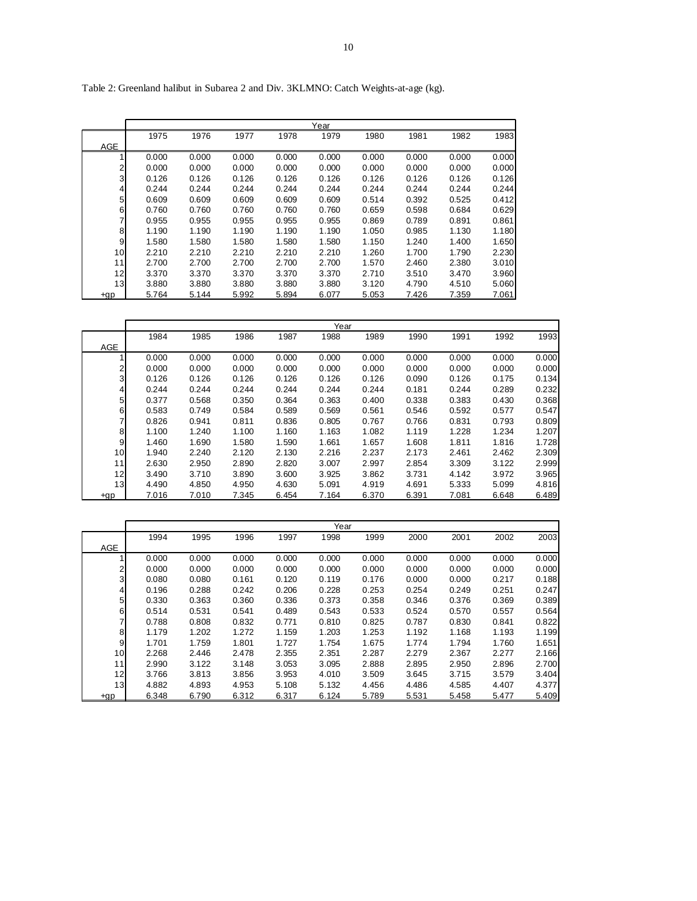|                |       |       |       |       | Year  |       |       |       |       |
|----------------|-------|-------|-------|-------|-------|-------|-------|-------|-------|
|                | 1975  | 1976  | 1977  | 1978  | 1979  | 1980  | 1981  | 1982  | 1983  |
| AGE            |       |       |       |       |       |       |       |       |       |
|                | 0.000 | 0.000 | 0.000 | 0.000 | 0.000 | 0.000 | 0.000 | 0.000 | 0.000 |
| $\overline{2}$ | 0.000 | 0.000 | 0.000 | 0.000 | 0.000 | 0.000 | 0.000 | 0.000 | 0.000 |
| 3              | 0.126 | 0.126 | 0.126 | 0.126 | 0.126 | 0.126 | 0.126 | 0.126 | 0.126 |
| 4              | 0.244 | 0.244 | 0.244 | 0.244 | 0.244 | 0.244 | 0.244 | 0.244 | 0.244 |
| 5              | 0.609 | 0.609 | 0.609 | 0.609 | 0.609 | 0.514 | 0.392 | 0.525 | 0.412 |
| 6              | 0.760 | 0.760 | 0.760 | 0.760 | 0.760 | 0.659 | 0.598 | 0.684 | 0.629 |
|                | 0.955 | 0.955 | 0.955 | 0.955 | 0.955 | 0.869 | 0.789 | 0.891 | 0.861 |
| 8              | 1.190 | 1.190 | 1.190 | 1.190 | 1.190 | 1.050 | 0.985 | 1.130 | 1.180 |
| 9              | 1.580 | 1.580 | 1.580 | 1.580 | 1.580 | 1.150 | 1.240 | 1.400 | 1.650 |
| 10             | 2.210 | 2.210 | 2.210 | 2.210 | 2.210 | 1.260 | 1.700 | 1.790 | 2.230 |
| 11             | 2.700 | 2.700 | 2.700 | 2.700 | 2.700 | 1.570 | 2.460 | 2.380 | 3.010 |
| 12             | 3.370 | 3.370 | 3.370 | 3.370 | 3.370 | 2.710 | 3.510 | 3.470 | 3.960 |
| 13             | 3.880 | 3.880 | 3.880 | 3.880 | 3.880 | 3.120 | 4.790 | 4.510 | 5.060 |
| +gp            | 5.764 | 5.144 | 5.992 | 5.894 | 6.077 | 5.053 | 7.426 | 7.359 | 7.061 |

Table 2: Greenland halibut in Subarea 2 and Div. 3KLMNO: Catch Weights-at-age (kg).

|                 |       |       |       |       | Year  |       |       |       |       |       |
|-----------------|-------|-------|-------|-------|-------|-------|-------|-------|-------|-------|
|                 | 1984  | 1985  | 1986  | 1987  | 1988  | 1989  | 1990  | 1991  | 1992  | 1993  |
| <b>AGE</b>      |       |       |       |       |       |       |       |       |       |       |
|                 | 0.000 | 0.000 | 0.000 | 0.000 | 0.000 | 0.000 | 0.000 | 0.000 | 0.000 | 0.000 |
| $\overline{2}$  | 0.000 | 0.000 | 0.000 | 0.000 | 0.000 | 0.000 | 0.000 | 0.000 | 0.000 | 0.000 |
| 3               | 0.126 | 0.126 | 0.126 | 0.126 | 0.126 | 0.126 | 0.090 | 0.126 | 0.175 | 0.134 |
| 4               | 0.244 | 0.244 | 0.244 | 0.244 | 0.244 | 0.244 | 0.181 | 0.244 | 0.289 | 0.232 |
| 5 <sup>1</sup>  | 0.377 | 0.568 | 0.350 | 0.364 | 0.363 | 0.400 | 0.338 | 0.383 | 0.430 | 0.368 |
| 6               | 0.583 | 0.749 | 0.584 | 0.589 | 0.569 | 0.561 | 0.546 | 0.592 | 0.577 | 0.547 |
| 7               | 0.826 | 0.941 | 0.811 | 0.836 | 0.805 | 0.767 | 0.766 | 0.831 | 0.793 | 0.809 |
| 8               | 1.100 | 1.240 | 1.100 | 1.160 | 1.163 | 1.082 | 1.119 | 1.228 | 1.234 | 1.207 |
| $\overline{9}$  | 1.460 | 1.690 | 1.580 | 1.590 | 1.661 | 1.657 | 1.608 | 1.811 | 1.816 | 1.728 |
| 10 <sub>l</sub> | 1.940 | 2.240 | 2.120 | 2.130 | 2.216 | 2.237 | 2.173 | 2.461 | 2.462 | 2.309 |
| 11              | 2.630 | 2.950 | 2.890 | 2.820 | 3.007 | 2.997 | 2.854 | 3.309 | 3.122 | 2.999 |
| 12              | 3.490 | 3.710 | 3.890 | 3.600 | 3.925 | 3.862 | 3.731 | 4.142 | 3.972 | 3.965 |
| 13              | 4.490 | 4.850 | 4.950 | 4.630 | 5.091 | 4.919 | 4.691 | 5.333 | 5.099 | 4.816 |
| +gp             | 7.016 | 7.010 | 7.345 | 6.454 | 7.164 | 6.370 | 6.391 | 7.081 | 6.648 | 6.489 |

|       |       |       |       |       | Year  |       |       |       |       |       |
|-------|-------|-------|-------|-------|-------|-------|-------|-------|-------|-------|
|       | 1994  | 1995  | 1996  | 1997  | 1998  | 1999  | 2000  | 2001  | 2002  | 2003  |
| AGE   |       |       |       |       |       |       |       |       |       |       |
|       | 0.000 | 0.000 | 0.000 | 0.000 | 0.000 | 0.000 | 0.000 | 0.000 | 0.000 | 0.000 |
| 2     | 0.000 | 0.000 | 0.000 | 0.000 | 0.000 | 0.000 | 0.000 | 0.000 | 0.000 | 0.000 |
| 3     | 0.080 | 0.080 | 0.161 | 0.120 | 0.119 | 0.176 | 0.000 | 0.000 | 0.217 | 0.188 |
| 4     | 0.196 | 0.288 | 0.242 | 0.206 | 0.228 | 0.253 | 0.254 | 0.249 | 0.251 | 0.247 |
| 5     | 0.330 | 0.363 | 0.360 | 0.336 | 0.373 | 0.358 | 0.346 | 0.376 | 0.369 | 0.389 |
| 6     | 0.514 | 0.531 | 0.541 | 0.489 | 0.543 | 0.533 | 0.524 | 0.570 | 0.557 | 0.564 |
|       | 0.788 | 0.808 | 0.832 | 0.771 | 0.810 | 0.825 | 0.787 | 0.830 | 0.841 | 0.822 |
| 8     | 1.179 | 1.202 | 1.272 | 1.159 | 1.203 | 1.253 | 1.192 | 1.168 | 1.193 | 1.199 |
| 9     | 1.701 | 1.759 | 1.801 | 1.727 | 1.754 | 1.675 | 1.774 | 1.794 | 1.760 | 1.651 |
| 10    | 2.268 | 2.446 | 2.478 | 2.355 | 2.351 | 2.287 | 2.279 | 2.367 | 2.277 | 2.166 |
| 11    | 2.990 | 3.122 | 3.148 | 3.053 | 3.095 | 2.888 | 2.895 | 2.950 | 2.896 | 2.700 |
| 12    | 3.766 | 3.813 | 3.856 | 3.953 | 4.010 | 3.509 | 3.645 | 3.715 | 3.579 | 3.404 |
| 13    | 4.882 | 4.893 | 4.953 | 5.108 | 5.132 | 4.456 | 4.486 | 4.585 | 4.407 | 4.377 |
| $+qp$ | 6.348 | 6.790 | 6.312 | 6.317 | 6.124 | 5.789 | 5.531 | 5.458 | 5.477 | 5.409 |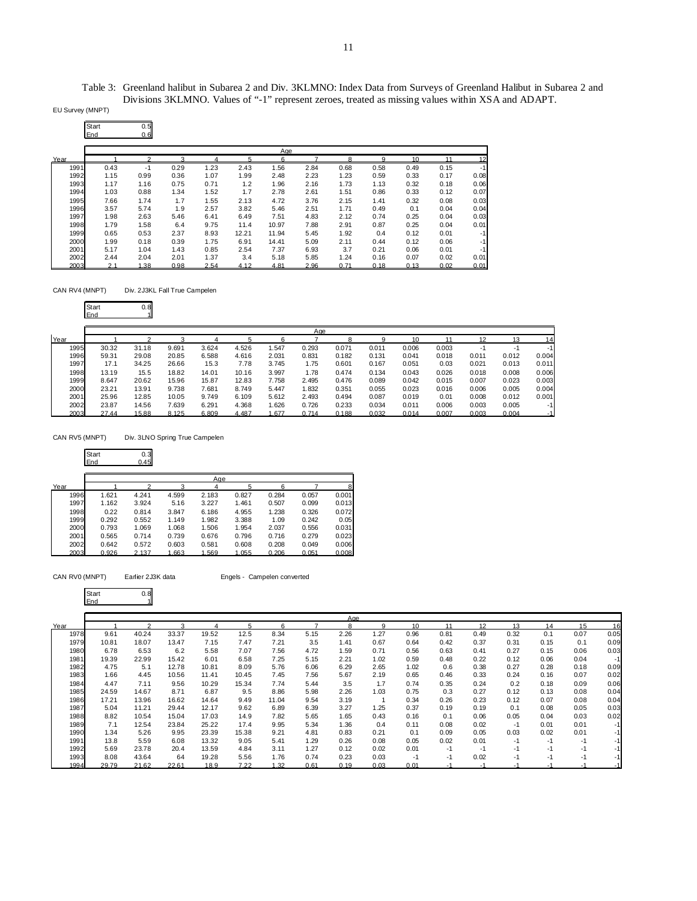Table 3: Greenland halibut in Subarea 2 and Div. 3KLMNO: Index Data from Surveys of Greenland Halibut in Subarea 2 and Divisions 3KLMNO. Values of "-1" represent zeroes, treated as missing values within XSA and ADAPT.

EU Survey (MNPT)

| Start | 0.5 |
|-------|-----|
| End   | 0.6 |

|      | Age  |      |      |      |       |       |      |      |      |      |      |      |
|------|------|------|------|------|-------|-------|------|------|------|------|------|------|
| Year |      |      | 2    |      | 5     | 6     |      | R    | a    | 10   | 11   | 12   |
| 1991 | 0.43 | -1   | 0.29 | 1.23 | 2.43  | 1.56  | 2.84 | 0.68 | 0.58 | 0.49 | 0.15 | $-1$ |
| 1992 | 1.15 | 0.99 | 0.36 | 1.07 | 1.99  | 2.48  | 2.23 | 1.23 | 0.59 | 0.33 | 0.17 | 0.08 |
| 1993 | 1.17 | 1.16 | 0.75 | 0.71 | 1.2   | 1.96  | 2.16 | 1.73 | 1.13 | 0.32 | 0.18 | 0.06 |
| 1994 | 1.03 | 0.88 | 1.34 | 1.52 | 1.7   | 2.78  | 2.61 | 1.51 | 0.86 | 0.33 | 0.12 | 0.07 |
| 1995 | 7.66 | 1.74 | 1.7  | 1.55 | 2.13  | 4.72  | 3.76 | 2.15 | 1.41 | 0.32 | 0.08 | 0.03 |
| 1996 | 3.57 | 5.74 | 1.9  | 2.57 | 3.82  | 5.46  | 2.51 | 1.71 | 0.49 | 0.1  | 0.04 | 0.04 |
| 1997 | 1.98 | 2.63 | 5.46 | 6.41 | 6.49  | 7.51  | 4.83 | 2.12 | 0.74 | 0.25 | 0.04 | 0.03 |
| 1998 | 1.79 | 1.58 | 6.4  | 9.75 | 11.4  | 10.97 | 7.88 | 2.91 | 0.87 | 0.25 | 0.04 | 0.01 |
| 1999 | 0.65 | 0.53 | 2.37 | 8.93 | 12.21 | 11.94 | 5.45 | 1.92 | 0.4  | 0.12 | 0.01 | $-1$ |
| 2000 | 1.99 | 0.18 | 0.39 | 1.75 | 6.91  | 14.41 | 5.09 | 2.11 | 0.44 | 0.12 | 0.06 | $-1$ |
| 2001 | 5.17 | 1.04 | 1.43 | 0.85 | 2.54  | 7.37  | 6.93 | 3.7  | 0.21 | 0.06 | 0.01 | $-1$ |
| 2002 | 2.44 | 2.04 | 2.01 | 1.37 | 3.4   | 5.18  | 5.85 | 1.24 | 0.16 | 0.07 | 0.02 | 0.01 |
| 2003 | 2.1  | 1.38 | 0.98 | 2.54 | 4.12  | 4.81  | 2.96 | 0.71 | 0.18 | 0.13 | 0.02 | 0.01 |

CAN RV4 (MNPT) Div. 2J3KL Fall True Campelen

|      | Start<br>End | 0.8   |       |       |       |       |       |       |       |       |       |       |       |       |
|------|--------------|-------|-------|-------|-------|-------|-------|-------|-------|-------|-------|-------|-------|-------|
|      |              |       |       |       |       |       | Aae   |       |       |       |       |       |       |       |
| Year |              | ∩     |       |       | 5     |       |       | 8     |       | 10    |       | 12    | 13    | 14    |
| 1995 | 30.32        | 31.18 | 9.691 | 3.624 | 4.526 | 1.547 | 0.293 | 0.071 | 0.011 | 0.006 | 0.003 | -1    | $-1$  | $-1$  |
| 1996 | 59.31        | 29.08 | 20.85 | 6.588 | 4.616 | 2.031 | 0.831 | 0.182 | 0.131 | 0.041 | 0.018 | 0.011 | 0.012 | 0.004 |
| 1997 | 17.1         | 34.25 | 26.66 | 15.3  | 7.78  | 3.745 | 1.75  | 0.601 | 0.167 | 0.051 | 0.03  | 0.021 | 0.013 | 0.011 |
| 1998 | 13.19        | 15.5  | 18.82 | 14.01 | 10.16 | 3.997 | 1.78  | 0.474 | 0.134 | 0.043 | 0.026 | 0.018 | 0.008 | 0.006 |
| 1999 | 8.647        | 20.62 | 15.96 | 15.87 | 12.83 | 7.758 | 2.495 | 0.476 | 0.089 | 0.042 | 0.015 | 0.007 | 0.023 | 0.003 |
| 2000 | 23.21        | 13.91 | 9.738 | 7.681 | 8.749 | 5.447 | 1.832 | 0.351 | 0.055 | 0.023 | 0.016 | 0.006 | 0.005 | 0.004 |
| 2001 | 25.96        | 12.85 | 10.05 | 9.749 | 6.109 | 5.612 | 2.493 | 0.494 | 0.087 | 0.019 | 0.01  | 0.008 | 0.012 | 0.001 |
| 2002 | 23.87        | 14.56 | 7.639 | 6.291 | 4.368 | 1.626 | 0.726 | 0.233 | 0.034 | 0.011 | 0.006 | 0.003 | 0.005 | -1    |
| 2003 | 27.44        | 15.88 | 8.125 | 6.809 | 4.487 | .677  | 0.714 | 0.188 | 0.032 | 0.014 | 0.007 | 0.003 | 0.004 |       |

CAN RV5 (MNPT) Div. 3LNO Spring True Campelen

|      | End   | 0.45  |       |       |       |       |       |       |
|------|-------|-------|-------|-------|-------|-------|-------|-------|
|      |       |       |       | Age   |       |       |       |       |
| Year |       | ົ     | 3     |       | 5     | ĥ     |       | 8     |
| 1996 | 1.621 | 4.241 | 4.599 | 2.183 | 0.827 | 0.284 | 0.057 | 0.001 |
| 1997 | 1.162 | 3.924 | 5.16  | 3.227 | 1.461 | 0.507 | 0.099 | 0.013 |
| 1998 | 0.22  | 0.814 | 3.847 | 6.186 | 4.955 | 1.238 | 0.326 | 0.072 |
| 1999 | 0.292 | 0.552 | 1.149 | 1.982 | 3.388 | 1.09  | 0.242 | 0.05  |
| 2000 | 0.793 | 1.069 | 1.068 | 1.506 | 1.954 | 2.037 | 0.556 | 0.031 |
| 2001 | 0.565 | 0.714 | 0.739 | 0.676 | 0.796 | 0.716 | 0.279 | 0.023 |
| 2002 | 0.642 | 0.572 | 0.603 | 0.581 | 0.608 | 0.208 | 0.049 | 0.006 |
| 2003 | 0.926 | 2.137 | 1.663 | 1.569 | 1.055 | 0.206 | 0.051 | 0.008 |

```
CAN RV0 (MNPT) Earlier 2J3K data Engels - Campelen converted
```


Start 0.3

|      |       |               |       |       |       |       |      | Aae  |      |      |      |      |      |      |      |      |
|------|-------|---------------|-------|-------|-------|-------|------|------|------|------|------|------|------|------|------|------|
| Year |       | $\mathcal{L}$ |       |       |       | ี     |      | 8    | 9    | 10   | 11   | 12   | 13   | 14   | 15   | 16   |
| 1978 | 9.61  | 40.24         | 33.37 | 19.52 | 12.5  | 8.34  | 5.15 | 2.26 | 1.27 | 0.96 | 0.81 | 0.49 | 0.32 | 0.1  | 0.07 | 0.05 |
| 1979 | 10.81 | 18.07         | 13.47 | 7.15  | 7.47  | 7.21  | 3.5  | 1.41 | 0.67 | 0.64 | 0.42 | 0.37 | 0.31 | 0.15 | 0.1  | 0.09 |
| 1980 | 6.78  | 6.53          | 6.2   | 5.58  | 7.07  | 7.56  | 4.72 | 1.59 | 0.71 | 0.56 | 0.63 | 0.41 | 0.27 | 0.15 | 0.06 | 0.03 |
| 1981 | 19.39 | 22.99         | 15.42 | 6.01  | 6.58  | 7.25  | 5.15 | 2.21 | 1.02 | 0.59 | 0.48 | 0.22 | 0.12 | 0.06 | 0.04 | $-1$ |
| 1982 | 4.75  | 5.1           | 12.78 | 10.81 | 8.09  | 5.76  | 6.06 | 6.29 | 2.65 | 1.02 | 0.6  | 0.38 | 0.27 | 0.28 | 0.18 | 0.09 |
| 1983 | 1.66  | 4.45          | 10.56 | 11.41 | 10.45 | 7.45  | 7.56 | 5.67 | 2.19 | 0.65 | 0.46 | 0.33 | 0.24 | 0.16 | 0.07 | 0.02 |
| 1984 | 4.47  | 7.11          | 9.56  | 10.29 | 15.34 | 7.74  | 5.44 | 3.5  | 1.7  | 0.74 | 0.35 | 0.24 | 0.2  | 0.18 | 0.09 | 0.06 |
| 1985 | 24.59 | 14.67         | 8.71  | 6.87  | 9.5   | 8.86  | 5.98 | 2.26 | 1.03 | 0.75 | 0.3  | 0.27 | 0.12 | 0.13 | 0.08 | 0.04 |
| 1986 | 17.21 | 13.96         | 16.62 | 14.64 | 9.49  | 11.04 | 9.54 | 3.19 |      | 0.34 | 0.26 | 0.23 | 0.12 | 0.07 | 0.08 | 0.04 |
| 1987 | 5.04  | 11.21         | 29.44 | 12.17 | 9.62  | 6.89  | 6.39 | 3.27 | 1.25 | 0.37 | 0.19 | 0.19 | 0.1  | 0.08 | 0.05 | 0.03 |
| 1988 | 8.82  | 10.54         | 15.04 | 17.03 | 14.9  | 7.82  | 5.65 | 1.65 | 0.43 | 0.16 | 0.1  | 0.06 | 0.05 | 0.04 | 0.03 | 0.02 |
| 1989 | 7.1   | 12.54         | 23.84 | 25.22 | 17.4  | 9.95  | 5.34 | 1.36 | 0.4  | 0.11 | 0.08 | 0.02 | $-1$ | 0.01 | 0.01 | $-1$ |
| 1990 | 1.34  | 5.26          | 9.95  | 23.39 | 15.38 | 9.21  | 4.81 | 0.83 | 0.21 | 0.1  | 0.09 | 0.05 | 0.03 | 0.02 | 0.01 | $-1$ |
| 1991 | 13.8  | 5.59          | 6.08  | 13.32 | 9.05  | 5.41  | 1.29 | 0.26 | 0.08 | 0.05 | 0.02 | 0.01 | $-1$ | $-1$ | $-1$ | $-1$ |
| 1992 | 5.69  | 23.78         | 20.4  | 13.59 | 4.84  | 3.11  | 1.27 | 0.12 | 0.02 | 0.01 | -1   | $-1$ | $-1$ | $-1$ | -1   | $-1$ |
| 1993 | 8.08  | 43.64         | 64    | 19.28 | 5.56  | 1.76  | 0.74 | 0.23 | 0.03 | $-1$ | $-1$ | 0.02 | $-1$ | $-1$ | -1   | $-1$ |
| 1994 | 29.79 | 21.62         | 22.61 | 18.9  | 7.22  | 1.32  | 0.61 | 0.19 | 0.03 | 0.01 |      |      |      |      |      | $-1$ |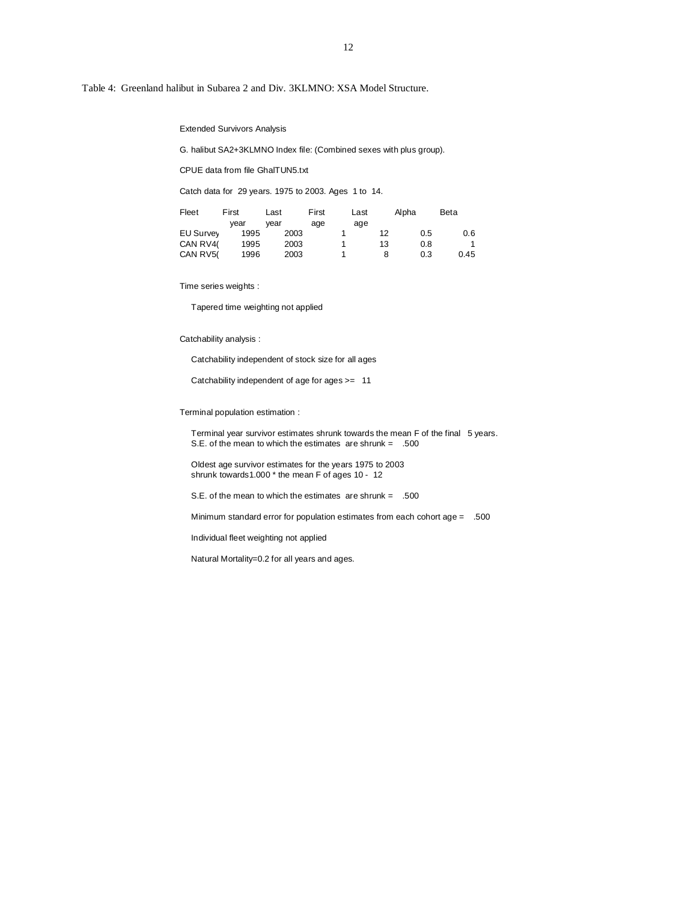Table 4: Greenland halibut in Subarea 2 and Div. 3KLMNO: XSA Model Structure.

Extended Survivors Analysis

G. halibut SA2+3KLMNO Index file: (Combined sexes with plus group).

CPUE data from file GhalTUN5.txt

Catch data for 29 years. 1975 to 2003. Ages 1 to 14.

| Fleet            | First | Last | First | Last | Alpha | Beta |
|------------------|-------|------|-------|------|-------|------|
|                  | vear  | vear | age   | age  |       |      |
| <b>EU Survey</b> | 1995  | 2003 |       | 12   | 0.5   | 0.6  |
| CAN RV40         | 1995  | 2003 |       | 13   | 0.8   |      |
| CAN RV5(         | 1996  | 2003 |       | 8    | 0.3   | 0.45 |

Time series weights :

Tapered time weighting not applied

#### Catchability analysis :

Catchability independent of stock size for all ages

Catchability independent of age for ages >= 11

### Terminal population estimation :

 Terminal year survivor estimates shrunk towards the mean F of the final 5 years. S.E. of the mean to which the estimates are shrunk = .500

 Oldest age survivor estimates for the years 1975 to 2003 shrunk towards1.000 \* the mean F of ages 10 - 12

S.E. of the mean to which the estimates are shrunk = .500

Minimum standard error for population estimates from each cohort age = .500

Individual fleet weighting not applied

Natural Mortality=0.2 for all years and ages.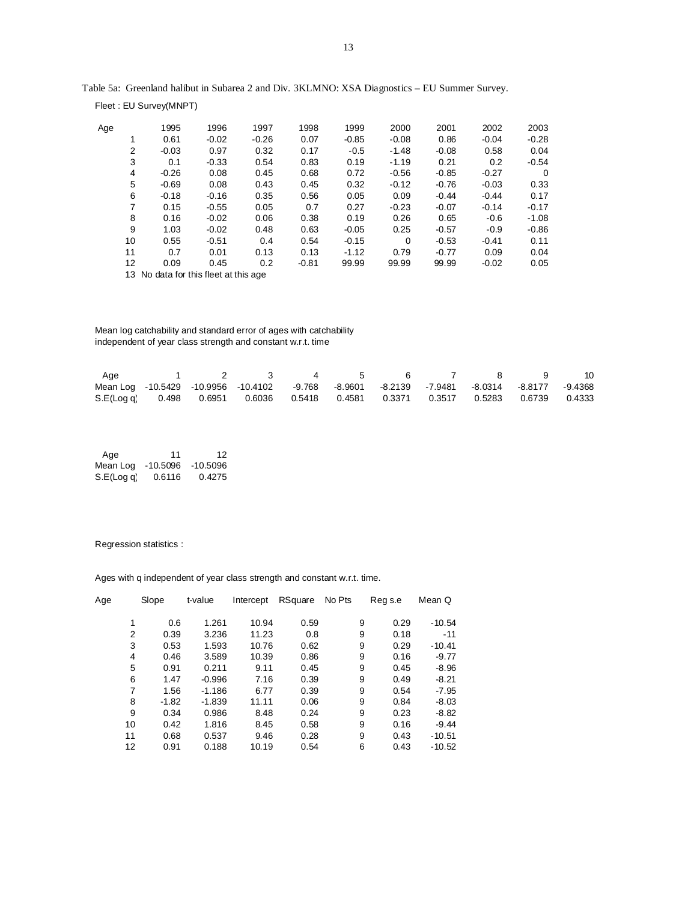| Age |    | 1995                                  | 1996    | 1997    | 1998    | 1999    | 2000     | 2001    | 2002    | 2003    |
|-----|----|---------------------------------------|---------|---------|---------|---------|----------|---------|---------|---------|
|     | 1  | 0.61                                  | $-0.02$ | $-0.26$ | 0.07    | $-0.85$ | $-0.08$  | 0.86    | $-0.04$ | $-0.28$ |
|     | 2  | $-0.03$                               | 0.97    | 0.32    | 0.17    | $-0.5$  | $-1.48$  | $-0.08$ | 0.58    | 0.04    |
|     | 3  | 0.1                                   | $-0.33$ | 0.54    | 0.83    | 0.19    | $-1.19$  | 0.21    | 0.2     | $-0.54$ |
|     | 4  | $-0.26$                               | 0.08    | 0.45    | 0.68    | 0.72    | $-0.56$  | $-0.85$ | $-0.27$ | 0       |
|     | 5  | $-0.69$                               | 0.08    | 0.43    | 0.45    | 0.32    | $-0.12$  | $-0.76$ | $-0.03$ | 0.33    |
|     | 6  | $-0.18$                               | $-0.16$ | 0.35    | 0.56    | 0.05    | 0.09     | $-0.44$ | $-0.44$ | 0.17    |
|     | 7  | 0.15                                  | $-0.55$ | 0.05    | 0.7     | 0.27    | $-0.23$  | $-0.07$ | $-0.14$ | $-0.17$ |
|     | 8  | 0.16                                  | $-0.02$ | 0.06    | 0.38    | 0.19    | 0.26     | 0.65    | $-0.6$  | $-1.08$ |
|     | 9  | 1.03                                  | $-0.02$ | 0.48    | 0.63    | $-0.05$ | 0.25     | $-0.57$ | $-0.9$  | $-0.86$ |
|     | 10 | 0.55                                  | $-0.51$ | 0.4     | 0.54    | $-0.15$ | $\Omega$ | $-0.53$ | $-0.41$ | 0.11    |
|     | 11 | 0.7                                   | 0.01    | 0.13    | 0.13    | $-1.12$ | 0.79     | $-0.77$ | 0.09    | 0.04    |
|     | 12 | 0.09                                  | 0.45    | 0.2     | $-0.81$ | 99.99   | 99.99    | 99.99   | $-0.02$ | 0.05    |
|     |    | 13 No data for this fleet at this age |         |         |         |         |          |         |         |         |
|     |    |                                       |         |         |         |         |          |         |         |         |

Table 5a: Greenland halibut in Subarea 2 and Div. 3KLMNO: XSA Diagnostics – EU Summer Survey.

 Mean log catchability and standard error of ages with catchability independent of year class strength and constant w.r.t. time

| Age                                                                                        |  | 1 2 3 4 5 6 7 8 9 10 |  |  |  |  |
|--------------------------------------------------------------------------------------------|--|----------------------|--|--|--|--|
| Mean Log -10.5429 -10.9956 -10.4102 -9.768 -8.9601 -8.2139 -7.9481 -8.0314 -8.8177 -9.4368 |  |                      |  |  |  |  |
| S.E(Log q) 0.498 0.6951 0.6036 0.5418 0.4581 0.3371 0.3517 0.5283 0.6739 0.4333            |  |                      |  |  |  |  |

| Age        | 11         | 12         |
|------------|------------|------------|
| Mean Log   | $-10.5096$ | $-10.5096$ |
| S.E(Log q) | 0.6116     | 0.4275     |

Fleet : EU Survey(MNPT)

## Regression statistics :

Ages with q independent of year class strength and constant w.r.t. time.

| Age | Slope   | t-value  | Intercept | RSquare | No Pts | Reg s.e | Mean Q   |
|-----|---------|----------|-----------|---------|--------|---------|----------|
|     | 0.6     | 1.261    | 10.94     | 0.59    | 9      | 0.29    | $-10.54$ |
| 2   | 0.39    | 3.236    | 11.23     | 0.8     | 9      | 0.18    | $-11$    |
| 3   | 0.53    | 1.593    | 10.76     | 0.62    | 9      | 0.29    | $-10.41$ |
| 4   | 0.46    | 3.589    | 10.39     | 0.86    | 9      | 0.16    | $-9.77$  |
| 5   | 0.91    | 0.211    | 9.11      | 0.45    | 9      | 0.45    | $-8.96$  |
| 6   | 1.47    | $-0.996$ | 7.16      | 0.39    | 9      | 0.49    | $-8.21$  |
| 7   | 1.56    | $-1.186$ | 6.77      | 0.39    | 9      | 0.54    | $-7.95$  |
| 8   | $-1.82$ | $-1.839$ | 11.11     | 0.06    | 9      | 0.84    | $-8.03$  |
| 9   | 0.34    | 0.986    | 8.48      | 0.24    | 9      | 0.23    | $-8.82$  |
| 10  | 0.42    | 1.816    | 8.45      | 0.58    | 9      | 0.16    | $-9.44$  |
| 11  | 0.68    | 0.537    | 9.46      | 0.28    | 9      | 0.43    | $-10.51$ |
| 12  | 0.91    | 0.188    | 10.19     | 0.54    | 6      | 0.43    | $-10.52$ |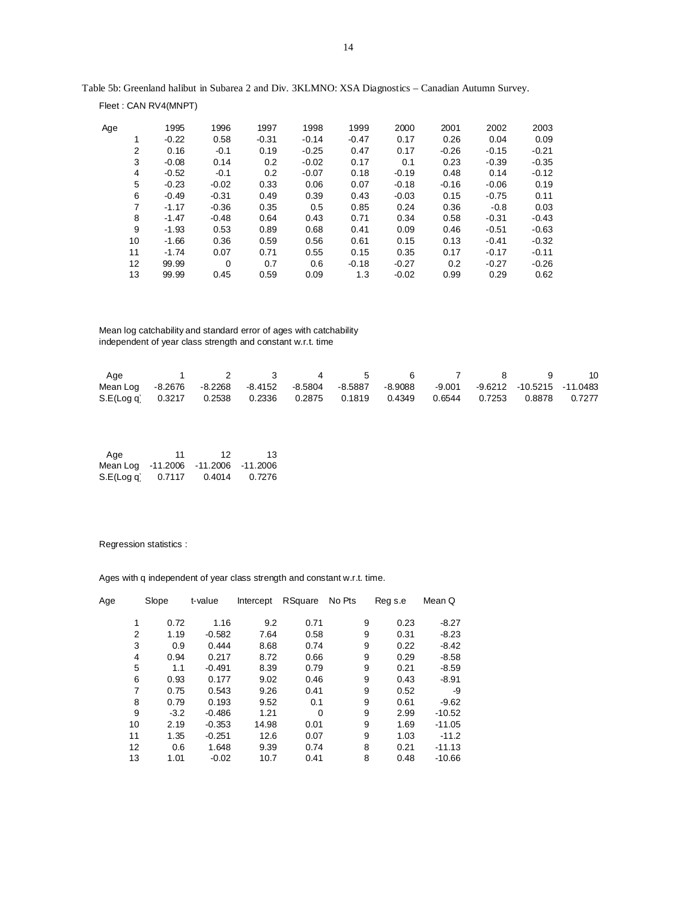| Age |                | 1995    | 1996    | 1997    | 1998    | 1999    | 2000    | 2001    | 2002    | 2003    |
|-----|----------------|---------|---------|---------|---------|---------|---------|---------|---------|---------|
|     | 1              | $-0.22$ | 0.58    | $-0.31$ | $-0.14$ | $-0.47$ | 0.17    | 0.26    | 0.04    | 0.09    |
|     | $\overline{2}$ | 0.16    | $-0.1$  | 0.19    | $-0.25$ | 0.47    | 0.17    | $-0.26$ | $-0.15$ | $-0.21$ |
|     | 3              | $-0.08$ | 0.14    | 0.2     | $-0.02$ | 0.17    | 0.1     | 0.23    | $-0.39$ | $-0.35$ |
|     | 4              | $-0.52$ | $-0.1$  | 0.2     | $-0.07$ | 0.18    | $-0.19$ | 0.48    | 0.14    | $-0.12$ |
|     | 5              | $-0.23$ | $-0.02$ | 0.33    | 0.06    | 0.07    | $-0.18$ | $-0.16$ | $-0.06$ | 0.19    |
|     | 6              | $-0.49$ | $-0.31$ | 0.49    | 0.39    | 0.43    | $-0.03$ | 0.15    | $-0.75$ | 0.11    |
|     | 7              | $-1.17$ | $-0.36$ | 0.35    | 0.5     | 0.85    | 0.24    | 0.36    | $-0.8$  | 0.03    |
|     | 8              | $-1.47$ | $-0.48$ | 0.64    | 0.43    | 0.71    | 0.34    | 0.58    | $-0.31$ | $-0.43$ |
|     | 9              | $-1.93$ | 0.53    | 0.89    | 0.68    | 0.41    | 0.09    | 0.46    | $-0.51$ | $-0.63$ |
|     | 10             | $-1.66$ | 0.36    | 0.59    | 0.56    | 0.61    | 0.15    | 0.13    | $-0.41$ | $-0.32$ |
|     | 11             | $-1.74$ | 0.07    | 0.71    | 0.55    | 0.15    | 0.35    | 0.17    | $-0.17$ | $-0.11$ |
|     | 12             | 99.99   | 0       | 0.7     | 0.6     | $-0.18$ | $-0.27$ | 0.2     | $-0.27$ | $-0.26$ |
|     | 13             | 99.99   | 0.45    | 0.59    | 0.09    | 1.3     | $-0.02$ | 0.99    | 0.29    | 0.62    |

Table 5b: Greenland halibut in Subarea 2 and Div. 3KLMNO: XSA Diagnostics – Canadian Autumn Survey.

 Mean log catchability and standard error of ages with catchability independent of year class strength and constant w.r.t. time

| Age                                                                                       |  |  |  | 1 2 3 4 5 6 7 8 9 10 |  |  |
|-------------------------------------------------------------------------------------------|--|--|--|----------------------|--|--|
| Mean Log -8.2676 -8.2268 -8.4152 -8.5804 -8.5887 -8.9088 -9.001 -9.6212 -10.5215 -11.0483 |  |  |  |                      |  |  |
| S.E(Log q) 0.3217 0.2538 0.2336 0.2875 0.1819 0.4349 0.6544 0.7253 0.8878 0.7277          |  |  |  |                      |  |  |

| Age        | 11       | 12       | 13       |
|------------|----------|----------|----------|
| Mean Log   | -11.2006 | -11.2006 | -11.2006 |
| S.E(Log q) | 0.7117   | 0.4014   | 0.7276   |

## Regression statistics :

Fleet : CAN RV4(MNPT)

Ages with q independent of year class strength and constant w.r.t. time.

| Age | Slope  | t-value  | Intercept | RSquare  | No Pts | Reg s.e | Mean Q   |
|-----|--------|----------|-----------|----------|--------|---------|----------|
| 1   | 0.72   | 1.16     | 9.2       | 0.71     | 9      | 0.23    | $-8.27$  |
| 2   | 1.19   | $-0.582$ | 7.64      | 0.58     | 9      | 0.31    | $-8.23$  |
| 3   | 0.9    | 0.444    | 8.68      | 0.74     | 9      | 0.22    | $-8.42$  |
| 4   | 0.94   | 0.217    | 8.72      | 0.66     | 9      | 0.29    | $-8.58$  |
| 5   | 1.1    | $-0.491$ | 8.39      | 0.79     | 9      | 0.21    | $-8.59$  |
| 6   | 0.93   | 0.177    | 9.02      | 0.46     | 9      | 0.43    | $-8.91$  |
| 7   | 0.75   | 0.543    | 9.26      | 0.41     | 9      | 0.52    | -9       |
| 8   | 0.79   | 0.193    | 9.52      | 0.1      | 9      | 0.61    | $-9.62$  |
| 9   | $-3.2$ | $-0.486$ | 1.21      | $\Omega$ | 9      | 2.99    | $-10.52$ |
| 10  | 2.19   | $-0.353$ | 14.98     | 0.01     | 9      | 1.69    | $-11.05$ |
| 11  | 1.35   | $-0.251$ | 12.6      | 0.07     | 9      | 1.03    | $-11.2$  |
| 12  | 0.6    | 1.648    | 9.39      | 0.74     | 8      | 0.21    | $-11.13$ |
| 13  | 1.01   | $-0.02$  | 10.7      | 0.41     | 8      | 0.48    | $-10.66$ |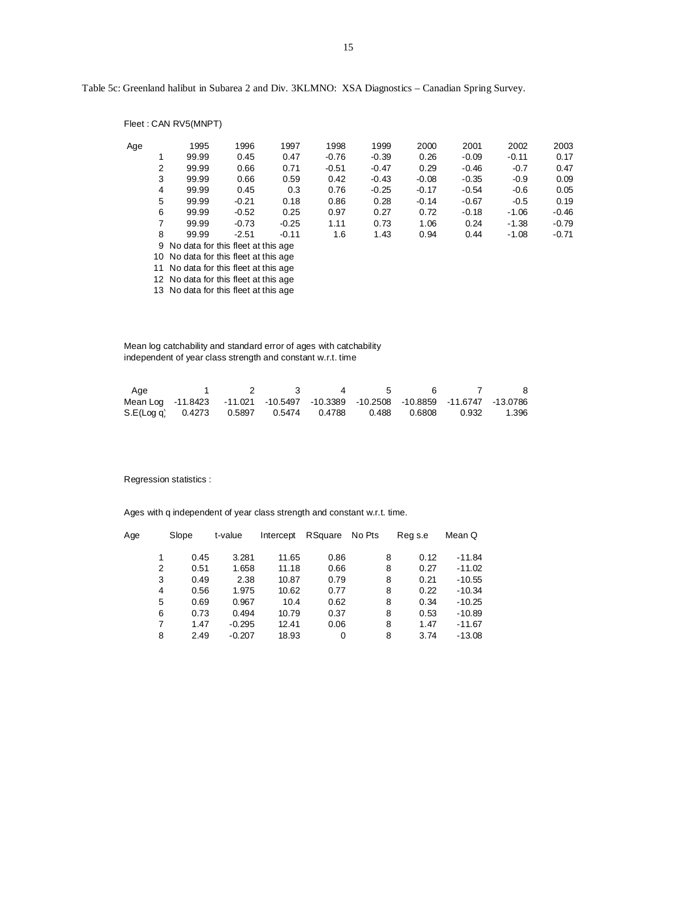Table 5c: Greenland halibut in Subarea 2 and Div. 3KLMNO: XSA Diagnostics – Canadian Spring Survey.

|     |                | Fleet: CAN RV5(MNPT)                  |         |         |         |         |         |         |         |         |  |  |
|-----|----------------|---------------------------------------|---------|---------|---------|---------|---------|---------|---------|---------|--|--|
| Age |                | 1995                                  | 1996    | 1997    | 1998    | 1999    | 2000    | 2001    | 2002    | 2003    |  |  |
|     | 1              | 99.99                                 | 0.45    | 0.47    | $-0.76$ | $-0.39$ | 0.26    | $-0.09$ | $-0.11$ | 0.17    |  |  |
|     | $\overline{2}$ | 99.99                                 | 0.66    | 0.71    | $-0.51$ | $-0.47$ | 0.29    | $-0.46$ | $-0.7$  | 0.47    |  |  |
|     | 3              | 99.99                                 | 0.66    | 0.59    | 0.42    | $-0.43$ | $-0.08$ | $-0.35$ | $-0.9$  | 0.09    |  |  |
|     | 4              | 99.99                                 | 0.45    | 0.3     | 0.76    | $-0.25$ | $-0.17$ | $-0.54$ | $-0.6$  | 0.05    |  |  |
|     | 5              | 99.99                                 | $-0.21$ | 0.18    | 0.86    | 0.28    | $-0.14$ | $-0.67$ | $-0.5$  | 0.19    |  |  |
|     | 6              | 99.99                                 | $-0.52$ | 0.25    | 0.97    | 0.27    | 0.72    | $-0.18$ | $-1.06$ | $-0.46$ |  |  |
|     | 7              | 99.99                                 | $-0.73$ | $-0.25$ | 1.11    | 0.73    | 1.06    | 0.24    | $-1.38$ | $-0.79$ |  |  |
|     | 8              | 99.99                                 | $-2.51$ | $-0.11$ | 1.6     | 1.43    | 0.94    | 0.44    | $-1.08$ | $-0.71$ |  |  |
|     |                | 9 No data for this fleet at this age  |         |         |         |         |         |         |         |         |  |  |
|     |                | 10 No data for this fleet at this age |         |         |         |         |         |         |         |         |  |  |
|     |                | 11 No data for this fleet at this age |         |         |         |         |         |         |         |         |  |  |
|     |                | 12 No data for this fleet at this age |         |         |         |         |         |         |         |         |  |  |

13 No data for this fleet at this age

 Mean log catchability and standard error of ages with catchability independent of year class strength and constant w.r.t. time

| Age                                                                             |  | $\overline{4}$ | 5 |  | -8 |
|---------------------------------------------------------------------------------|--|----------------|---|--|----|
| Mean Log -11.8423 -11.021 -10.5497 -10.3389 -10.2508 -10.8859 -11.6747 -13.0786 |  |                |   |  |    |
| S.E(Log q) 0.4273 0.5897 0.5474 0.4788 0.488 0.6808 0.932 1.396                 |  |                |   |  |    |

Regression statistics :

Ages with q independent of year class strength and constant w.r.t. time.

| Age | Slope | t-value  | Intercept | RSquare | No Pts | Reg s.e | Mean Q   |
|-----|-------|----------|-----------|---------|--------|---------|----------|
|     | 0.45  | 3.281    | 11.65     | 0.86    | 8      | 0.12    | $-11.84$ |
| 2   | 0.51  | 1.658    | 11.18     | 0.66    | 8      | 0.27    | $-11.02$ |
| 3   | 0.49  | 2.38     | 10.87     | 0.79    | 8      | 0.21    | $-10.55$ |
| 4   | 0.56  | 1.975    | 10.62     | 0.77    | 8      | 0.22    | $-10.34$ |
| 5   | 0.69  | 0.967    | 10.4      | 0.62    | 8      | 0.34    | $-10.25$ |
| 6   | 0.73  | 0.494    | 10.79     | 0.37    | 8      | 0.53    | $-10.89$ |
| 7   | 1.47  | $-0.295$ | 12.41     | 0.06    | 8      | 1.47    | $-11.67$ |
| 8   | 2.49  | $-0.207$ | 18.93     | 0       | 8      | 3.74    | $-13.08$ |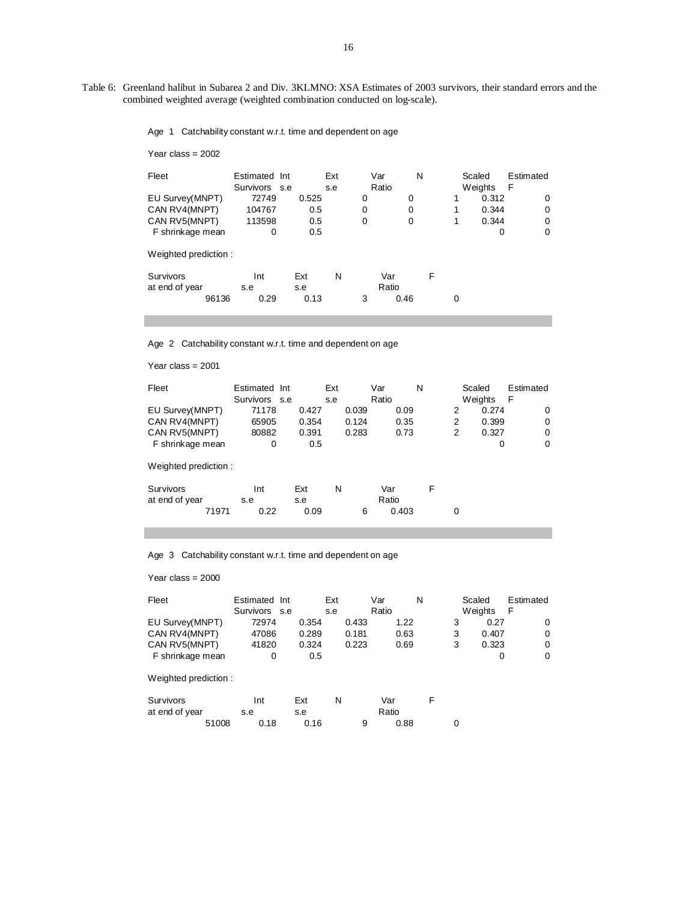Table 6: Greenland halibut in Subarea 2 and Div. 3KLMNO: XSA Estimates of 2003 survivors, their standard errors and the combined weighted average (weighted combination conducted on log-scale).

16

Age 1 Catchability constant w.r.t. time and dependent on age

Year class = 2002

| Fleet                              | Estimated Int<br>Survivors s.e |            | Ext<br>s.e | Var<br>Ratio | N            |          | Scaled<br>Weights | Estimated<br>F |
|------------------------------------|--------------------------------|------------|------------|--------------|--------------|----------|-------------------|----------------|
| EU Survey(MNPT)                    | 72749                          | 0.525      |            | 0            | 0            | 1        | 0.312             | $\Omega$       |
| CAN RV4(MNPT)                      | 104767                         | 0.5        |            | 0            | 0            | 1        | 0.344             | 0              |
| CAN RV5(MNPT)                      | 113598                         | 0.5        |            | 0            | 0            | 1        | 0.344             | 0              |
| F shrinkage mean                   | 0                              | 0.5        |            |              |              |          | 0                 | 0              |
| Weighted prediction:               |                                |            |            |              |              |          |                   |                |
| <b>Survivors</b><br>at end of year | Int<br>s.e                     | Ext<br>s.e | N          |              | Var<br>Ratio | F        |                   |                |
| 96136                              | 0.29                           | 0.13       |            | 3            | 0.46         | $\Omega$ |                   |                |

Age 2 Catchability constant w.r.t. time and dependent on age

Year class = 2001

| Fleet                | Estimated Int |       | Ext   | Var   | N |   | Scaled  | Estimated |
|----------------------|---------------|-------|-------|-------|---|---|---------|-----------|
|                      | Survivors s.e |       | s.e   | Ratio |   |   | Weights | F         |
| EU Survey(MNPT)      | 71178         | 0.427 | 0.039 | 0.09  |   | 2 | 0.274   | 0         |
| CAN RV4(MNPT)        | 65905         | 0.354 | 0.124 | 0.35  |   | 2 | 0.399   | 0         |
| CAN RV5(MNPT)        | 80882         | 0.391 | 0.283 | 0.73  |   | 2 | 0.327   | 0         |
| F shrinkage mean     | 0             | 0.5   |       |       |   |   | 0       | 0         |
| Weighted prediction: |               |       |       |       |   |   |         |           |
| Survivors            | Int           | Ext   | N     | Var   | F |   |         |           |
| at end of year       | s.e           | s.e   |       | Ratio |   |   |         |           |
| 71971                | 0.22          | 0.09  | 6     | 0.403 |   | 0 |         |           |

Age 3 Catchability constant w.r.t. time and dependent on age

Year class = 2000

| Fleet                | Estimated Int<br>Survivors s.e |       | Ext<br>s.e |       | Var<br>Ratio |      | N |   | Scaled<br>Weights | Estimated<br>F |
|----------------------|--------------------------------|-------|------------|-------|--------------|------|---|---|-------------------|----------------|
| EU Survey(MNPT)      | 72974                          | 0.354 |            | 0.433 |              | 1.22 |   | 3 | 0.27              | 0              |
| CAN RV4(MNPT)        | 47086                          | 0.289 |            | 0.181 |              | 0.63 |   | 3 | 0.407             | 0              |
| CAN RV5(MNPT)        | 41820                          | 0.324 |            | 0.223 |              | 0.69 |   | 3 | 0.323             | 0              |
| F shrinkage mean     | 0                              | 0.5   |            |       |              |      |   |   | 0                 | 0              |
| Weighted prediction: |                                |       |            |       |              |      |   |   |                   |                |
| Survivors            | Int                            | Ext   | N          |       | Var          |      | F |   |                   |                |
| at end of year       | s.e                            | s.e   |            |       | Ratio        |      |   |   |                   |                |
| 51008                | 0.18                           | 0.16  |            | 9     |              | 0.88 |   | 0 |                   |                |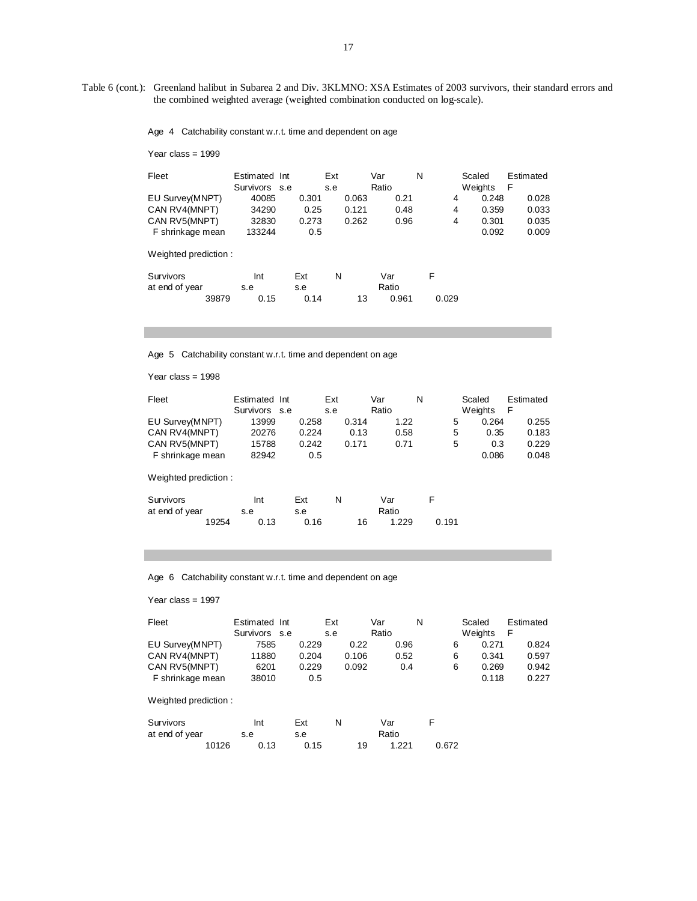Table 6 (cont.): Greenland halibut in Subarea 2 and Div. 3KLMNO: XSA Estimates of 2003 survivors, their standard errors and the combined weighted average (weighted combination conducted on log-scale).

Age 4 Catchability constant w.r.t. time and dependent on age

|  | Year class = $1999$ |  |
|--|---------------------|--|
|--|---------------------|--|

| Fleet                   | Estimated Int |             | Ext |       | Var            | N |       | Scaled  | Estimated |
|-------------------------|---------------|-------------|-----|-------|----------------|---|-------|---------|-----------|
|                         | Survivors s.e |             | s.e |       | Ratio          |   |       | Weights | F         |
| EU Survey(MNPT)         | 40085         | 0.301       |     | 0.063 | 0.21           |   | 4     | 0.248   | 0.028     |
| CAN RV4(MNPT)           | 34290         | 0.25        |     | 0.121 | 0.48           |   | 4     | 0.359   | 0.033     |
| CAN RV5(MNPT)           | 32830         | 0.273       |     | 0.262 | 0.96           |   | 4     | 0.301   | 0.035     |
| F shrinkage mean        | 133244        | 0.5         |     |       |                |   |       | 0.092   | 0.009     |
| Weighted prediction:    |               |             |     |       |                |   |       |         |           |
| Survivors               | Int           | Ext         | N   |       | Var            | F |       |         |           |
| at end of year<br>39879 | s.e<br>0.15   | s.e<br>0.14 |     | 13    | Ratio<br>0.961 |   | 0.029 |         |           |

Age 5 Catchability constant w.r.t. time and dependent on age

Year class = 1998

| Fleet                | Estimated Int |       | Ext   | Var         | N     | Scaled  | Estimated |
|----------------------|---------------|-------|-------|-------------|-------|---------|-----------|
|                      | Survivors s.e |       | s.e   | Ratio       |       | Weights | F         |
| EU Survey(MNPT)      | 13999         | 0.258 | 0.314 | 1.22        | 5     | 0.264   | 0.255     |
| CAN RV4(MNPT)        | 20276         | 0.224 | 0.13  | 0.58        | 5     | 0.35    | 0.183     |
| CAN RV5(MNPT)        | 15788         | 0.242 | 0.171 | 0.71        | 5     | 0.3     | 0.229     |
| F shrinkage mean     | 82942         | 0.5   |       |             |       | 0.086   | 0.048     |
| Weighted prediction: |               |       |       |             |       |         |           |
| Survivors            | Int           | Ext   | N     | Var         | F     |         |           |
| at end of year       | s.e           | s.e   |       | Ratio       |       |         |           |
| 19254                | 0.13          | 0.16  |       | 16<br>1.229 | 0.191 |         |           |

Age 6 Catchability constant w.r.t. time and dependent on age

Year class = 1997

| Fleet                | Estimated Int<br>Survivors s.e |       | Ext<br>s.e | Var<br>Ratio | N | Scaled<br>Weights | Estimated<br>F |
|----------------------|--------------------------------|-------|------------|--------------|---|-------------------|----------------|
| EU Survey(MNPT)      | 7585                           | 0.229 | 0.22       | 0.96         | 6 | 0.271             | 0.824          |
| CAN RV4(MNPT)        | 11880                          | 0.204 | 0.106      | 0.52         | 6 | 0.341             | 0.597          |
| CAN RV5(MNPT)        | 6201                           | 0.229 | 0.092      | 0.4          | 6 | 0.269             | 0.942          |
| F shrinkage mean     | 38010                          | 0.5   |            |              |   | 0.118             | 0.227          |
| Weighted prediction: |                                |       |            |              |   |                   |                |

| Survivors      |       | Int  | Ext  |    | Var   |       |  |
|----------------|-------|------|------|----|-------|-------|--|
| at end of year |       | s.e  | s.e  |    | Ratio |       |  |
|                | 10126 | 0.13 | 0.15 | 19 | 1.221 | 0.672 |  |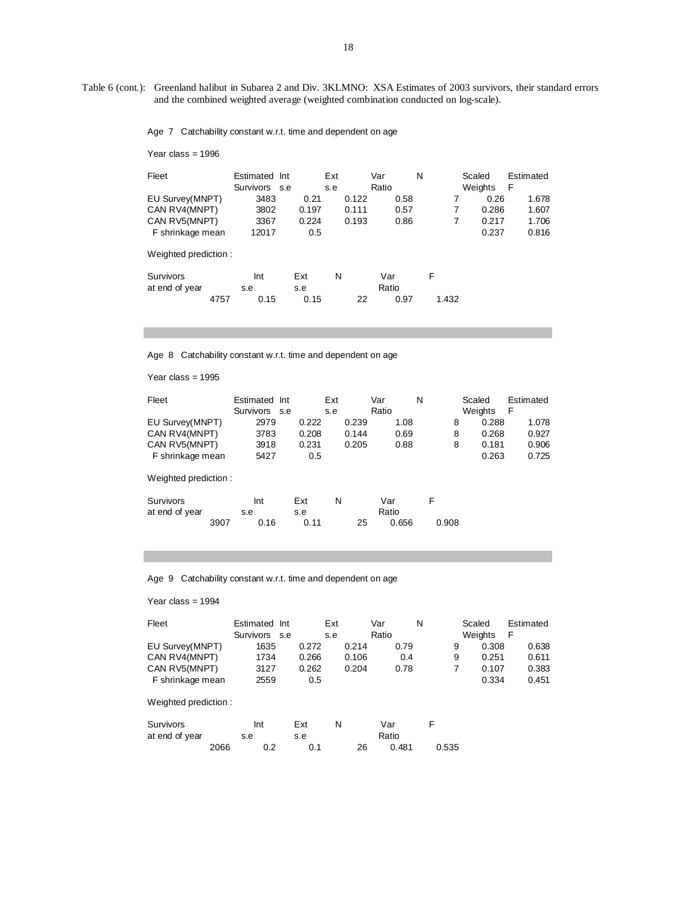Table 6 (cont.): Greenland halibut in Subarea 2 and Div. 3KLMNO: XSA Estimates of 2003 survivors, their standard errors and the combined weighted average (weighted combination conducted on log-scale).

Age 7 Catchability constant w.r.t. time and dependent on age

Year class = 1996

| Fleet                                                                 | Estimated Int<br>Survivors s.e |                               | Ext<br>s.e              | Var<br>Ratio         | N           | Scaled<br>Weights               | Estimated<br>F                   |
|-----------------------------------------------------------------------|--------------------------------|-------------------------------|-------------------------|----------------------|-------------|---------------------------------|----------------------------------|
| EU Survey(MNPT)<br>CAN RV4(MNPT)<br>CAN RV5(MNPT)<br>F shrinkage mean | 3483<br>3802<br>3367<br>12017  | 0.21<br>0.197<br>0.224<br>0.5 | 0.122<br>0.111<br>0.193 | 0.58<br>0.57<br>0.86 | 7<br>7<br>7 | 0.26<br>0.286<br>0.217<br>0.237 | 1.678<br>1.607<br>1.706<br>0.816 |
| Weighted prediction:                                                  |                                |                               |                         |                      |             |                                 |                                  |
| <b>Survivors</b><br>at end of year<br>4757                            | Int<br>s.e<br>0.15             | Ext<br>s.e<br>0.15            | N<br>22                 | Var<br>Ratio<br>0.97 | F<br>1.432  |                                 |                                  |

Age 8 Catchability constant w.r.t. time and dependent on age

Year class = 1995

| Fleet                | Estimated Int |       | Ext   | Var   | N     | Scaled  | Estimated |
|----------------------|---------------|-------|-------|-------|-------|---------|-----------|
|                      | Survivors s.e |       | s.e   | Ratio |       | Weights | F         |
| EU Survey(MNPT)      | 2979          | 0.222 | 0.239 | 1.08  | 8     | 0.288   | 1.078     |
| CAN RV4(MNPT)        | 3783          | 0.208 | 0.144 | 0.69  | 8     | 0.268   | 0.927     |
| CAN RV5(MNPT)        | 3918          | 0.231 | 0.205 | 0.88  | 8     | 0.181   | 0.906     |
| F shrinkage mean     | 5427          | 0.5   |       |       |       | 0.263   | 0.725     |
| Weighted prediction: |               |       |       |       |       |         |           |
| Survivors            | Int           | Ext   | N     | Var   | F     |         |           |
| at end of year       | s.e           | s.e   |       | Ratio |       |         |           |
| 3907                 | 0.16          | 0.11  | 25    | 0.656 | 0.908 |         |           |

Age 9 Catchability constant w.r.t. time and dependent on age

Year class = 1994

| Fleet            | Estimated Int | Ext   | Var   | N    |   | Scaled  | Estimated |
|------------------|---------------|-------|-------|------|---|---------|-----------|
|                  | Survivors s.e | s.e   | Ratio |      |   | Weights |           |
| EU Survey(MNPT)  | 1635          | 0.272 | 0.214 | 0.79 | 9 | 0.308   | 0.638     |
| CAN RV4(MNPT)    | 1734          | 0.266 | 0.106 | 0.4  | 9 | 0.251   | 0.611     |
| CAN RV5(MNPT)    | 3127          | 0.262 | 0.204 | 0.78 |   | 0.107   | 0.383     |
| F shrinkage mean | 2559          | 0.5   |       |      |   | 0.334   | 0.451     |

Weighted prediction :

| Survivors      |      | Int | Ext |    | Var   |       |
|----------------|------|-----|-----|----|-------|-------|
| at end of year |      | s.e | s.e |    | Ratio |       |
|                | 2066 |     | 0.1 | 26 | 0.481 | 0.535 |

18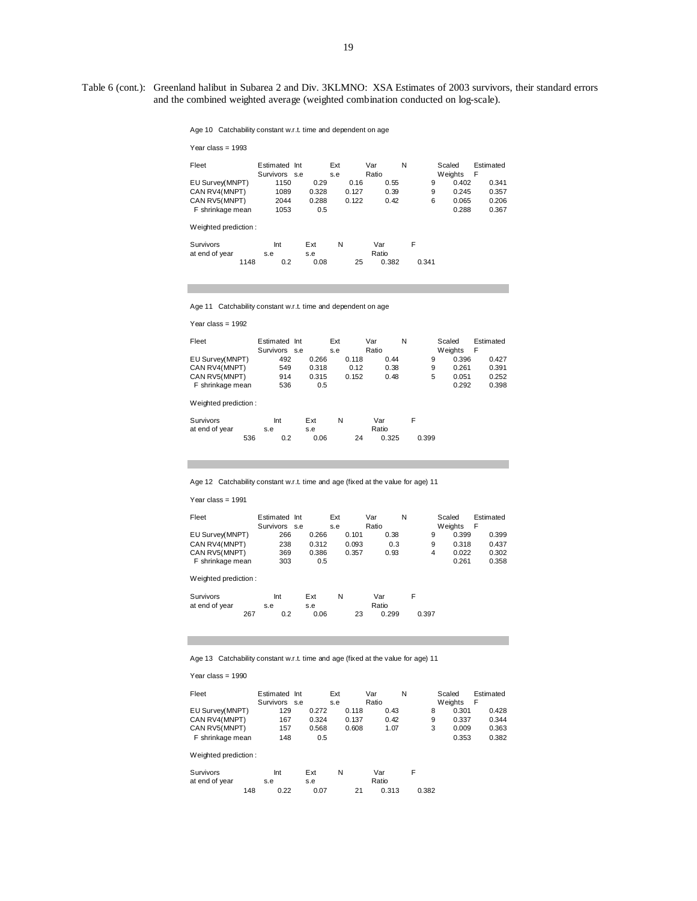Table 6 (cont.): Greenland halibut in Subarea 2 and Div. 3KLMNO: XSA Estimates of 2003 survivors, their standard errors and the combined weighted average (weighted combination conducted on log-scale).

Age 10 Catchability constant w.r.t. time and dependent on age

| Year class = $1993$  |               |       |     |       |       |       |   |       |         |           |
|----------------------|---------------|-------|-----|-------|-------|-------|---|-------|---------|-----------|
| Fleet                | Estimated Int |       | Ext |       | Var   |       | N |       | Scaled  | Estimated |
|                      | Survivors s.e |       | s.e |       | Ratio |       |   |       | Weights | F         |
| EU Survey(MNPT)      | 1150          | 0.29  |     | 0.16  |       | 0.55  |   | 9     | 0.402   | 0.341     |
| CAN RV4(MNPT)        | 1089          | 0.328 |     | 0.127 |       | 0.39  |   | 9     | 0.245   | 0.357     |
| CAN RV5(MNPT)        | 2044          | 0.288 |     | 0.122 |       | 0.42  |   | 6     | 0.065   | 0.206     |
| F shrinkage mean     | 1053          |       | 0.5 |       |       |       |   |       | 0.288   | 0.367     |
| Weighted prediction: |               |       |     |       |       |       |   |       |         |           |
| Survivors            | Int           | Ext   | N   |       | Var   |       | F |       |         |           |
| at end of year       | s.e           | s.e   |     |       | Ratio |       |   |       |         |           |
| 1148                 | 0.2           | 0.08  |     | 25    |       | 0.382 |   | 0.341 |         |           |

Age 11 Catchability constant w.r.t. time and dependent on age

Year class = 1992

| Fleet                | Estimated Int<br>Survivors s.e |       | Ext<br>s.e |       | Var<br>Ratio |      | N |   | Scaled<br>Weights | F | Estimated |
|----------------------|--------------------------------|-------|------------|-------|--------------|------|---|---|-------------------|---|-----------|
| EU Survey(MNPT)      | 492                            | 0.266 |            | 0.118 |              | 0.44 |   | 9 | 0.396             |   | 0.427     |
| CAN RV4(MNPT)        | 549                            | 0.318 |            | 0.12  |              | 0.38 |   | 9 | 0.261             |   | 0.391     |
| CAN RV5(MNPT)        | 914                            | 0.315 |            | 0.152 |              | 0.48 |   | 5 | 0.051             |   | 0.252     |
| F shrinkage mean     | 536                            | 0.5   |            |       |              |      |   |   | 0.292             |   | 0.398     |
| Weighted prediction: |                                |       |            |       |              |      |   |   |                   |   |           |

| Survivors      |     | Int | Ext  | Ν |    | Var   |       |
|----------------|-----|-----|------|---|----|-------|-------|
| at end of year |     | s.e | s.e  |   |    | Ratio |       |
|                | 536 |     | 0.06 |   | 24 | 0.325 | 0.399 |

Age 12 Catchability constant w.r.t. time and age (fixed at the value for age) 11

Year class = 1991

m.

| Fleet                | Estimated Int<br>Survivors s.e |       | Ext<br>s.e |       | Var<br>Ratio |      | N |   | Scaled<br>Weights | Estimated<br>F |
|----------------------|--------------------------------|-------|------------|-------|--------------|------|---|---|-------------------|----------------|
| EU Survey(MNPT)      | 266                            | 0.266 |            | 0.101 |              | 0.38 |   | 9 | 0.399             | 0.399          |
| CAN RV4(MNPT)        | 238                            | 0.312 |            | 0.093 |              | 0.3  |   | 9 | 0.318             | 0.437          |
| CAN RV5(MNPT)        | 369                            | 0.386 |            | 0.357 |              | 0.93 |   | 4 | 0.022             | 0.302          |
| F shrinkage mean     | 303                            | 0.5   |            |       |              |      |   |   | 0.261             | 0.358          |
| Weighted prediction: |                                |       |            |       |              |      |   |   |                   |                |

| Survivors      |     | Int | Ext  | N |    | Var   |       |
|----------------|-----|-----|------|---|----|-------|-------|
| at end of year | s.e |     | s.e  |   |    | Ratio |       |
|                | 267 | 0.2 | 0.06 |   | 23 | 0.299 | 0.397 |

Age 13 Catchability constant w.r.t. time and age (fixed at the value for age) 11

Year class = 1990

| Fleet            | Estimated Int | Ext   |       | Var   | N |   | Scaled  | Estimated |
|------------------|---------------|-------|-------|-------|---|---|---------|-----------|
|                  | Survivors s.e | s.e   |       | Ratio |   |   | Weights | F         |
| EU Survey(MNPT)  | 129           | 0.272 | 0.118 | 0.43  |   |   | 0.301   | 0.428     |
| CAN RV4(MNPT)    | 167           | 0.324 | 0.137 | 0.42  |   | 9 | 0.337   | 0.344     |
| CAN RV5(MNPT)    | 157           | 0.568 | 0.608 | 1.07  |   | 3 | 0.009   | 0.363     |
| F shrinkage mean | 148           | 0.5   |       |       |   |   | 0.353   | 0.382     |

Weighted prediction :

| Survivors      |     | Int  | Ext  |       | Var   |       |
|----------------|-----|------|------|-------|-------|-------|
| at end of year |     | s.e  |      | Ratio |       |       |
|                | 148 | 0.22 | 0.07 | 21    | 0.313 | 0.382 |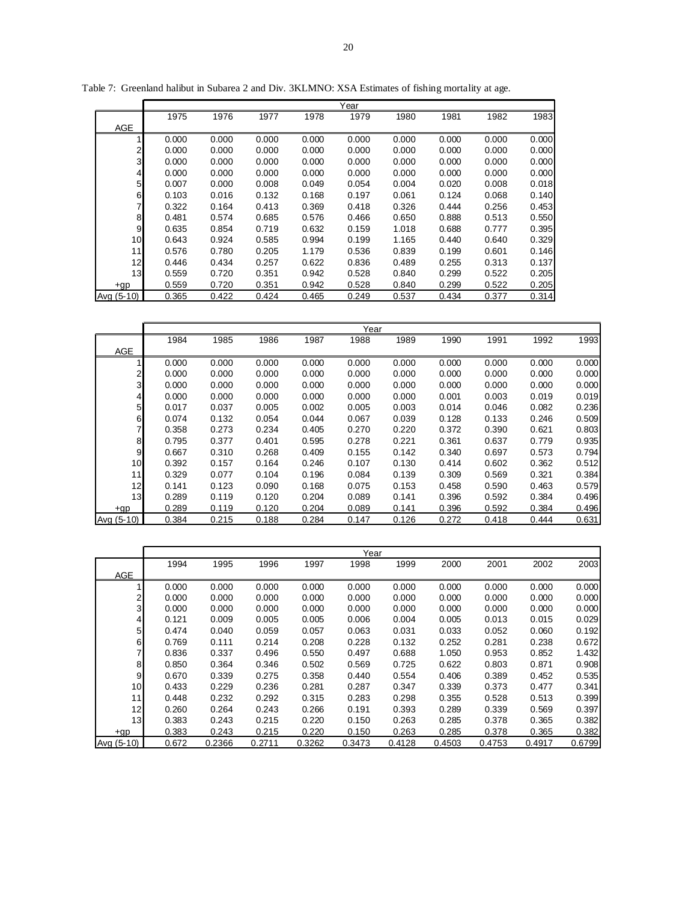|                |       |       |       |       | Year  |       |       |       |       |
|----------------|-------|-------|-------|-------|-------|-------|-------|-------|-------|
|                | 1975  | 1976  | 1977  | 1978  | 1979  | 1980  | 1981  | 1982  | 1983  |
| <b>AGE</b>     |       |       |       |       |       |       |       |       |       |
|                | 0.000 | 0.000 | 0.000 | 0.000 | 0.000 | 0.000 | 0.000 | 0.000 | 0.000 |
| 2              | 0.000 | 0.000 | 0.000 | 0.000 | 0.000 | 0.000 | 0.000 | 0.000 | 0.000 |
| 3              | 0.000 | 0.000 | 0.000 | 0.000 | 0.000 | 0.000 | 0.000 | 0.000 | 0.000 |
| $\overline{4}$ | 0.000 | 0.000 | 0.000 | 0.000 | 0.000 | 0.000 | 0.000 | 0.000 | 0.000 |
| 5              | 0.007 | 0.000 | 0.008 | 0.049 | 0.054 | 0.004 | 0.020 | 0.008 | 0.018 |
| 6              | 0.103 | 0.016 | 0.132 | 0.168 | 0.197 | 0.061 | 0.124 | 0.068 | 0.140 |
| 7              | 0.322 | 0.164 | 0.413 | 0.369 | 0.418 | 0.326 | 0.444 | 0.256 | 0.453 |
| 8              | 0.481 | 0.574 | 0.685 | 0.576 | 0.466 | 0.650 | 0.888 | 0.513 | 0.550 |
| 9              | 0.635 | 0.854 | 0.719 | 0.632 | 0.159 | 1.018 | 0.688 | 0.777 | 0.395 |
| 10             | 0.643 | 0.924 | 0.585 | 0.994 | 0.199 | 1.165 | 0.440 | 0.640 | 0.329 |
| 11             | 0.576 | 0.780 | 0.205 | 1.179 | 0.536 | 0.839 | 0.199 | 0.601 | 0.146 |
| 12             | 0.446 | 0.434 | 0.257 | 0.622 | 0.836 | 0.489 | 0.255 | 0.313 | 0.137 |
| 13             | 0.559 | 0.720 | 0.351 | 0.942 | 0.528 | 0.840 | 0.299 | 0.522 | 0.205 |
| $+qp$          | 0.559 | 0.720 | 0.351 | 0.942 | 0.528 | 0.840 | 0.299 | 0.522 | 0.205 |
| Avg (5-10)     | 0.365 | 0.422 | 0.424 | 0.465 | 0.249 | 0.537 | 0.434 | 0.377 | 0.314 |

Table 7: Greenland halibut in Subarea 2 and Div. 3KLMNO: XSA Estimates of fishing mortality at age.

|            | Year  |       |       |       |       |       |       |       |       |       |  |  |
|------------|-------|-------|-------|-------|-------|-------|-------|-------|-------|-------|--|--|
|            | 1984  | 1985  | 1986  | 1987  | 1988  | 1989  | 1990  | 1991  | 1992  | 1993  |  |  |
| <b>AGE</b> |       |       |       |       |       |       |       |       |       |       |  |  |
|            | 0.000 | 0.000 | 0.000 | 0.000 | 0.000 | 0.000 | 0.000 | 0.000 | 0.000 | 0.000 |  |  |
| 2          | 0.000 | 0.000 | 0.000 | 0.000 | 0.000 | 0.000 | 0.000 | 0.000 | 0.000 | 0.000 |  |  |
| 3          | 0.000 | 0.000 | 0.000 | 0.000 | 0.000 | 0.000 | 0.000 | 0.000 | 0.000 | 0.000 |  |  |
| 4          | 0.000 | 0.000 | 0.000 | 0.000 | 0.000 | 0.000 | 0.001 | 0.003 | 0.019 | 0.019 |  |  |
| 5          | 0.017 | 0.037 | 0.005 | 0.002 | 0.005 | 0.003 | 0.014 | 0.046 | 0.082 | 0.236 |  |  |
| 6          | 0.074 | 0.132 | 0.054 | 0.044 | 0.067 | 0.039 | 0.128 | 0.133 | 0.246 | 0.509 |  |  |
|            | 0.358 | 0.273 | 0.234 | 0.405 | 0.270 | 0.220 | 0.372 | 0.390 | 0.621 | 0.803 |  |  |
| 8          | 0.795 | 0.377 | 0.401 | 0.595 | 0.278 | 0.221 | 0.361 | 0.637 | 0.779 | 0.935 |  |  |
| 9          | 0.667 | 0.310 | 0.268 | 0.409 | 0.155 | 0.142 | 0.340 | 0.697 | 0.573 | 0.794 |  |  |
| 10         | 0.392 | 0.157 | 0.164 | 0.246 | 0.107 | 0.130 | 0.414 | 0.602 | 0.362 | 0.512 |  |  |
| 11         | 0.329 | 0.077 | 0.104 | 0.196 | 0.084 | 0.139 | 0.309 | 0.569 | 0.321 | 0.384 |  |  |
| 12         | 0.141 | 0.123 | 0.090 | 0.168 | 0.075 | 0.153 | 0.458 | 0.590 | 0.463 | 0.579 |  |  |
| 13         | 0.289 | 0.119 | 0.120 | 0.204 | 0.089 | 0.141 | 0.396 | 0.592 | 0.384 | 0.496 |  |  |
| $+qp$      | 0.289 | 0.119 | 0.120 | 0.204 | 0.089 | 0.141 | 0.396 | 0.592 | 0.384 | 0.496 |  |  |
| Avg (5-10) | 0.384 | 0.215 | 0.188 | 0.284 | 0.147 | 0.126 | 0.272 | 0.418 | 0.444 | 0.631 |  |  |

|            | Year  |        |        |        |        |        |        |        |        |        |  |  |  |
|------------|-------|--------|--------|--------|--------|--------|--------|--------|--------|--------|--|--|--|
|            | 1994  | 1995   | 1996   | 1997   | 1998   | 1999   | 2000   | 2001   | 2002   | 2003   |  |  |  |
| <b>AGE</b> |       |        |        |        |        |        |        |        |        |        |  |  |  |
|            | 0.000 | 0.000  | 0.000  | 0.000  | 0.000  | 0.000  | 0.000  | 0.000  | 0.000  | 0.000  |  |  |  |
| 2          | 0.000 | 0.000  | 0.000  | 0.000  | 0.000  | 0.000  | 0.000  | 0.000  | 0.000  | 0.000  |  |  |  |
| 3          | 0.000 | 0.000  | 0.000  | 0.000  | 0.000  | 0.000  | 0.000  | 0.000  | 0.000  | 0.000  |  |  |  |
| 4          | 0.121 | 0.009  | 0.005  | 0.005  | 0.006  | 0.004  | 0.005  | 0.013  | 0.015  | 0.029  |  |  |  |
| 5          | 0.474 | 0.040  | 0.059  | 0.057  | 0.063  | 0.031  | 0.033  | 0.052  | 0.060  | 0.192  |  |  |  |
| 6          | 0.769 | 0.111  | 0.214  | 0.208  | 0.228  | 0.132  | 0.252  | 0.281  | 0.238  | 0.672  |  |  |  |
| 7          | 0.836 | 0.337  | 0.496  | 0.550  | 0.497  | 0.688  | 1.050  | 0.953  | 0.852  | 1.432  |  |  |  |
| 8          | 0.850 | 0.364  | 0.346  | 0.502  | 0.569  | 0.725  | 0.622  | 0.803  | 0.871  | 0.908  |  |  |  |
| 9          | 0.670 | 0.339  | 0.275  | 0.358  | 0.440  | 0.554  | 0.406  | 0.389  | 0.452  | 0.535  |  |  |  |
| 10         | 0.433 | 0.229  | 0.236  | 0.281  | 0.287  | 0.347  | 0.339  | 0.373  | 0.477  | 0.341  |  |  |  |
| 11         | 0.448 | 0.232  | 0.292  | 0.315  | 0.283  | 0.298  | 0.355  | 0.528  | 0.513  | 0.399  |  |  |  |
| 12         | 0.260 | 0.264  | 0.243  | 0.266  | 0.191  | 0.393  | 0.289  | 0.339  | 0.569  | 0.397  |  |  |  |
| 13         | 0.383 | 0.243  | 0.215  | 0.220  | 0.150  | 0.263  | 0.285  | 0.378  | 0.365  | 0.382  |  |  |  |
| $+qp$      | 0.383 | 0.243  | 0.215  | 0.220  | 0.150  | 0.263  | 0.285  | 0.378  | 0.365  | 0.382  |  |  |  |
| Avg (5-10) | 0.672 | 0.2366 | 0.2711 | 0.3262 | 0.3473 | 0.4128 | 0.4503 | 0.4753 | 0.4917 | 0.6799 |  |  |  |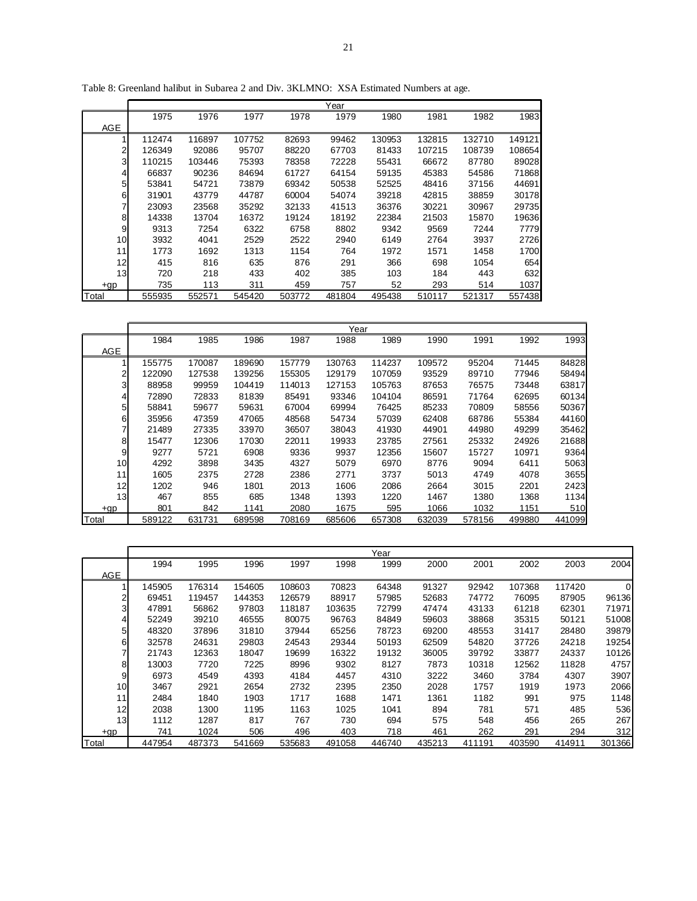|                 |        |        |        |        | Year   |        |        |        |        |
|-----------------|--------|--------|--------|--------|--------|--------|--------|--------|--------|
|                 | 1975   | 1976   | 1977   | 1978   | 1979   | 1980   | 1981   | 1982   | 1983   |
| AGE             |        |        |        |        |        |        |        |        |        |
|                 | 112474 | 116897 | 107752 | 82693  | 99462  | 130953 | 132815 | 132710 | 149121 |
| $\overline{2}$  | 126349 | 92086  | 95707  | 88220  | 67703  | 81433  | 107215 | 108739 | 108654 |
| 3               | 110215 | 103446 | 75393  | 78358  | 72228  | 55431  | 66672  | 87780  | 89028  |
| 41              | 66837  | 90236  | 84694  | 61727  | 64154  | 59135  | 45383  | 54586  | 71868  |
| 5 <sub>l</sub>  | 53841  | 54721  | 73879  | 69342  | 50538  | 52525  | 48416  | 37156  | 44691  |
| 6               | 31901  | 43779  | 44787  | 60004  | 54074  | 39218  | 42815  | 38859  | 30178  |
| 7               | 23093  | 23568  | 35292  | 32133  | 41513  | 36376  | 30221  | 30967  | 29735  |
| 8 <sub>l</sub>  | 14338  | 13704  | 16372  | 19124  | 18192  | 22384  | 21503  | 15870  | 19636  |
| 9               | 9313   | 7254   | 6322   | 6758   | 8802   | 9342   | 9569   | 7244   | 7779   |
| 10 <sup>1</sup> | 3932   | 4041   | 2529   | 2522   | 2940   | 6149   | 2764   | 3937   | 2726   |
| 11              | 1773   | 1692   | 1313   | 1154   | 764    | 1972   | 1571   | 1458   | 1700   |
| 12              | 415    | 816    | 635    | 876    | 291    | 366    | 698    | 1054   | 654    |
| 13              | 720    | 218    | 433    | 402    | 385    | 103    | 184    | 443    | 632    |
| $+qp$           | 735    | 113    | 311    | 459    | 757    | 52     | 293    | 514    | 1037   |
| Total           | 555935 | 552571 | 545420 | 503772 | 481804 | 495438 | 510117 | 521317 | 557438 |

Table 8: Greenland halibut in Subarea 2 and Div. 3KLMNO: XSA Estimated Numbers at age.

|                |        |        |        |        | Year   |        |        |        |        |        |
|----------------|--------|--------|--------|--------|--------|--------|--------|--------|--------|--------|
|                | 1984   | 1985   | 1986   | 1987   | 1988   | 1989   | 1990   | 1991   | 1992   | 1993   |
| <b>AGE</b>     |        |        |        |        |        |        |        |        |        |        |
| 4              | 155775 | 170087 | 189690 | 157779 | 130763 | 114237 | 109572 | 95204  | 71445  | 84828  |
| $\overline{2}$ | 122090 | 127538 | 139256 | 155305 | 129179 | 107059 | 93529  | 89710  | 77946  | 58494  |
| 3              | 88958  | 99959  | 104419 | 114013 | 127153 | 105763 | 87653  | 76575  | 73448  | 63817  |
| 41             | 72890  | 72833  | 81839  | 85491  | 93346  | 104104 | 86591  | 71764  | 62695  | 60134  |
| 5              | 58841  | 59677  | 59631  | 67004  | 69994  | 76425  | 85233  | 70809  | 58556  | 50367  |
| 61             | 35956  | 47359  | 47065  | 48568  | 54734  | 57039  | 62408  | 68786  | 55384  | 44160  |
| 7              | 21489  | 27335  | 33970  | 36507  | 38043  | 41930  | 44901  | 44980  | 49299  | 35462  |
| 8              | 15477  | 12306  | 17030  | 22011  | 19933  | 23785  | 27561  | 25332  | 24926  | 21688  |
| 9              | 9277   | 5721   | 6908   | 9336   | 9937   | 12356  | 15607  | 15727  | 10971  | 9364   |
| 10             | 4292   | 3898   | 3435   | 4327   | 5079   | 6970   | 8776   | 9094   | 6411   | 5063   |
| 11             | 1605   | 2375   | 2728   | 2386   | 2771   | 3737   | 5013   | 4749   | 4078   | 3655   |
| 12             | 1202   | 946    | 1801   | 2013   | 1606   | 2086   | 2664   | 3015   | 2201   | 2423   |
| 13             | 467    | 855    | 685    | 1348   | 1393   | 1220   | 1467   | 1380   | 1368   | 1134   |
| $+qp$          | 801    | 842    | 1141   | 2080   | 1675   | 595    | 1066   | 1032   | 1151   | 510    |
| Total          | 589122 | 631731 | 689598 | 708169 | 685606 | 657308 | 632039 | 578156 | 499880 | 441099 |

|                |        |        |        |        |        | Year   |        |        |        |        |        |
|----------------|--------|--------|--------|--------|--------|--------|--------|--------|--------|--------|--------|
|                | 1994   | 1995   | 1996   | 1997   | 1998   | 1999   | 2000   | 2001   | 2002   | 2003   | 2004   |
| <b>AGE</b>     |        |        |        |        |        |        |        |        |        |        |        |
|                | 145905 | 176314 | 154605 | 108603 | 70823  | 64348  | 91327  | 92942  | 107368 | 117420 |        |
| 2              | 69451  | 119457 | 144353 | 126579 | 88917  | 57985  | 52683  | 74772  | 76095  | 87905  | 96136  |
| 3              | 47891  | 56862  | 97803  | 118187 | 103635 | 72799  | 47474  | 43133  | 61218  | 62301  | 71971  |
| 4              | 52249  | 39210  | 46555  | 80075  | 96763  | 84849  | 59603  | 38868  | 35315  | 50121  | 51008  |
| 5 <sup>1</sup> | 48320  | 37896  | 31810  | 37944  | 65256  | 78723  | 69200  | 48553  | 31417  | 28480  | 39879  |
| 61             | 32578  | 24631  | 29803  | 24543  | 29344  | 50193  | 62509  | 54820  | 37726  | 24218  | 19254  |
| 7              | 21743  | 12363  | 18047  | 19699  | 16322  | 19132  | 36005  | 39792  | 33877  | 24337  | 10126  |
| 8              | 13003  | 7720   | 7225   | 8996   | 9302   | 8127   | 7873   | 10318  | 12562  | 11828  | 4757   |
| 9              | 6973   | 4549   | 4393   | 4184   | 4457   | 4310   | 3222   | 3460   | 3784   | 4307   | 3907   |
| 10             | 3467   | 2921   | 2654   | 2732   | 2395   | 2350   | 2028   | 1757   | 1919   | 1973   | 2066   |
| 11             | 2484   | 1840   | 1903   | 1717   | 1688   | 1471   | 1361   | 1182   | 991    | 975    | 1148   |
| 12             | 2038   | 1300   | 1195   | 1163   | 1025   | 1041   | 894    | 781    | 571    | 485    | 536    |
| 13             | 1112   | 1287   | 817    | 767    | 730    | 694    | 575    | 548    | 456    | 265    | 267    |
| $+qp$          | 741    | 1024   | 506    | 496    | 403    | 718    | 461    | 262    | 291    | 294    | 312    |
| Total          | 447954 | 487373 | 541669 | 535683 | 491058 | 446740 | 435213 | 411191 | 403590 | 414911 | 301366 |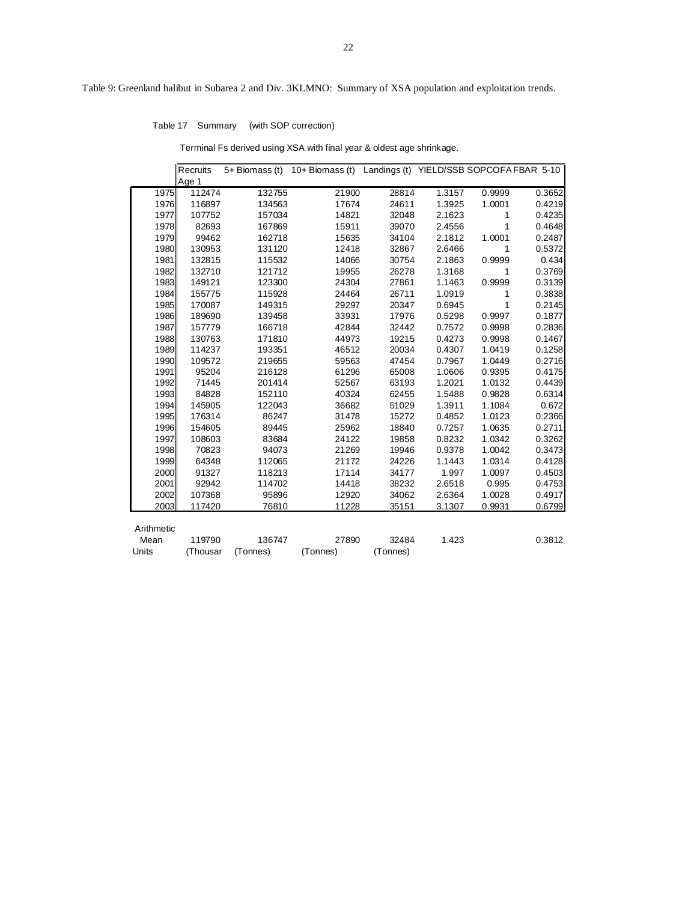Table 17 Summary (with SOP correction)

Terminal Fs derived using XSA with final year & oldest age shrinkage.

|            | Recruits |          | 5+ Biomass (t) 10+ Biomass (t) Landings (t) YIELD/SSB SOPCOFA FBAR 5-10 |          |        |        |        |
|------------|----------|----------|-------------------------------------------------------------------------|----------|--------|--------|--------|
|            | Age 1    |          |                                                                         |          |        |        |        |
| 1975       | 112474   | 132755   | 21900                                                                   | 28814    | 1.3157 | 0.9999 | 0.3652 |
| 1976       | 116897   | 134563   | 17674                                                                   | 24611    | 1.3925 | 1.0001 | 0.4219 |
| 1977       | 107752   | 157034   | 14821                                                                   | 32048    | 2.1623 | 1      | 0.4235 |
| 1978       | 82693    | 167869   | 15911                                                                   | 39070    | 2.4556 | 1      | 0.4648 |
| 1979       | 99462    | 162718   | 15635                                                                   | 34104    | 2.1812 | 1.0001 | 0.2487 |
| 1980       | 130953   | 131120   | 12418                                                                   | 32867    | 2.6466 | 1      | 0.5372 |
| 1981       | 132815   | 115532   | 14066                                                                   | 30754    | 2.1863 | 0.9999 | 0.434  |
| 1982       | 132710   | 121712   | 19955                                                                   | 26278    | 1.3168 | 1      | 0.3769 |
| 1983       | 149121   | 123300   | 24304                                                                   | 27861    | 1.1463 | 0.9999 | 0.3139 |
| 1984       | 155775   | 115928   | 24464                                                                   | 26711    | 1.0919 | 1      | 0.3838 |
| 1985       | 170087   | 149315   | 29297                                                                   | 20347    | 0.6945 | 1      | 0.2145 |
| 1986       | 189690   | 139458   | 33931                                                                   | 17976    | 0.5298 | 0.9997 | 0.1877 |
| 1987       | 157779   | 166718   | 42844                                                                   | 32442    | 0.7572 | 0.9998 | 0.2836 |
| 1988       | 130763   | 171810   | 44973                                                                   | 19215    | 0.4273 | 0.9998 | 0.1467 |
| 1989       | 114237   | 193351   | 46512                                                                   | 20034    | 0.4307 | 1.0419 | 0.1258 |
| 1990       | 109572   | 219655   | 59563                                                                   | 47454    | 0.7967 | 1.0449 | 0.2716 |
| 1991       | 95204    | 216128   | 61296                                                                   | 65008    | 1.0606 | 0.9395 | 0.4175 |
| 1992       | 71445    | 201414   | 52567                                                                   | 63193    | 1.2021 | 1.0132 | 0.4439 |
| 1993       | 84828    | 152110   | 40324                                                                   | 62455    | 1.5488 | 0.9828 | 0.6314 |
| 1994       | 145905   | 122043   | 36682                                                                   | 51029    | 1.3911 | 1.1084 | 0.672  |
| 1995       | 176314   | 86247    | 31478                                                                   | 15272    | 0.4852 | 1.0123 | 0.2366 |
| 1996       | 154605   | 89445    | 25962                                                                   | 18840    | 0.7257 | 1.0635 | 0.2711 |
| 1997       | 108603   | 83684    | 24122                                                                   | 19858    | 0.8232 | 1.0342 | 0.3262 |
| 1998       | 70823    | 94073    | 21269                                                                   | 19946    | 0.9378 | 1.0042 | 0.3473 |
| 1999       | 64348    | 112065   | 21172                                                                   | 24226    | 1.1443 | 1.0314 | 0.4128 |
| 2000       | 91327    | 118213   | 17114                                                                   | 34177    | 1.997  | 1.0097 | 0.4503 |
| 2001       | 92942    | 114702   | 14418                                                                   | 38232    | 2.6518 | 0.995  | 0.4753 |
| 2002       | 107368   | 95896    | 12920                                                                   | 34062    | 2.6364 | 1.0028 | 0.4917 |
| 2003       | 117420   | 76810    | 11228                                                                   | 35151    | 3.1307 | 0.9931 | 0.6799 |
|            |          |          |                                                                         |          |        |        |        |
| Arithmetic |          |          |                                                                         |          |        |        |        |
| Mean       | 119790   | 136747   | 27890                                                                   | 32484    | 1.423  |        | 0.3812 |
| Units      | (Thousar | (Tonnes) | (Tonnes)                                                                | (Tonnes) |        |        |        |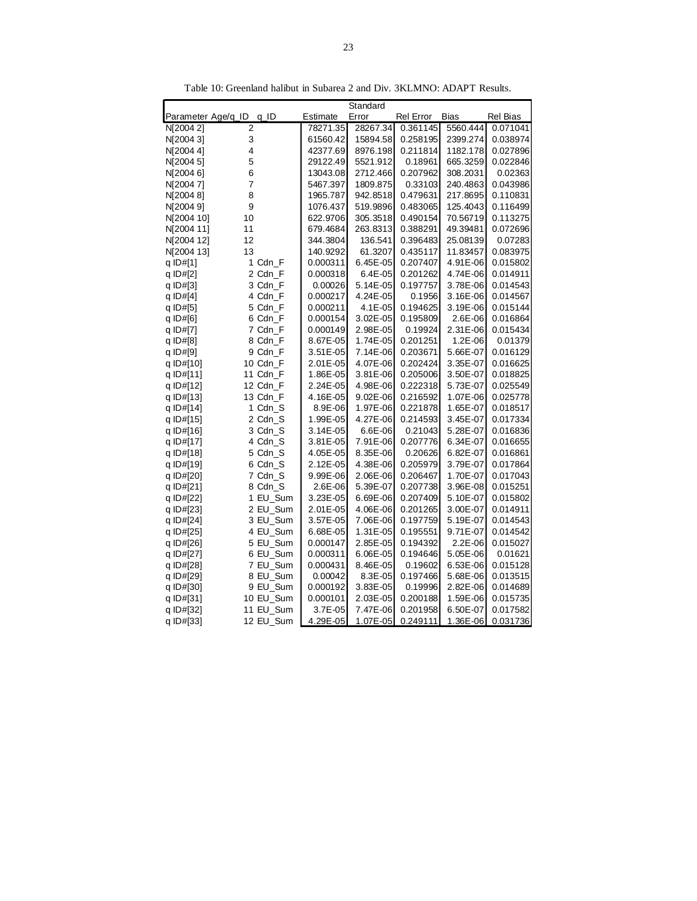|                    |                |          | Standard |           |          |          |
|--------------------|----------------|----------|----------|-----------|----------|----------|
| Parameter Age/q_ID | q_ID           | Estimate | Error    | Rel Error | Bias     | Rel Bias |
| N[2004 2]          | 2              | 78271.35 | 28267.34 | 0.361145  | 5560.444 | 0.071041 |
| N[2004 3]          | 3              | 61560.42 | 15894.58 | 0.258195  | 2399.274 | 0.038974 |
| N[2004 4]          | 4              | 42377.69 | 8976.198 | 0.211814  | 1182.178 | 0.027896 |
| N[2004 5]          | 5              | 29122.49 | 5521.912 | 0.18961   | 665.3259 | 0.022846 |
| N[2004 6]          | 6              | 13043.08 | 2712.466 | 0.207962  | 308.2031 | 0.02363  |
| N[20047]           | $\overline{7}$ | 5467.397 | 1809.875 | 0.33103   | 240.4863 | 0.043986 |
| N[2004 8]          | 8              | 1965.787 | 942.8518 | 0.479631  | 217.8695 | 0.110831 |
| N[20049]           | 9              | 1076.437 | 519.9896 | 0.483065  | 125.4043 | 0.116499 |
| N[2004 10]         | 10             | 622.9706 | 305.3518 | 0.490154  | 70.56719 | 0.113275 |
| N[2004 11]         | 11             | 679.4684 | 263.8313 | 0.388291  | 49.39481 | 0.072696 |
| N[2004 12]         | 12             | 344.3804 | 136.541  | 0.396483  | 25.08139 | 0.07283  |
| N[2004 13]         | 13             | 140.9292 | 61.3207  | 0.435117  | 11.83457 | 0.083975 |
| q ID#[1]           | 1 Cdn F        | 0.000311 | 6.45E-05 | 0.207407  | 4.91E-06 | 0.015802 |
| q ID#[2]           | 2 Cdn_F        | 0.000318 | 6.4E-05  | 0.201262  | 4.74E-06 | 0.014911 |
| q $ID#[3]$         | 3 Cdn_F        | 0.00026  | 5.14E-05 | 0.197757  | 3.78E-06 | 0.014543 |
| q $ID#[4]$         | 4 Cdn_F        | 0.000217 | 4.24E-05 | 0.1956    | 3.16E-06 | 0.014567 |
| q ID#[5]           | 5 Cdn_F        | 0.000211 | 4.1E-05  | 0.194625  | 3.19E-06 | 0.015144 |
| q ID#[6]           | 6 Cdn_F        | 0.000154 | 3.02E-05 | 0.195809  | 2.6E-06  | 0.016864 |
| q ID#[7]           | 7 Cdn_F        | 0.000149 | 2.98E-05 | 0.19924   | 2.31E-06 | 0.015434 |
| q ID#[8]           | 8 Cdn_F        | 8.67E-05 | 1.74E-05 | 0.201251  | 1.2E-06  | 0.01379  |
| q $ID#[9]$         | 9 Cdn_F        | 3.51E-05 | 7.14E-06 | 0.203671  | 5.66E-07 | 0.016129 |
| q ID#[10]          | 10 Cdn_F       | 2.01E-05 | 4.07E-06 | 0.202424  | 3.35E-07 | 0.016625 |
| q ID#[11]          | 11 Cdn_F       | 1.86E-05 | 3.81E-06 | 0.205006  | 3.50E-07 | 0.018825 |
| q ID#[12]          | 12 Cdn_F       | 2.24E-05 | 4.98E-06 | 0.222318  | 5.73E-07 | 0.025549 |
| q ID#[13]          | 13 Cdn F       | 4.16E-05 | 9.02E-06 | 0.216592  | 1.07E-06 | 0.025778 |
| q ID#[14]          | 1 Cdn_S        | 8.9E-06  | 1.97E-06 | 0.221878  | 1.65E-07 | 0.018517 |
| q ID#[15]          | 2 Cdn_S        | 1.99E-05 | 4.27E-06 | 0.214593  | 3.45E-07 | 0.017334 |
| q ID#[16]          | 3 Cdn_S        | 3.14E-05 | 6.6E-06  | 0.21043   | 5.28E-07 | 0.016836 |
| q ID#[17]          | 4 Cdn_S        | 3.81E-05 | 7.91E-06 | 0.207776  | 6.34E-07 | 0.016655 |
| q ID#[18]          | 5 Cdn_S        | 4.05E-05 | 8.35E-06 | 0.20626   | 6.82E-07 | 0.016861 |
| q ID#[19]          | 6 Cdn_S        | 2.12E-05 | 4.38E-06 | 0.205979  | 3.79E-07 | 0.017864 |
| q ID#[20]          | 7 Cdn_S        | 9.99E-06 | 2.06E-06 | 0.206467  | 1.70E-07 | 0.017043 |
| q ID#[21]          | 8 Cdn_S        | 2.6E-06  | 5.39E-07 | 0.207738  | 3.96E-08 | 0.015251 |
| q ID#[22]          | 1 EU_Sum       | 3.23E-05 | 6.69E-06 | 0.207409  | 5.10E-07 | 0.015802 |
| q ID#[23]          | 2 EU_Sum       | 2.01E-05 | 4.06E-06 | 0.201265  | 3.00E-07 | 0.014911 |
| q ID#[24]          | 3 EU_Sum       | 3.57E-05 | 7.06E-06 | 0.197759  | 5.19E-07 | 0.014543 |
| q ID#[25]          | 4 EU_Sum       | 6.68E-05 | 1.31E-05 | 0.195551  | 9.71E-07 | 0.014542 |
| q ID#[26]          | 5 EU_Sum       | 0.000147 | 2.85E-05 | 0.194392  | 2.2E-06  | 0.015027 |
| q ID#[27]          | 6 EU_Sum       | 0.000311 | 6.06E-05 | 0.194646  | 5.05E-06 | 0.01621  |
| q ID#[28]          | 7 EU_Sum       | 0.000431 | 8.46E-05 | 0.19602   | 6.53E-06 | 0.015128 |
| q ID#[29]          | 8 EU_Sum       | 0.00042  | 8.3E-05  | 0.197466  | 5.68E-06 | 0.013515 |
| q ID#[30]          | 9 EU_Sum       | 0.000192 | 3.83E-05 | 0.19996   | 2.82E-06 | 0.014689 |
| q ID#[31]          | 10 EU_Sum      | 0.000101 | 2.03E-05 | 0.200188  | 1.59E-06 | 0.015735 |
| q ID#[32]          | 11 EU_Sum      | 3.7E-05  | 7.47E-06 | 0.201958  | 6.50E-07 | 0.017582 |
| q ID#[33]          | 12 EU_Sum      | 4.29E-05 | 1.07E-05 | 0.249111  | 1.36E-06 | 0.031736 |

Table 10: Greenland halibut in Subarea 2 and Div. 3KLMNO: ADAPT Results.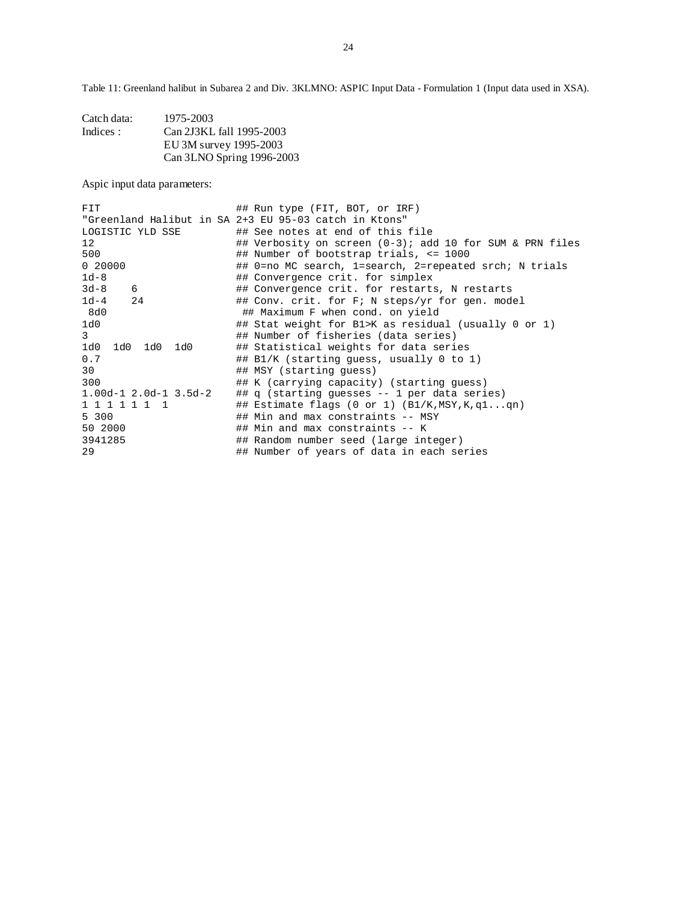Table 11: Greenland halibut in Subarea 2 and Div. 3KLMNO: ASPIC Input Data - Formulation 1 (Input data used in XSA).

| Catch data: | 1975-2003                 |
|-------------|---------------------------|
| Indices:    | Can 2J3KL fall 1995-2003  |
|             | EU 3M survey 1995-2003    |
|             | Can 3LNO Spring 1996-2003 |

Aspic input data parameters:

| <b>FIT</b>                  | ## Run type (FIT, BOT, or IRF)                              |
|-----------------------------|-------------------------------------------------------------|
|                             | "Greenland Halibut in SA 2+3 EU 95-03 catch in Ktons"       |
| LOGISTIC YLD SSE            | ## See notes at end of this file                            |
| 12                          | ## Verbosity on screen $(0-3)$ ; add 10 for SUM & PRN files |
| 500                         | $\#$ # Number of bootstrap trials, <= 1000                  |
| 0 20000                     | ## 0=no MC search, 1=search, 2=repeated srch; N trials      |
| $1d-8$                      | ## Convergence crit. for simplex                            |
| $3d-8$<br>6                 | ## Convergence crit. for restarts, N restarts               |
| $1d-4$<br>24                | ## Conv. crit. for F; N steps/yr for gen. model             |
| 8d0                         | ## Maximum F when cond. on yield                            |
| 1d0                         | ## Stat weight for B1>K as residual (usually 0 or 1)        |
| 3                           | ## Number of fisheries (data series)                        |
| 1d0<br>1d0 1d0 1d0          | ## Statistical weights for data series                      |
| 0.7                         | ## B1/K (starting quess, usually 0 to 1)                    |
| 30                          | ## MSY (starting quess)                                     |
| 300                         | ## K (carrying capacity) (starting guess)                   |
| $1.00d-1$ $2.0d-1$ $3.5d-2$ | ## q (starting quesses -- 1 per data series)                |
| 1 1 1 1 1 1 1               | ## Estimate flags (0 or 1) $(B1/K, MSY, K, q1qn)$           |
| 5 300                       | ## Min and max constraints -- MSY                           |
| 50 2000                     | ## Min and max constraints -- K                             |
| 3941285                     | ## Random number seed (large integer)                       |
| 29                          | ## Number of years of data in each series                   |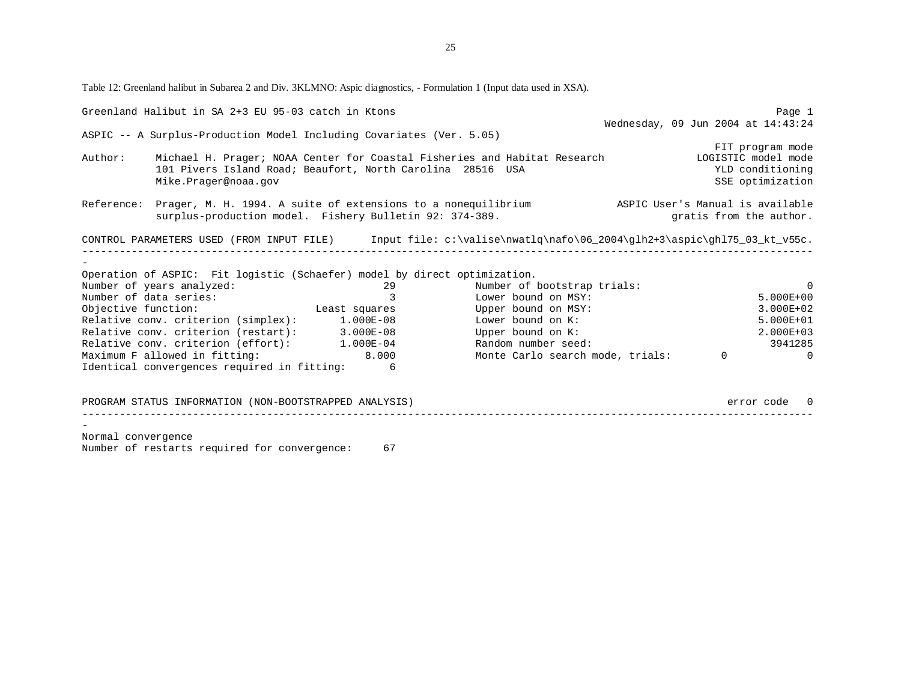Table 12: Greenland halibut in Subarea 2 and Div. 3KLMNO: Aspic diagnostics, - Formulation 1 (Input data used in XSA).

|                    | Greenland Halibut in SA 2+3 EU 95-03 catch in Ktons                                                    |                         |                                                                                                                    | Page 1                                                   |
|--------------------|--------------------------------------------------------------------------------------------------------|-------------------------|--------------------------------------------------------------------------------------------------------------------|----------------------------------------------------------|
|                    |                                                                                                        |                         |                                                                                                                    | Wednesday, 09 Jun 2004 at 14:43:24                       |
|                    | ASPIC -- A Surplus-Production Model Including Covariates (Ver. 5.05)                                   |                         |                                                                                                                    |                                                          |
| Author:            | 101 Pivers Island Road; Beaufort, North Carolina 28516 USA<br>Mike.Prager@noaa.gov                     |                         | Michael H. Prager; NOAA Center for Coastal Fisheries and Habitat Research [1061STIC model mode                     | FIT program mode<br>YLD conditioning<br>SSE optimization |
|                    |                                                                                                        |                         |                                                                                                                    |                                                          |
|                    | surplus-production model. Fishery Bulletin 92: 374-389.                                                |                         | Reference: Prager, M. H. 1994. A suite of extensions to a nonequilibrium ASPIC User's Manual is available          | gratis from the author.                                  |
|                    |                                                                                                        |                         | CONTROL PARAMETERS USED (FROM INPUT FILE) Input file: c:\valise\nwatlq\nafo\06_2004\glh2+3\aspic\ghl75_03_kt_v55c. |                                                          |
|                    |                                                                                                        |                         |                                                                                                                    |                                                          |
|                    |                                                                                                        |                         |                                                                                                                    |                                                          |
|                    | Operation of ASPIC: Fit logistic (Schaefer) model by direct optimization.<br>Number of years analyzed: | 29                      | Number of bootstrap trials:                                                                                        | - 0                                                      |
|                    | Number of data series:                                                                                 | $\overline{\mathbf{3}}$ | Lower bound on MSY:                                                                                                | $5.000E + 00$                                            |
|                    | Objective function: Least squares                                                                      |                         | Upper bound on MSY:                                                                                                | 3.000E+02                                                |
|                    | Relative conv. criterion (simplex): 1.000E-08                                                          |                         | Lower bound on K:                                                                                                  | 5.000E+01                                                |
|                    | Relative conv. criterion (restart): 3.000E-08                                                          |                         | Upper bound on K:                                                                                                  | 2.000E+03                                                |
|                    | Relative conv. criterion (effort): 1.000E-04                                                           |                         | Random number seed:                                                                                                | 3941285                                                  |
|                    | Maximum F allowed in fitting: 8.000                                                                    |                         | Monte Carlo search mode, trials: 0                                                                                 | $\overline{a}$                                           |
|                    | Identical convergences required in fitting: 6                                                          |                         |                                                                                                                    |                                                          |
|                    |                                                                                                        |                         |                                                                                                                    |                                                          |
|                    | PROGRAM STATUS INFORMATION (NON-BOOTSTRAPPED ANALYSIS)                                                 |                         |                                                                                                                    | error code 0                                             |
|                    |                                                                                                        |                         |                                                                                                                    |                                                          |
|                    |                                                                                                        |                         |                                                                                                                    |                                                          |
| Normal convergence |                                                                                                        |                         |                                                                                                                    |                                                          |
|                    | Number of restarts required for convergence:                                                           | 67                      |                                                                                                                    |                                                          |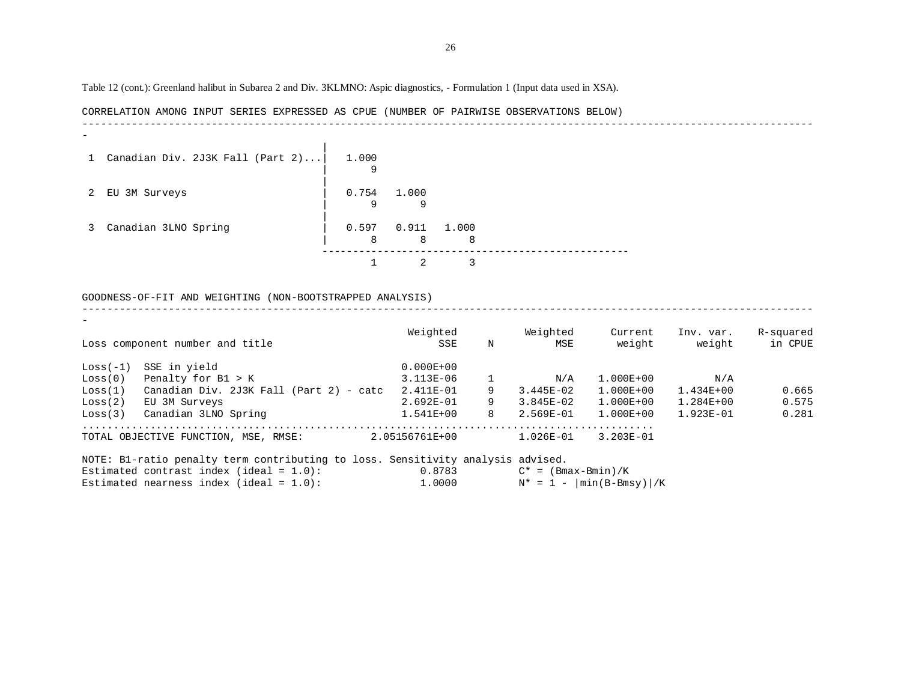Table 12 (cont.): Greenland halibut in Subarea 2 and Div. 3KLMNO: Aspic diagnostics, - Formulation 1 (Input data used in XSA).

CORRELATION AMONG INPUT SERIES EXPRESSED AS CPUE (NUMBER OF PAIRWISE OBSERVATIONS BELOW) ------------------------------------------------------------------------------------------------------------------------ | 1 Canadian Div. 2J3K Fall (Part 2)...| 1.000 | 9 | 2 EU 3M Surveys | 0.754 1.000 | 9 9 | 3 Canadian 3LNO Spring | 0.597 0.911 1.000 | 8 8 8 --------------------------------------------------

#### GOODNESS-OF-FIT AND WEIGHTING (NON-BOOTSTRAPPED ANALYSIS)

1 2 3

|            | Loss component number and title            | Weighted<br>SSE | N | Weighted<br><b>MSE</b> | Current<br>weight | Inv. var.<br>weight | R-squared<br>in CPUE |
|------------|--------------------------------------------|-----------------|---|------------------------|-------------------|---------------------|----------------------|
| $Loss(-1)$ | SSE in yield                               | $0.000E + 00$   |   |                        |                   |                     |                      |
| Loss(0)    | Penalty for $B1 > K$                       | $3.113E-06$     |   | N/A                    | $1.000E + 00$     | N/A                 |                      |
| Loss(1)    | Canadian Div. 2J3K Fall (Part 2) - catc    | 2.411E-01       | 9 | $3.445E - 02$          | $1.000E + 00$     | $1.434E + 00$       | 0.665                |
| Loss(2)    | EU 3M Surveys                              | $2.692E-01$     | 9 | $3.845E-02$            | $1.000E + 00$     | $1.284E + 00$       | 0.575                |
| Loss(3)    | Canadian 3LNO Spring                       | $1.541E+00$     | 8 | 2.569E-01              | $1.000E + 00$     | $1.923E - 01$       | 0.281                |
|            | TOTAL OBJECTIVE FUNCTION,<br>RMSE:<br>MSE. | 2.05156761E+00  |   | $1.026E - 01$          | $3.203E - 01$     |                     |                      |

-----------------------------------------------------------------------------------------------------------------------

| NOTE: B1-ratio penalty term contributing to loss. Sensitivity analysis advised. |        |                             |
|---------------------------------------------------------------------------------|--------|-----------------------------|
| Estimated contrast index (ideal = $1.0$ ):                                      | 0.8783 | $C^* = (Bmax-Bmin)/K$       |
| Estimated nearness index (ideal = $1.0$ ):                                      | 1,0000 | $N^* = 1 -  min(B-Bmsy) /K$ |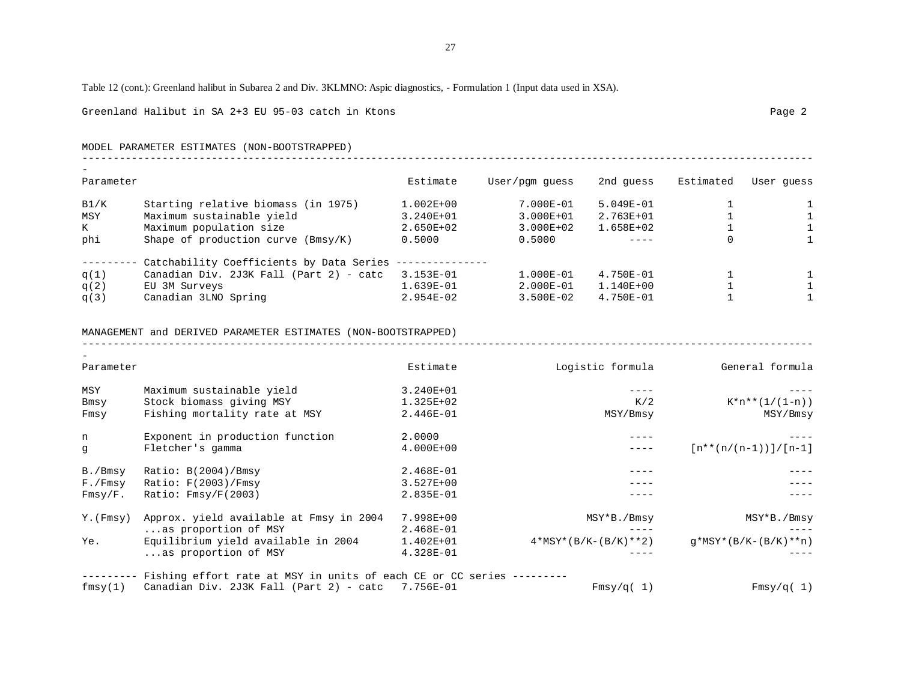### Table 12 (cont.): Greenland halibut in Subarea 2 and Div. 3KLMNO: Aspic diagnostics, - Formulation 1 (Input data used in XSA).

Greenland Halibut in SA 2+3 EU 95-03 catch in Ktons Page 2

MODEL PARAMETER ESTIMATES (NON-BOOTSTRAPPED) -----------------------------------------------------------------------------------------------------------------------

| Parameter |                                          | Estimate      | User/pgm quess | 2nd quess     | Estimated | User quess |
|-----------|------------------------------------------|---------------|----------------|---------------|-----------|------------|
| B1/K      | Starting relative biomass (in 1975)      | $1.002E + 00$ | 7.000E-01      | $5.049E - 01$ |           |            |
| MSY       | Maximum sustainable yield                | 3.240E+01     | 3.000E+01      | $2.763E + 01$ |           |            |
| K         | Maximum population size                  | $2.650E + 02$ | $3.000E + 02$  | $1.658E+02$   |           |            |
| phi       | Shape of production curve $(Bmsy/K)$     | 0.5000        | 0.5000         |               |           |            |
|           | Catchability Coefficients by Data Series |               |                |               |           |            |
| q(1)      | Canadian Div. 2J3K Fall (Part 2) - catc  | 3.153E-01     | $1.000E - 01$  | $4.750E - 01$ |           |            |
| q(2)      | EU 3M Surveys                            | $1.639E-01$   | $2.000E - 01$  | $1.140E + 00$ |           |            |
| q(3)      | Canadian 3LNO Spring                     | $2.954E-02$   | $3.500E - 02$  | $4.750E-01$   |           |            |

#### MANAGEMENT and DERIVED PARAMETER ESTIMATES (NON-BOOTSTRAPPED)

-----------------------------------------------------------------------------------------------------------------------

| Parameter |                                                                               | Estimate      | Logistic formula       | General formula          |
|-----------|-------------------------------------------------------------------------------|---------------|------------------------|--------------------------|
| MSY       | Maximum sustainable yield                                                     | 3.240E+01     |                        |                          |
| Bmsy      | Stock biomass giving MSY                                                      | 1.325E+02     | K/2                    | $K^*n^{**}(1/(1-n))$     |
| Fmsy      | Fishing mortality rate at MSY                                                 | 2.446E-01     | MSY/Bmsy               | MSY/Bmsy                 |
| n         | Exponent in production function                                               | 2.0000        |                        |                          |
| q         | Fletcher's gamma                                                              | $4.000E + 00$ |                        | $[n**(n/(n-1))] / [n-1]$ |
| B./Bmsy   | Ratio: $B(2004)/Bmsy$                                                         | 2.468E-01     |                        |                          |
| F./Fmsy   | Ratio: $F(2003)/Fmsy$                                                         | $3.527E + 00$ |                        |                          |
| Fmsy/F.   | Ratio: $Fmsy/F(2003)$                                                         | 2.835E-01     |                        |                          |
| Y. (Fmsy) | Approx. yield available at Fmsy in 2004                                       | 7.998E+00     | MSY*B./Bmsy            | MSY*B./Bmsy              |
|           | as proportion of MSY                                                          | 2.468E-01     |                        |                          |
| Ye.       | Equilibrium yield available in 2004                                           | $1.402E + 01$ | $4*MSY*(B/K-(B/K)**2)$ | $q*MSY*(B/K-(B/K)**n)$   |
|           | as proportion of MSY                                                          | 4.328E-01     |                        |                          |
|           | -------- Fishing effort rate at MSY in units of each CE or CC series -------- |               |                        |                          |

 $fmsy(1)$  Canadian Div. 2J3K Fall (Part 2) - catc 7.756E-01 Fmsy/q( 1) Fmsy/q( 1)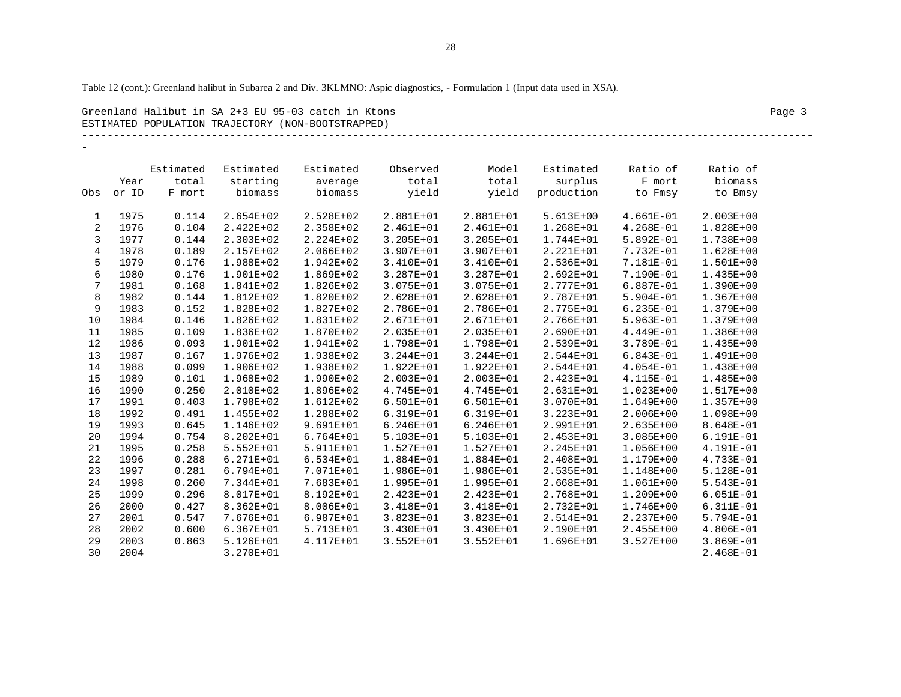Table 12 (cont.): Greenland halibut in Subarea 2 and Div. 3KLMNO: Aspic diagnostics, - Formulation 1 (Input data used in XSA).

Greenland Halibut in SA 2+3 EU 95-03 catch in Ktons Page 3 ESTIMATED POPULATION TRAJECTORY (NON-BOOTSTRAPPED)

# -----------------------------------------------------------------------------------------------------------------------

-

|                |       | Estimated | Estimated     | Estimated | Observed      | Model         | Estimated     | Ratio of      | Ratio of      |
|----------------|-------|-----------|---------------|-----------|---------------|---------------|---------------|---------------|---------------|
|                | Year  | total     | starting      | average   | total         | total         | surplus       | F mort        | biomass       |
| Obs            | or ID | F mort    | biomass       | biomass   | yield         | yield         | production    | to Fmsy       | to Bmsy       |
|                |       |           |               |           |               |               |               |               |               |
| 1              | 1975  | 0.114     | $2.654E+02$   | 2.528E+02 | 2.881E+01     | 2.881E+01     | $5.613E+00$   | $4.661E-01$   | $2.003E + 00$ |
| 2              | 1976  | 0.104     | $2.422E+02$   | 2.358E+02 | 2.461E+01     | 2.461E+01     | 1.268E+01     | $4.268E-01$   | 1.828E+00     |
| 3              | 1977  | 0.144     | 2.303E+02     | 2.224E+02 | 3.205E+01     | 3.205E+01     | $1.744E + 01$ | 5.892E-01     | 1.738E+00     |
| $\overline{4}$ | 1978  | 0.189     | 2.157E+02     | 2.066E+02 | 3.907E+01     | 3.907E+01     | 2.221E+01     | 7.732E-01     | $1.628E + 00$ |
| 5              | 1979  | 0.176     | 1.988E+02     | 1.942E+02 | 3.410E+01     | 3.410E+01     | 2.536E+01     | 7.181E-01     | $1.501E+00$   |
| 6              | 1980  | 0.176     | $1.901E + 02$ | 1.869E+02 | 3.287E+01     | 3.287E+01     | $2.692E + 01$ | 7.190E-01     | $1.435E + 00$ |
| $\overline{7}$ | 1981  | 0.168     | 1.841E+02     | 1.826E+02 | 3.075E+01     | 3.075E+01     | 2.777E+01     | 6.887E-01     | 1.390E+00     |
| 8              | 1982  | 0.144     | 1.812E+02     | 1.820E+02 | 2.628E+01     | 2.628E+01     | 2.787E+01     | 5.904E-01     | $1.367E + 00$ |
| 9              | 1983  | 0.152     | 1.828E+02     | 1.827E+02 | 2.786E+01     | 2.786E+01     | 2.775E+01     | $6.235E-01$   | 1.379E+00     |
| 10             | 1984  | 0.146     | 1.826E+02     | 1.831E+02 | 2.671E+01     | 2.671E+01     | 2.766E+01     | 5.963E-01     | 1.379E+00     |
| 11             | 1985  | 0.109     | 1.836E+02     | 1.870E+02 | 2.035E+01     | 2.035E+01     | $2.690E + 01$ | 4.449E-01     | $1.386E+00$   |
| 12             | 1986  | 0.093     | 1.901E+02     | 1.941E+02 | 1.798E+01     | 1.798E+01     | 2.539E+01     | 3.789E-01     | 1.435E+00     |
| 13             | 1987  | 0.167     | 1.976E+02     | 1.938E+02 | $3.244E + 01$ | 3.244E+01     | $2.544E+01$   | $6.843E-01$   | $1.491E + 00$ |
| 14             | 1988  | 0.099     | 1.906E+02     | 1.938E+02 | $1.922E + 01$ | 1.922E+01     | $2.544E+01$   | $4.054E-01$   | 1.438E+00     |
| 15             | 1989  | 0.101     | 1.968E+02     | 1.990E+02 | $2.003E + 01$ | 2.003E+01     | 2.423E+01     | 4.115E-01     | 1.485E+00     |
| 16             | 1990  | 0.250     | $2.010E + 02$ | 1.896E+02 | 4.745E+01     | 4.745E+01     | $2.631E+01$   | $1.023E + 00$ | $1.517E+00$   |
| 17             | 1991  | 0.403     | 1.798E+02     | 1.612E+02 | $6.501E + 01$ | 6.501E+01     | $3.070E + 01$ | $1.649E + 00$ | $1.357E + 00$ |
| 18             | 1992  | 0.491     | 1.455E+02     | 1.288E+02 | 6.319E+01     | 6.319E+01     | 3.223E+01     | 2.006E+00     | $1.098E + 00$ |
| 19             | 1993  | 0.645     | 1.146E+02     | 9.691E+01 | $6.246E + 01$ | $6.246E + 01$ | 2.991E+01     | 2.635E+00     | 8.648E-01     |
| 20             | 1994  | 0.754     | 8.202E+01     | 6.764E+01 | 5.103E+01     | 5.103E+01     | $2.453E+01$   | $3.085E + 00$ | 6.191E-01     |
| 21             | 1995  | 0.258     | $5.552E + 01$ | 5.911E+01 | 1.527E+01     | 1.527E+01     | 2.245E+01     | 1.056E+00     | 4.191E-01     |
| 22             | 1996  | 0.288     | $6.271E + 01$ | 6.534E+01 | 1.884E+01     | 1.884E+01     | 2.408E+01     | 1.179E+00     | 4.733E-01     |
| 23             | 1997  | 0.281     | $6.794E + 01$ | 7.071E+01 | 1.986E+01     | 1.986E+01     | 2.535E+01     | 1.148E+00     | 5.128E-01     |
| 24             | 1998  | 0.260     | 7.344E+01     | 7.683E+01 | 1.995E+01     | 1.995E+01     | $2.668E + 01$ | $1.061E + 00$ | $5.543E-01$   |
| 25             | 1999  | 0.296     | 8.017E+01     | 8.192E+01 | $2.423E+01$   | 2.423E+01     | 2.768E+01     | 1.209E+00     | $6.051E-01$   |
| 26             | 2000  | 0.427     | 8.362E+01     | 8.006E+01 | 3.418E+01     | 3.418E+01     | 2.732E+01     | 1.746E+00     | $6.311E-01$   |
| 27             | 2001  | 0.547     | 7.676E+01     | 6.987E+01 | 3.823E+01     | 3.823E+01     | 2.514E+01     | 2.237E+00     | $5.794E-01$   |
| 28             | 2002  | 0.600     | $6.367E + 01$ | 5.713E+01 | 3.430E+01     | 3.430E+01     | 2.190E+01     | 2.455E+00     | $4.806E-01$   |
| 29             | 2003  | 0.863     | 5.126E+01     | 4.117E+01 | $3.552E + 01$ | 3.552E+01     | $1.696E + 01$ | 3.527E+00     | $3.869E-01$   |
| 30             | 2004  |           | 3.270E+01     |           |               |               |               |               | $2.468E - 01$ |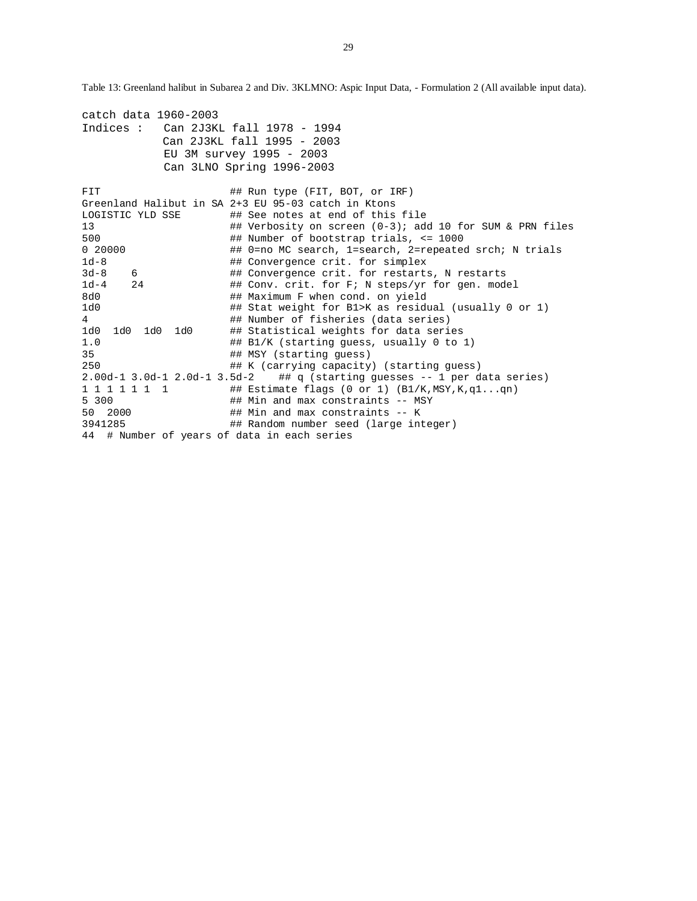Table 13: Greenland halibut in Subarea 2 and Div. 3KLMNO: Aspic Input Data, - Formulation 2 (All available input data).

| catch data 1960-2003                        |                                                                             |
|---------------------------------------------|-----------------------------------------------------------------------------|
| Indices : $Can 2J3KL fall 1978 - 1994$      |                                                                             |
|                                             | Can 2J3KL fall 1995 - 2003                                                  |
|                                             | EU 3M survey 1995 - 2003                                                    |
|                                             | Can 3LNO Spring 1996-2003                                                   |
|                                             |                                                                             |
| FIT                                         | ## Run type (FIT, BOT, or IRF)                                              |
|                                             | Greenland Halibut in SA 2+3 EU 95-03 catch in Ktons                         |
| LOGISTIC YLD SSE                            | ## See notes at end of this file                                            |
| 13                                          | ## Verbosity on screen $(0-3)$ ; add 10 for SUM & PRN files                 |
| 500                                         | ## Number of bootstrap trials, $\le$ 1000                                   |
| 0 20000                                     | ## 0=no MC search, 1=search, 2=repeated srch; N trials                      |
| $1d-8$                                      | ## Convergence crit. for simplex                                            |
| $3d-8$<br>6                                 | ## Convergence crit. for restarts, N restarts                               |
| $1d-4$<br>24                                | ## Conv. crit. for F; N steps/yr for gen. model                             |
| 8d0                                         | ## Maximum F when cond. on yield                                            |
| 1d0                                         | ## Stat weight for B1>K as residual (usually 0 or 1)                        |
| $4\overline{ }$                             | ## Number of fisheries (data series)                                        |
| 1d0<br>1d0<br>1d0<br>1d0                    | ## Statistical weights for data series                                      |
| 1.0                                         | ## B1/K (starting quess, usually 0 to 1)                                    |
| 35                                          | ## MSY (starting quess)                                                     |
| 250                                         | ## K (carrying capacity) (starting quess)                                   |
|                                             | $2.00d-1$ 3.0d-1 2.0d-1 3.5d-2 ## q (starting guesses -- 1 per data series) |
| 1 1 1 1 1 1 1                               | ## Estimate flags (0 or 1) $(B1/K, MSY, K, q1qn)$                           |
| 5 300                                       | ## Min and max constraints -- MSY                                           |
| 50 2000                                     | ## Min and max constraints -- K                                             |
| 3941285                                     | ## Random number seed (large integer)                                       |
| 44 # Number of years of data in each series |                                                                             |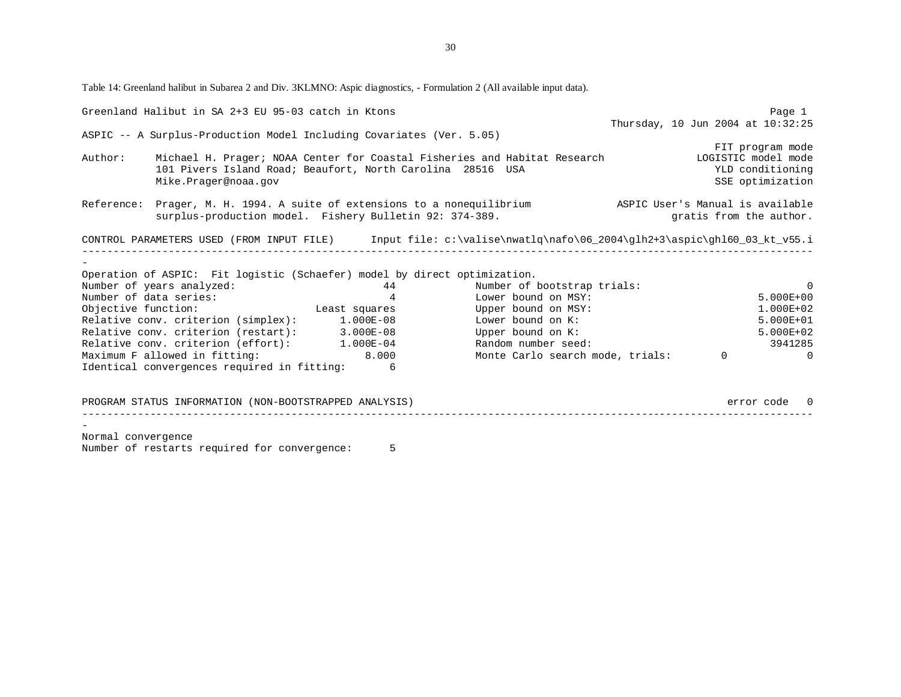Table 14: Greenland halibut in Subarea 2 and Div. 3KLMNO: Aspic diagnostics, - Formulation 2 (All available input data).

|                    | Greenland Halibut in SA 2+3 EU 95-03 catch in Ktons                       |                |                                                                                                                    |                                   | Page 1         |
|--------------------|---------------------------------------------------------------------------|----------------|--------------------------------------------------------------------------------------------------------------------|-----------------------------------|----------------|
|                    |                                                                           |                |                                                                                                                    | Thursday, 10 Jun 2004 at 10:32:25 |                |
|                    | ASPIC -- A Surplus-Production Model Including Covariates (Ver. 5.05)      |                |                                                                                                                    |                                   |                |
|                    |                                                                           |                |                                                                                                                    | FIT program mode                  |                |
| Author:            |                                                                           |                | Michael H. Prager; NOAA Center for Coastal Fisheries and Habitat Research [1061STIC model mode                     |                                   |                |
|                    | 101 Pivers Island Road; Beaufort, North Carolina 28516 USA                |                |                                                                                                                    | YLD conditioning                  |                |
|                    | Mike.Prager@noaa.gov                                                      |                |                                                                                                                    | SSE optimization                  |                |
|                    |                                                                           |                | Reference: Prager, M. H. 1994. A suite of extensions to a nonequilibrium ASPIC User's Manual is available          |                                   |                |
|                    | surplus-production model. Fishery Bulletin 92: 374-389.                   |                |                                                                                                                    | gratis from the author.           |                |
|                    |                                                                           |                |                                                                                                                    |                                   |                |
|                    |                                                                           |                | CONTROL PARAMETERS USED (FROM INPUT FILE) Input file: c:\valise\nwatlq\nafo\06_2004\glh2+3\aspic\ghl60_03_kt_v55.i |                                   |                |
|                    |                                                                           |                |                                                                                                                    |                                   |                |
|                    | Operation of ASPIC: Fit logistic (Schaefer) model by direct optimization. |                |                                                                                                                    |                                   |                |
|                    | Number of years analyzed:                                                 | 44             | Number of bootstrap trials:                                                                                        |                                   | $\Omega$       |
|                    | Number of data series:                                                    | $\overline{4}$ | Lower bound on MSY:                                                                                                |                                   | $5.000E + 00$  |
|                    | Objective function: The Least squares The Upper bound on MSY:             |                |                                                                                                                    |                                   | 1.000E+02      |
|                    | Relative conv. criterion (simplex): 1.000E-08                             |                | Lower bound on K:                                                                                                  |                                   | 5.000E+01      |
|                    | Relative conv. criterion (restart): 3.000E-08                             |                | Upper bound on K:                                                                                                  |                                   | 5.000E+02      |
|                    | Relative conv. criterion (effort): 1.000E-04                              |                | Random number seed:                                                                                                |                                   | 3941285        |
|                    | Maximum F allowed in fitting: 8.000                                       |                | Monte Carlo search mode, trials:                                                                                   | $\Omega$                          | $\overline{a}$ |
|                    | Identical convergences required in fitting:                               | 6              |                                                                                                                    |                                   |                |
|                    |                                                                           |                |                                                                                                                    |                                   |                |
|                    | PROGRAM STATUS INFORMATION (NON-BOOTSTRAPPED ANALYSIS)                    |                |                                                                                                                    |                                   | error code 0   |
|                    |                                                                           |                |                                                                                                                    |                                   |                |
| Normal convergence |                                                                           |                |                                                                                                                    |                                   |                |
|                    | Number of restarts required for convergence:                              | 5              |                                                                                                                    |                                   |                |
|                    |                                                                           |                |                                                                                                                    |                                   |                |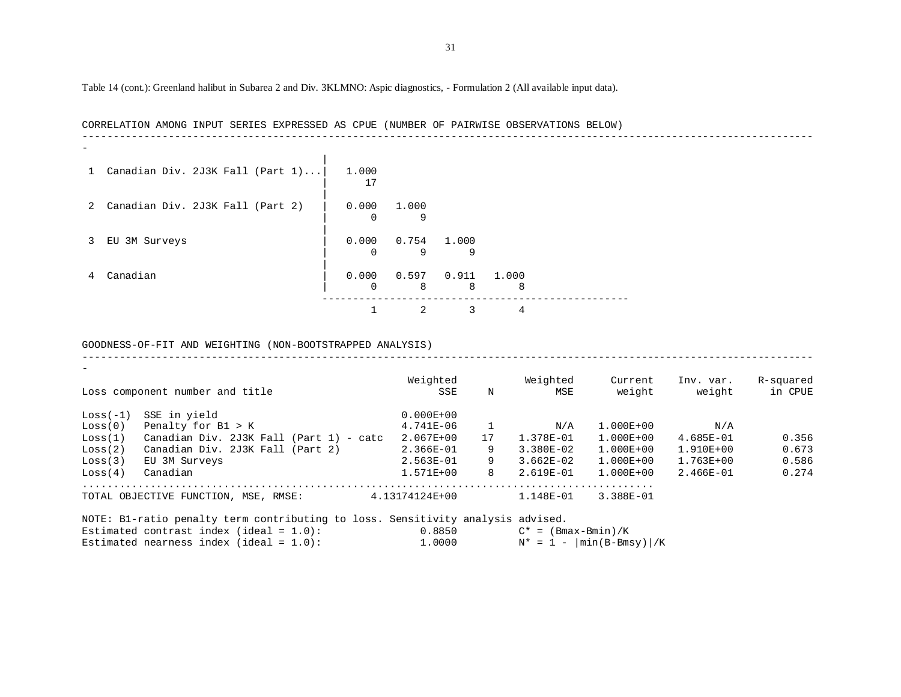Table 14 (cont.): Greenland halibut in Subarea 2 and Div. 3KLMNO: Aspic diagnostics, - Formulation 2 (All available input data).

|                | CORRELATION AMONG INPUT SERIES EXPRESSED AS CPUE (NUMBER OF PAIRWISE OBSERVATIONS BELOW) |  |  |  |       |    |            |       |            |            |  |  |  |  |  |  |
|----------------|------------------------------------------------------------------------------------------|--|--|--|-------|----|------------|-------|------------|------------|--|--|--|--|--|--|
|                |                                                                                          |  |  |  |       |    |            |       |            |            |  |  |  |  |  |  |
|                | 1 Canadian Div. 2J3K Fall (Part $1$ )                                                    |  |  |  | 1.000 | 17 |            |       |            |            |  |  |  |  |  |  |
|                | 2 Canadian Div. 2J3K Fall (Part 2)                                                       |  |  |  | 0.000 |    | 1.000<br>9 |       |            |            |  |  |  |  |  |  |
| 3              | EU 3M Surveys                                                                            |  |  |  | 0.000 |    | 0.754<br>9 | 1.000 | 9          |            |  |  |  |  |  |  |
| $\overline{4}$ | Canadian                                                                                 |  |  |  | 0.000 |    | 0.597<br>8 |       | 0.911<br>8 | 1.000<br>8 |  |  |  |  |  |  |
|                |                                                                                          |  |  |  |       |    | 2          |       | 3          |            |  |  |  |  |  |  |

GOODNESS-OF-FIT AND WEIGHTING (NON-BOOTSTRAPPED ANALYSIS)

|            | Loss component number and title              | Weighted<br>SSE | N  | Weighted<br>MSE | Current<br>weight | Inv. var.<br>weight | R-squared<br>in CPUE |
|------------|----------------------------------------------|-----------------|----|-----------------|-------------------|---------------------|----------------------|
| $Loss(-1)$ | SSE in yield                                 | $0.000E + 00$   |    |                 |                   |                     |                      |
| Loss(0)    | Penalty for B1 > K                           | $4.741E-06$     |    | N/A             | $1.000E + 00$     | N/A                 |                      |
| Loss(1)    | Canadian Div. 2J3K Fall<br>$(Part 1) - catc$ | $2.067E + 00$   | 17 | 1.378E-01       | $1.000E + 00$     | $4.685E - 01$       | 0.356                |
| Loss(2)    | Canadian Div. 2J3K Fall (Part 2)             | $2.366E-01$     | 9  | $3.380E - 02$   | $1.000E + 00$     | $1.910E + 00$       | 0.673                |
| Loss(3)    | EU 3M Surveys                                | $2.563E-01$     | 9  | $3.662E-02$     | $1.000E + 00$     | $1.763E + 00$       | 0.586                |
| Loss(4)    | Canadian                                     | $1.571E + 00$   | 8  | 2.619E-01       | $1.000E + 00$     | $2.466E - 01$       | 0.274                |
|            | TOTAL OBJECTIVE FUNCTION, MSE, RMSE:         | 4.13174124E+00  |    | 1.148E-01       | 3.388E-01         |                     |                      |

-----------------------------------------------------------------------------------------------------------------------

|  |  | NOTE: Bl-ratio penalty term contributing to loss. Sensitivity analysis advised. |  |        |                             |  |
|--|--|---------------------------------------------------------------------------------|--|--------|-----------------------------|--|
|  |  | Estimated contrast index (ideal = $1.0$ ):                                      |  | 0.8850 | $C^* = (Bmax-Bmin)/K$       |  |
|  |  | Estimated nearness index (ideal = $1.0$ ):                                      |  | 1,0000 | $N^* = 1 -  min(B-Bmsy) /K$ |  |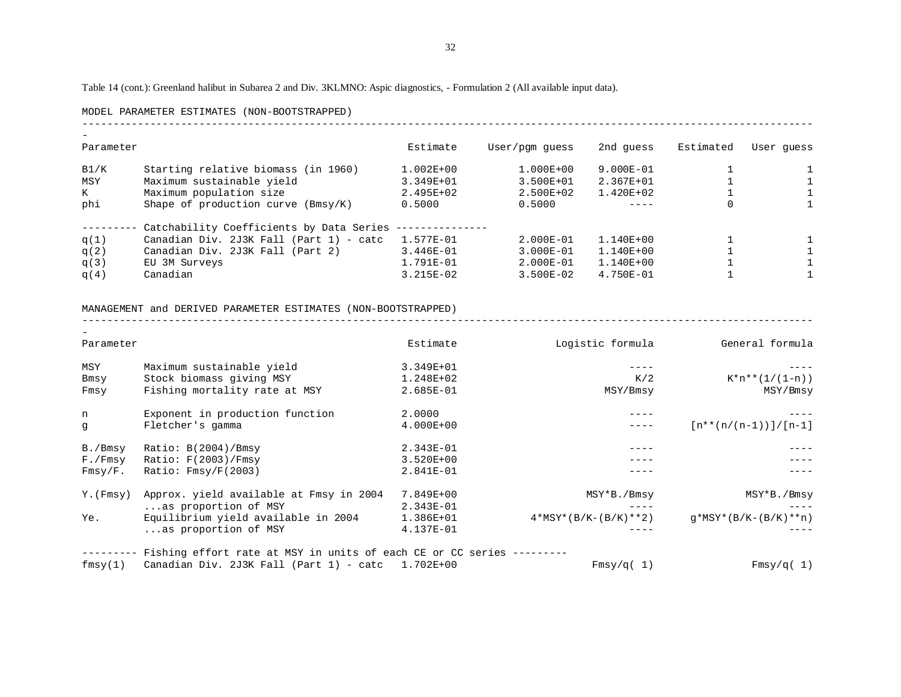Table 14 (cont.): Greenland halibut in Subarea 2 and Div. 3KLMNO: Aspic diagnostics, - Formulation 2 (All available input data).

#### MODEL PARAMETER ESTIMATES (NON-BOOTSTRAPPED)

| Parameter |                                          | Estimate      | User/pgm quess | 2nd quess     | Estimated | User quess |
|-----------|------------------------------------------|---------------|----------------|---------------|-----------|------------|
|           |                                          |               |                |               |           |            |
| B1/K      | Starting relative biomass (in 1960)      | $1.002E + 00$ | $1.000E + 00$  | 9.000E-01     |           |            |
| MSY       | Maximum sustainable yield                | 3.349E+01     | 3.500E+01      | $2.367E + 01$ |           |            |
| K         | Maximum population size                  | $2.495E+02$   | $2.500E + 02$  | $1.420E + 02$ |           |            |
| phi       | Shape of production curve $(Bmsy/K)$     | 0.5000        | 0.5000         |               | $\Omega$  |            |
|           | Catchability Coefficients by Data Series |               |                |               |           |            |
| q(1)      | Canadian Div. 2J3K Fall (Part 1) - catc  | 1.577E-01     | 2.000E-01      | $1.140E + 00$ |           |            |
| q(2)      | Canadian Div. 2J3K Fall (Part 2)         | $3.446E - 01$ | 3.000E-01      | $1.140E + 00$ |           |            |
| q(3)      | EU 3M Surveys                            | 1.791E-01     | 2.000E-01      | $1.140E + 00$ |           |            |
| q(4)      | Canadian                                 | $3.215E-02$   | $3.500E - 02$  | $4.750E - 01$ |           |            |

-----------------------------------------------------------------------------------------------------------------------

-----------------------------------------------------------------------------------------------------------------------

#### MANAGEMENT and DERIVED PARAMETER ESTIMATES (NON-BOOTSTRAPPED)

| Parameter   |                                                                       | Estimate                   | Logistic formula       | General formula          |
|-------------|-----------------------------------------------------------------------|----------------------------|------------------------|--------------------------|
| MSY<br>Bmsy | Maximum sustainable yield<br>Stock biomass giving MSY                 | 3.349E+01<br>$1.248E + 02$ | K/2                    | $K^*n^{**}(1/(1-n))$     |
| Fmsy        | Fishing mortality rate at MSY                                         | 2.685E-01                  | MSY/Bmsy               | MSY/Bmsy                 |
| n           | Exponent in production function                                       | 2,0000                     |                        |                          |
| g           | Fletcher's gamma                                                      | $4.000E + 00$              |                        | $[n**(n/(n-1))] / [n-1]$ |
| B./Bmsy     | Ratio: $B(2004)/Bmsy$                                                 | 2.343E-01                  |                        |                          |
| F./Fmsy     | Ratio: $F(2003)/Fmsy$                                                 | $3.520E + 00$              |                        |                          |
| Fmsy/F.     | Ratio: $Fmsy/F(2003)$                                                 | 2.841E-01                  |                        |                          |
| Y. (Fmsy)   | Approx. yield available at Fmsy in 2004                               | 7.849E+00                  | MSY*B./Bmsy            | MSY*B./Bmsy              |
|             | as proportion of MSY                                                  | 2.343E-01                  |                        |                          |
| Ye.         | Equilibrium yield available in 2004                                   | 1.386E+01                  | $4*MSY*(B/K-(B/K)**2)$ | $q*MSY*(B/K-(B/K)**n)$   |
|             | as proportion of MSY                                                  | 4.137E-01                  |                        |                          |
|             | Fishing effort rate at MSY in units of each CE or CC series --------- |                            |                        |                          |
| fmsy(1)     | Canadian Div. $2J3K$ Fall (Part 1) - catc 1.702E+00                   |                            | Fmsy/q(1)              | Fmsy/q(1)                |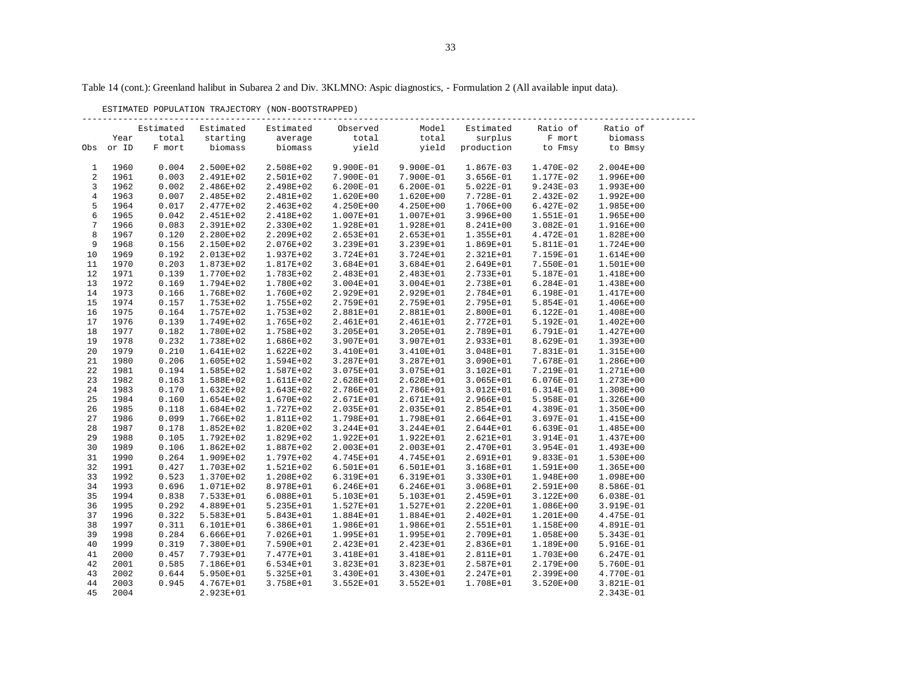ESTIMATED POPULATION TRAJECTORY (NON-BOOTSTRAPPED)

|                 |       | Estimated | Estimated     | Estimated     | Observed      | Model         | Estimated     | Ratio of      | Ratio of      |
|-----------------|-------|-----------|---------------|---------------|---------------|---------------|---------------|---------------|---------------|
|                 | Year  | total     | starting      | average       | total         | total         | surplus       | F mort        | biomass       |
| Obs             | or ID | F mort    | biomass       | biomass       | yield         | yield         | production    | to Fmsy       | to Bmsy       |
|                 |       |           |               |               |               |               |               |               |               |
| 1               | 1960  | 0.004     | 2.500E+02     | 2.508E+02     | 9.900E-01     | 9.900E-01     | 1.867E-03     | 1.470E-02     | $2.004E + 00$ |
| 2               | 1961  | 0.003     | 2.491E+02     | 2.501E+02     | 7.900E-01     | 7.900E-01     | $3.656E-01$   | 1.177E-02     | 1.996E+00     |
| 3               | 1962  | 0.002     | 2.486E+02     | 2.498E+02     | $6.200E-01$   | $6.200E-01$   | 5.022E-01     | $9.243E-03$   | 1.993E+00     |
| $\overline{4}$  | 1963  | 0.007     | 2.485E+02     | 2.481E+02     | 1.620E+00     | 1.620E+00     | 7.728E-01     | 2.432E-02     | 1.992E+00     |
| 5               | 1964  | 0.017     | 2.477E+02     | 2.463E+02     | $4.250E+00$   | $4.250E+00$   | 1.706E+00     | 6.427E-02     | 1.985E+00     |
| 6               | 1965  | 0.042     | 2.451E+02     | 2.418E+02     | 1.007E+01     | 1.007E+01     | $3.996E + 00$ | 1.551E-01     | 1.965E+00     |
| $7\phantom{.0}$ | 1966  | 0.083     | 2.391E+02     | 2.330E+02     | 1.928E+01     | 1.928E+01     | 8.241E+00     | 3.082E-01     | 1.916E+00     |
| 8               | 1967  | 0.120     | 2.280E+02     | 2.209E+02     | 2.653E+01     | 2.653E+01     | 1.355E+01     | 4.472E-01     | 1.828E+00     |
| 9               | 1968  | 0.156     | 2.150E+02     | 2.076E+02     | 3.239E+01     | 3.239E+01     | 1.869E+01     | 5.811E-01     | 1.724E+00     |
| 10              | 1969  | 0.192     | 2.013E+02     | 1.937E+02     | 3.724E+01     | 3.724E+01     | 2.321E+01     | 7.159E-01     | 1.614E+00     |
| 11              | 1970  | 0.203     | 1.873E+02     | 1.817E+02     | 3.684E+01     | 3.684E+01     | 2.649E+01     | 7.550E-01     | 1.501E+00     |
| 12              | 1971  | 0.139     | 1.770E+02     | 1.783E+02     | 2.483E+01     | 2.483E+01     | 2.733E+01     | 5.187E-01     | 1.418E+00     |
| 13              | 1972  | 0.169     | 1.794E+02     | 1.780E+02     | $3.004E + 01$ | $3.004E + 01$ | 2.738E+01     | $6.284E-01$   | 1.438E+00     |
| 14              | 1973  | 0.166     | 1.768E+02     | 1.760E+02     | 2.929E+01     | 2.929E+01     | 2.784E+01     | 6.198E-01     | 1.417E+00     |
| 15              | 1974  | 0.157     | 1.753E+02     | 1.755E+02     | 2.759E+01     | 2.759E+01     | 2.795E+01     | 5.854E-01     | 1.406E+00     |
| 16              | 1975  | 0.164     | 1.757E+02     | 1.753E+02     | 2.881E+01     | 2.881E+01     | 2.800E+01     | 6.122E-01     | 1.408E+00     |
| 17              | 1976  | 0.139     | 1.749E+02     | 1.765E+02     | 2.461E+01     | 2.461E+01     | 2.772E+01     | 5.192E-01     | $1.402E + 00$ |
| 18              | 1977  | 0.182     | 1.780E+02     | 1.758E+02     | 3.205E+01     | 3.205E+01     | 2.789E+01     | 6.791E-01     | 1.427E+00     |
| 19              | 1978  | 0.232     | 1.738E+02     | 1.686E+02     | 3.907E+01     | 3.907E+01     | 2.933E+01     | 8.629E-01     | 1.393E+00     |
| 20              | 1979  | 0.210     | 1.641E+02     | 1.622E+02     | 3.410E+01     | 3.410E+01     | 3.048E+01     | 7.831E-01     | 1.315E+00     |
| 21              | 1980  | 0.206     | 1.605E+02     | 1.594E+02     | 3.287E+01     | 3.287E+01     | 3.090E+01     | 7.678E-01     | 1.286E+00     |
| 22              | 1981  | 0.194     | 1.585E+02     | 1.587E+02     | 3.075E+01     | 3.075E+01     | 3.102E+01     | 7.219E-01     | 1.271E+00     |
| 23              | 1982  | 0.163     | 1.588E+02     | 1.611E+02     | 2.628E+01     | 2.628E+01     | 3.065E+01     | 6.076E-01     | 1.273E+00     |
| 24              | 1983  | 0.170     | 1.632E+02     | 1.643E+02     | 2.786E+01     | 2.786E+01     | 3.012E+01     | 6.314E-01     | 1.308E+00     |
| 25              | 1984  | 0.160     | 1.654E+02     | 1.670E+02     | 2.671E+01     | 2.671E+01     | 2.966E+01     | 5.958E-01     | 1.326E+00     |
| 26              | 1985  | 0.118     | 1.684E+02     | 1.727E+02     | 2.035E+01     | 2.035E+01     | 2.854E+01     | 4.389E-01     | 1.350E+00     |
| 27              | 1986  | 0.099     | 1.766E+02     | 1.811E+02     | 1.798E+01     | 1.798E+01     | 2.664E+01     | 3.697E-01     | 1.415E+00     |
| 28              | 1987  | 0.178     | 1.852E+02     | 1.820E+02     | 3.244E+01     | 3.244E+01     | 2.644E+01     | $6.639E-01$   | 1.485E+00     |
| 29              | 1988  | 0.105     | 1.792E+02     | 1.829E+02     | 1.922E+01     | 1.922E+01     | 2.621E+01     | 3.914E-01     | 1.437E+00     |
| 30              | 1989  | 0.106     | $1.862E+02$   | 1.887E+02     | 2.003E+01     | 2.003E+01     | 2.470E+01     | 3.954E-01     | 1.493E+00     |
| 31              | 1990  | 0.264     | 1.909E+02     | 1.797E+02     | 4.745E+01     | 4.745E+01     | 2.691E+01     | 9.833E-01     | 1.530E+00     |
| 32              | 1991  | 0.427     | 1.703E+02     | 1.521E+02     | 6.501E+01     | 6.501E+01     | 3.168E+01     | 1.591E+00     | 1.365E+00     |
| 33              | 1992  | 0.523     | 1.370E+02     | 1.208E+02     | 6.319E+01     | 6.319E+01     | 3.330E+01     | 1.948E+00     | 1.098E+00     |
| 34              | 1993  | 0.696     | 1.071E+02     | 8.978E+01     | $6.246E + 01$ | $6.246E + 01$ | 3.068E+01     | 2.591E+00     | 8.586E-01     |
| 35              | 1994  | 0.838     | 7.533E+01     | $6.088E + 01$ | 5.103E+01     | 5.103E+01     | 2.459E+01     | 3.122E+00     | 6.038E-01     |
| 36              | 1995  | 0.292     | 4.889E+01     | 5.235E+01     | 1.527E+01     | 1.527E+01     | 2.220E+01     | 1.086E+00     | 3.919E-01     |
| 37              | 1996  | 0.322     | 5.583E+01     | 5.843E+01     | 1.884E+01     | 1.884E+01     | 2.402E+01     | 1.201E+00     | 4.475E-01     |
| 38              | 1997  | 0.311     | 6.101E+01     | $6.386E + 01$ | 1.986E+01     | 1.986E+01     | 2.551E+01     | 1.158E+00     | 4.891E-01     |
| 39              | 1998  | 0.284     | $6.666E + 01$ | 7.026E+01     | 1.995E+01     | 1.995E+01     | 2.709E+01     | 1.058E+00     | 5.343E-01     |
| 40              | 1999  | 0.319     | 7.380E+01     | 7.590E+01     | 2.423E+01     | 2.423E+01     | 2.836E+01     | 1.189E+00     | 5.916E-01     |
| 41              | 2000  | 0.457     | 7.793E+01     | 7.477E+01     | 3.418E+01     | 3.418E+01     | 2.811E+01     | 1.703E+00     | 6.247E-01     |
| 42              | 2001  | 0.585     | 7.186E+01     | 6.534E+01     | 3.823E+01     | 3.823E+01     | 2.587E+01     | 2.179E+00     | 5.760E-01     |
| 43              | 2002  | 0.644     | 5.950E+01     | 5.325E+01     | 3.430E+01     | 3.430E+01     | 2.247E+01     | 2.399E+00     | 4.770E-01     |
| 44              | 2003  | 0.945     | 4.767E+01     | 3.758E+01     | $3.552E + 01$ | $3.552E + 01$ | 1.708E+01     | $3.520E + 00$ | 3.821E-01     |
| 45              | 2004  |           | 2.923E+01     |               |               |               |               |               | 2.343E-01     |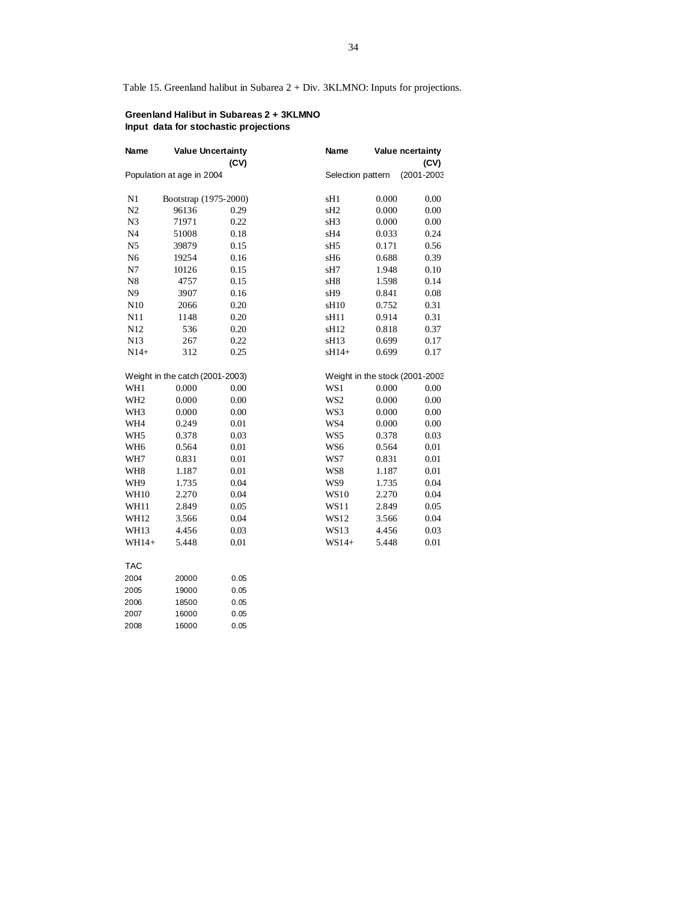Table 15. Greenland halibut in Subarea 2 + Div. 3KLMNO: Inputs for projections.

## **Greenland Halibut in Subareas 2 + 3KLMNO Input data for stochastic projections**

| Name            | <b>Value Uncertainty</b>        |      | Name              |       | Value ncertainty               |
|-----------------|---------------------------------|------|-------------------|-------|--------------------------------|
|                 |                                 | (CV) |                   |       | (CV)                           |
|                 | Population at age in 2004       |      | Selection pattern |       | (2001-2003                     |
| N1              | Bootstrap (1975-2000)           |      | sH1               | 0.000 | 0.00                           |
| N2              | 96136                           | 0.29 | sH <sub>2</sub>   | 0.000 | 0.00                           |
| N <sub>3</sub>  | 71971                           | 0.22 | sH <sub>3</sub>   | 0.000 | 0.00                           |
| N <sub>4</sub>  | 51008                           | 0.18 | sH4               | 0.033 | 0.24                           |
| N <sub>5</sub>  | 39879                           | 0.15 | sH <sub>5</sub>   | 0.171 | 0.56                           |
| N <sub>6</sub>  | 19254                           | 0.16 | sH <sub>6</sub>   | 0.688 | 0.39                           |
| N7              | 10126                           | 0.15 | sH7               | 1.948 | 0.10                           |
| N8              | 4757                            | 0.15 | sH8               | 1.598 | 0.14                           |
| N <sub>9</sub>  | 3907                            | 0.16 | sH9               | 0.841 | 0.08                           |
| N10             | 2066                            | 0.20 | sH <sub>10</sub>  | 0.752 | 0.31                           |
| N11             | 1148                            | 0.20 | sH11              | 0.914 | 0.31                           |
| N12             | 536                             | 0.20 | sH12              | 0.818 | 0.37                           |
| N13             | 267                             | 0.22 | sH13              | 0.699 | 0.17                           |
| $N14+$          | 312                             | 0.25 | sH14+             | 0.699 | 0.17                           |
|                 | Weight in the catch (2001-2003) |      |                   |       | Weight in the stock (2001-2003 |
| WH1             | 0.000                           | 0.00 | WS1               | 0.000 | 0.00                           |
| WH <sub>2</sub> | 0.000                           | 0.00 | WS <sub>2</sub>   | 0.000 | 0.00                           |
| WH <sub>3</sub> | 0.000                           | 0.00 | WS3               | 0.000 | 0.00                           |
| WH4             | 0.249                           | 0.01 | WS4               | 0.000 | 0.00                           |
| WH <sub>5</sub> | 0.378                           | 0.03 | WS5               | 0.378 | 0.03                           |
| WH <sub>6</sub> | 0.564                           | 0.01 | WS6               | 0.564 | 0.01                           |
| WH7             | 0.831                           | 0.01 | WS7               | 0.831 | 0.01                           |
| WH <sub>8</sub> | 1.187                           | 0.01 | WS8               | 1.187 | 0.01                           |
| WH9             | 1.735                           | 0.04 | WS9               | 1.735 | 0.04                           |
| <b>WH10</b>     | 2.270                           | 0.04 | <b>WS10</b>       | 2.270 | 0.04                           |
| <b>WH11</b>     | 2.849                           | 0.05 | <b>WS11</b>       | 2.849 | 0.05                           |
| WH12            | 3.566                           | 0.04 | WS12              | 3.566 | 0.04                           |
| WH13            | 4.456                           | 0.03 | <b>WS13</b>       | 4.456 | 0.03                           |
| WH14+           | 5.448                           | 0.01 | $WS14+$           | 5.448 | 0.01                           |
| TAC             |                                 |      |                   |       |                                |
| 2004            | 20000                           | 0.05 |                   |       |                                |
| 2005            | 19000                           | 0.05 |                   |       |                                |
| 2006            | 18500                           | 0.05 |                   |       |                                |
| 2007            | 16000                           | 0.05 |                   |       |                                |
| 2008            | 16000                           | 0.05 |                   |       |                                |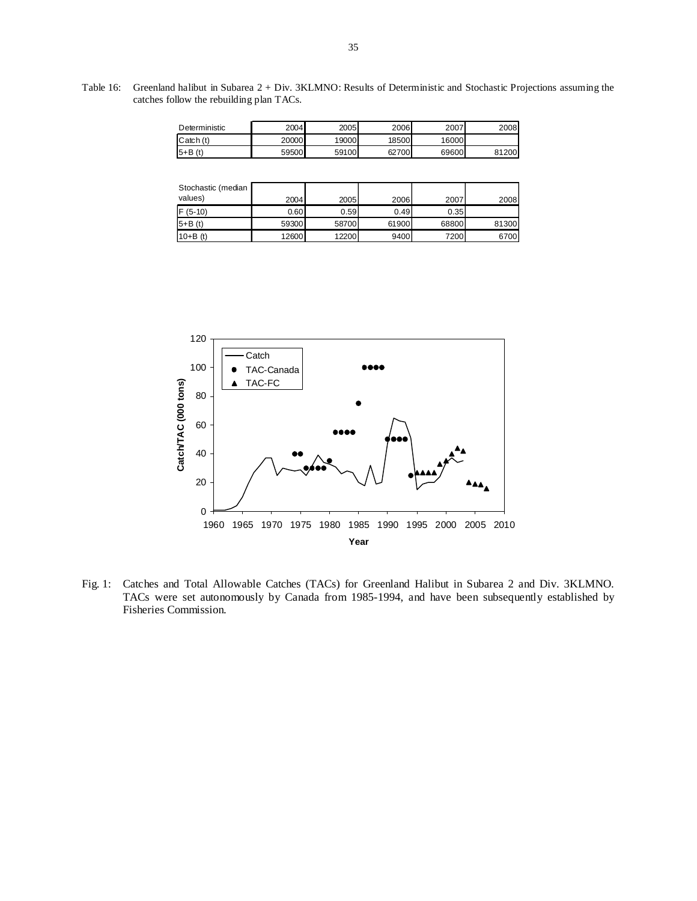Table 16: Greenland halibut in Subarea 2 + Div. 3KLMNO: Results of Deterministic and Stochastic Projections assuming the catches follow the rebuilding plan TACs.

| Deterministic | 2004  | 2005  | 2006  | 2007  | 2008  |
|---------------|-------|-------|-------|-------|-------|
| Catch (t)     | 20000 | 19000 | 18500 | 16000 |       |
| $5+ B(t)$     | 59500 | 59100 | 62700 | 69600 | 81200 |

| Stochastic (median |       |       |       |       |       |
|--------------------|-------|-------|-------|-------|-------|
| values)            | 2004  | 2005  | 2006  | 2007  | 2008  |
| $F(5-10)$          | 0.60  | 0.59  | 0.49  | 0.35  |       |
| $5+ B(t)$          | 59300 | 58700 | 61900 | 68800 | 81300 |
| $10 + B(t)$        | 12600 | 12200 | 9400  | 7200  | 6700  |



Fig. 1: Catches and Total Allowable Catches (TACs) for Greenland Halibut in Subarea 2 and Div. 3KLMNO. TACs were set autonomously by Canada from 1985-1994, and have been subsequently established by Fisheries Commission.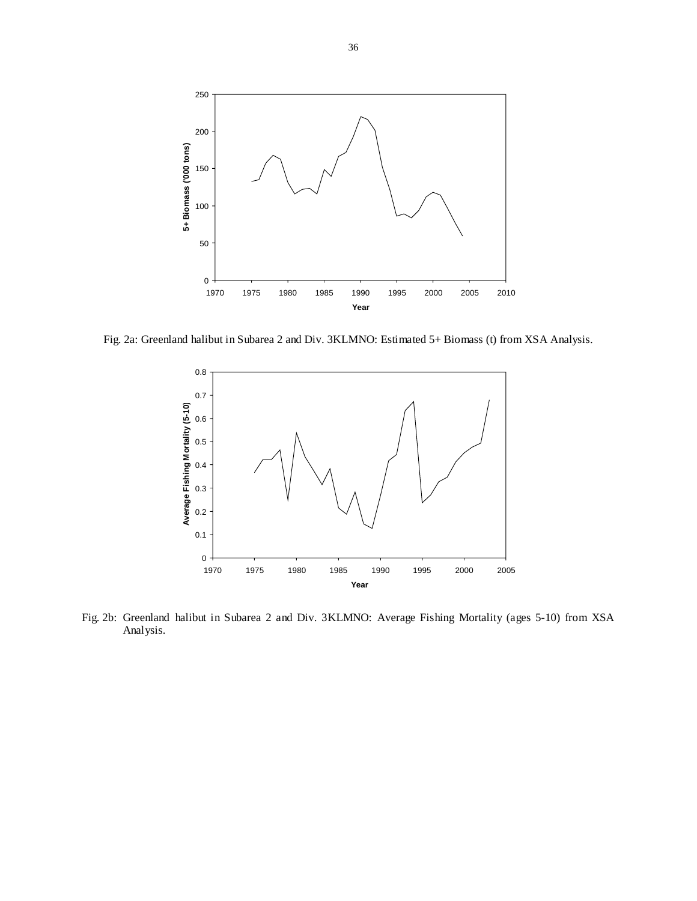

Fig. 2a: Greenland halibut in Subarea 2 and Div. 3KLMNO: Estimated 5+ Biomass (t) from XSA Analysis.



Fig. 2b: Greenland halibut in Subarea 2 and Div. 3KLMNO: Average Fishing Mortality (ages 5-10) from XSA Analysis.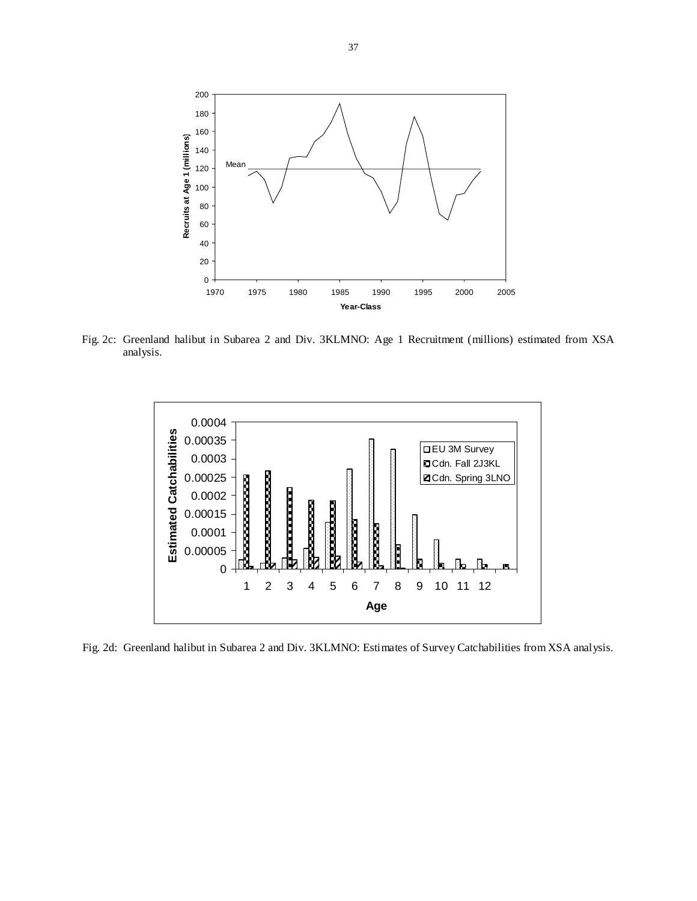

Fig. 2c: Greenland halibut in Subarea 2 and Div. 3KLMNO: Age 1 Recruitment (millions) estimated from XSA analysis.



Fig. 2d: Greenland halibut in Subarea 2 and Div. 3KLMNO: Estimates of Survey Catchabilities from XSA analysis.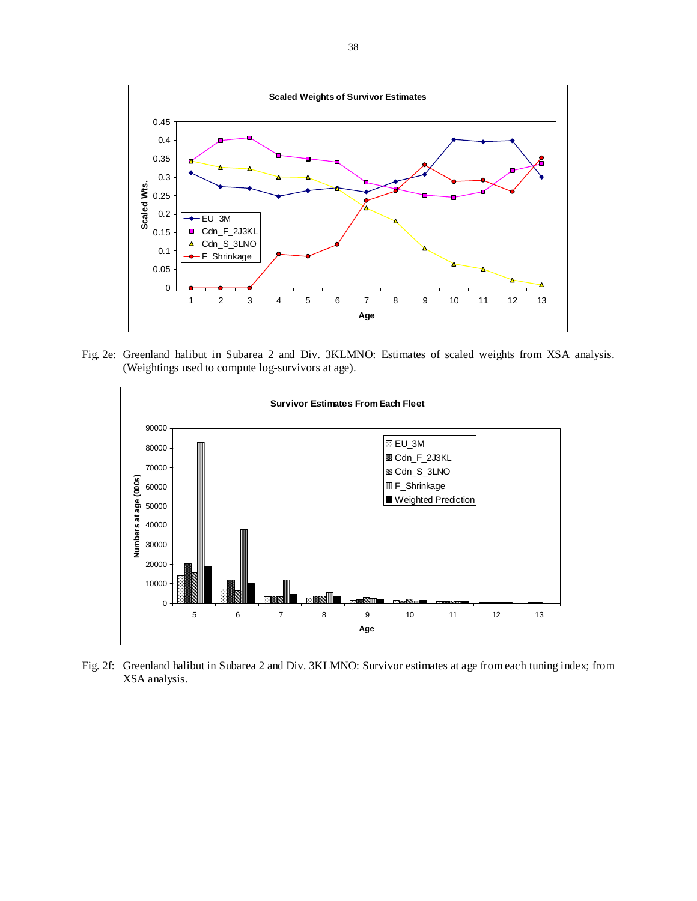

Fig. 2e: Greenland halibut in Subarea 2 and Div. 3KLMNO: Estimates of scaled weights from XSA analysis. (Weightings used to compute log-survivors at age).



Fig. 2f: Greenland halibut in Subarea 2 and Div. 3KLMNO: Survivor estimates at age from each tuning index; from XSA analysis.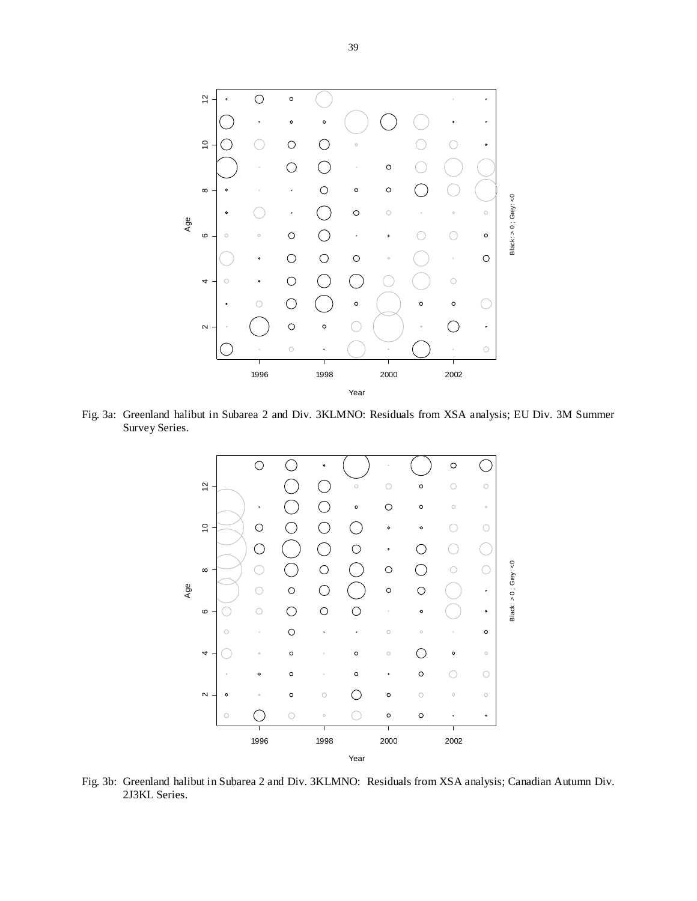

Fig. 3a: Greenland halibut in Subarea 2 and Div. 3KLMNO: Residuals from XSA analysis; EU Div. 3M Summer Survey Series.



Fig. 3b: Greenland halibut in Subarea 2 and Div. 3KLMNO: Residuals from XSA analysis; Canadian Autumn Div. 2J3KL Series.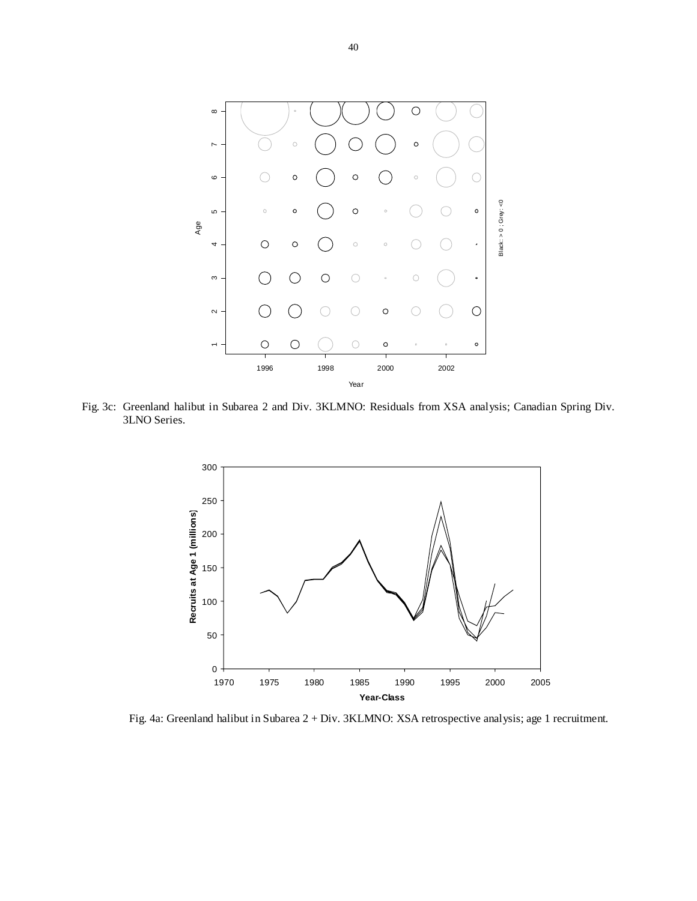

Fig. 3c: Greenland halibut in Subarea 2 and Div. 3KLMNO: Residuals from XSA analysis; Canadian Spring Div. 3LNO Series.



Fig. 4a: Greenland halibut in Subarea 2 + Div. 3KLMNO: XSA retrospective analysis; age 1 recruitment.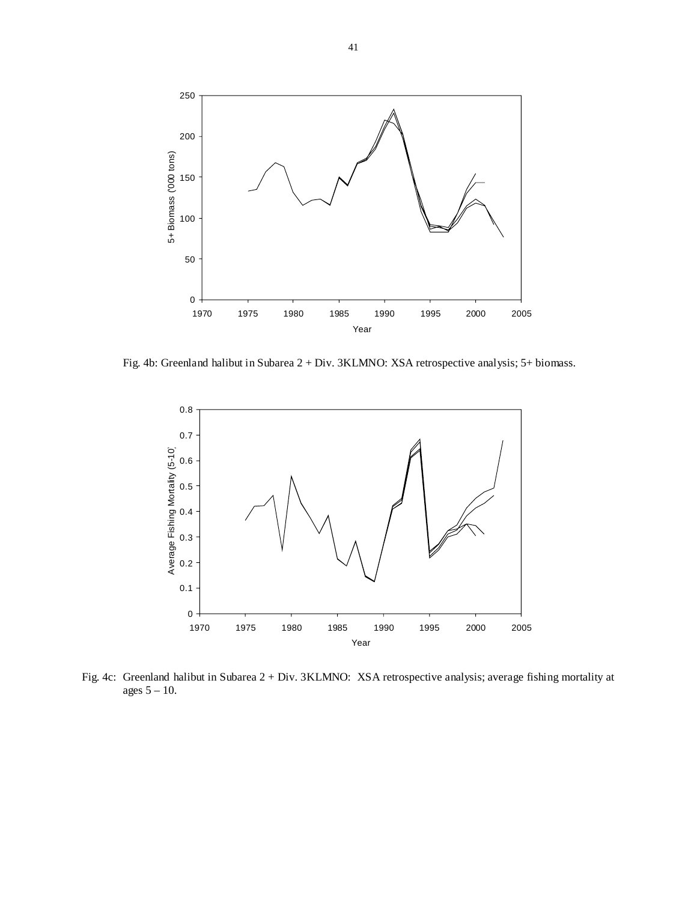

Fig. 4b: Greenland halibut in Subarea 2 + Div. 3KLMNO: XSA retrospective analysis; 5+ biomass.



Fig. 4c: Greenland halibut in Subarea 2 + Div. 3KLMNO: XSA retrospective analysis; average fishing mortality at ages 5 – 10.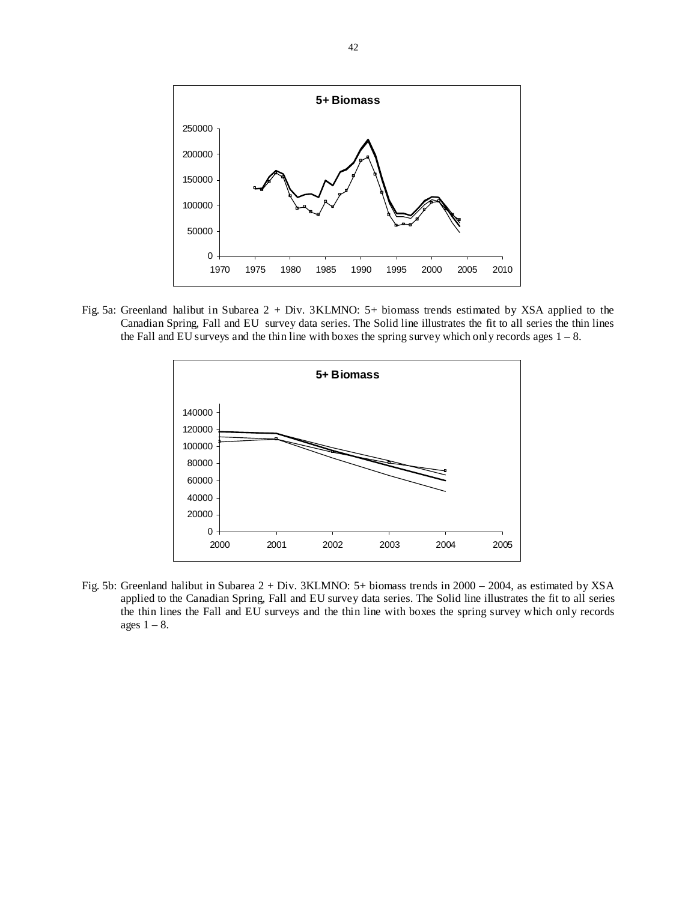

Fig. 5a: Greenland halibut in Subarea 2 + Div. 3KLMNO: 5+ biomass trends estimated by XSA applied to the Canadian Spring, Fall and EU survey data series. The Solid line illustrates the fit to all series the thin lines the Fall and EU surveys and the thin line with boxes the spring survey which only records ages  $1 - 8$ .



Fig. 5b: Greenland halibut in Subarea 2 + Div. 3KLMNO: 5+ biomass trends in 2000 – 2004, as estimated by XSA applied to the Canadian Spring, Fall and EU survey data series. The Solid line illustrates the fit to all series the thin lines the Fall and EU surveys and the thin line with boxes the spring survey which only records ages  $1 - 8$ .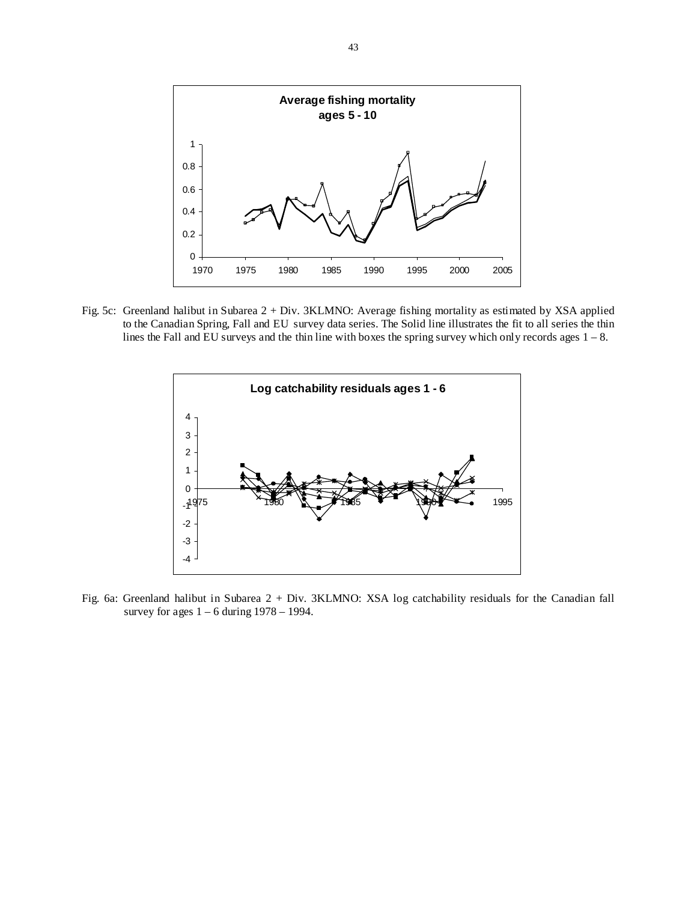

Fig. 5c: Greenland halibut in Subarea 2 + Div. 3KLMNO: Average fishing mortality as estimated by XSA applied to the Canadian Spring, Fall and EU survey data series. The Solid line illustrates the fit to all series the thin lines the Fall and EU surveys and the thin line with boxes the spring survey which only records ages  $1 - 8$ .



Fig. 6a: Greenland halibut in Subarea 2 + Div. 3KLMNO: XSA log catchability residuals for the Canadian fall survey for ages  $1 - 6$  during  $1978 - 1994$ .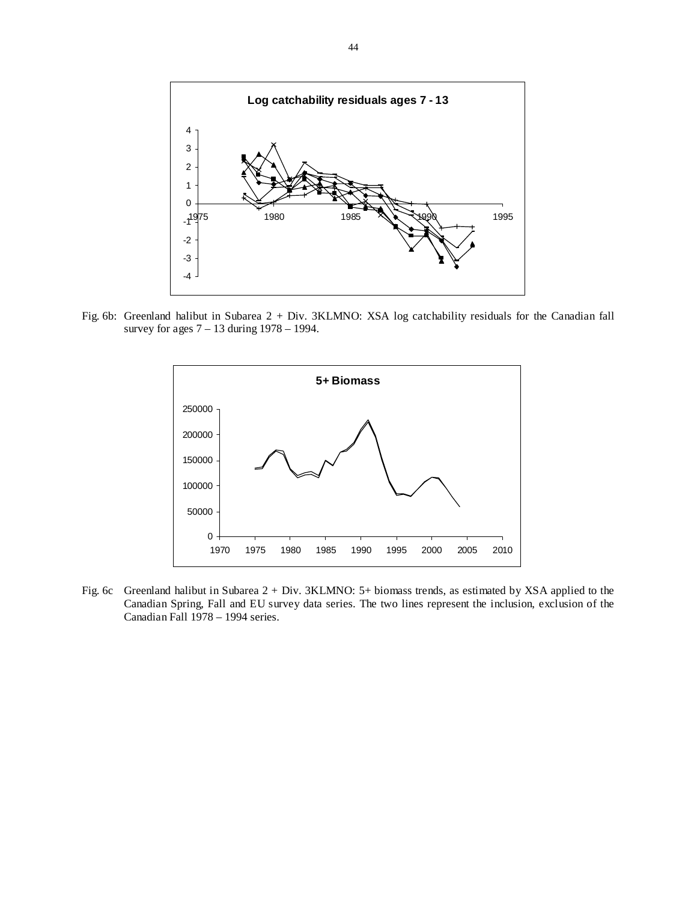

Fig. 6b: Greenland halibut in Subarea 2 + Div. 3KLMNO: XSA log catchability residuals for the Canadian fall survey for ages 7 – 13 during 1978 – 1994.



Fig. 6c Greenland halibut in Subarea 2 + Div. 3KLMNO: 5+ biomass trends, as estimated by XSA applied to the Canadian Spring, Fall and EU survey data series. The two lines represent the inclusion, exclusion of the Canadian Fall 1978 – 1994 series.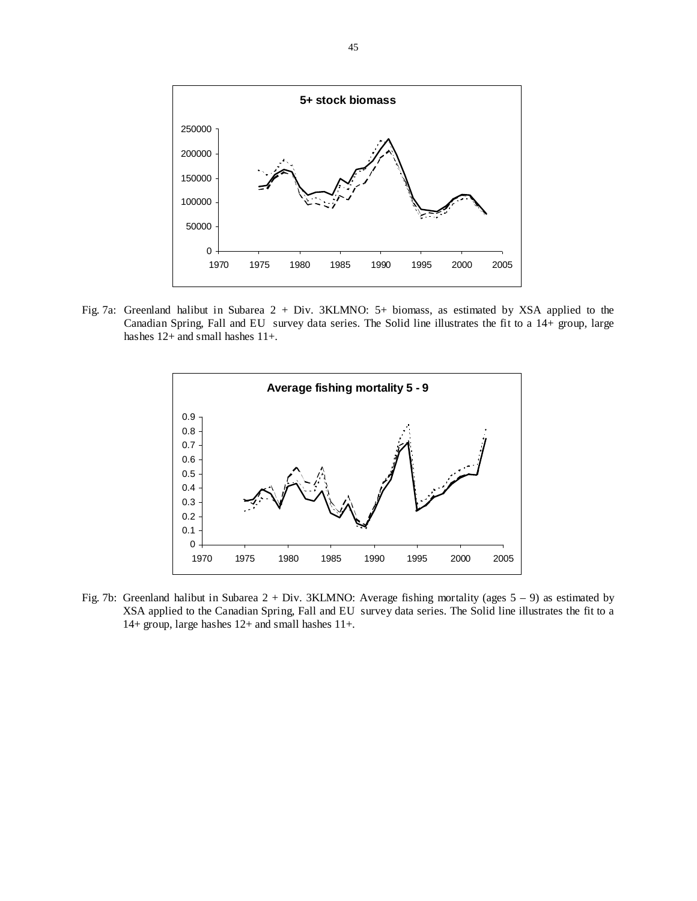

Fig. 7a: Greenland halibut in Subarea 2 + Div. 3KLMNO: 5+ biomass, as estimated by XSA applied to the Canadian Spring, Fall and EU survey data series. The Solid line illustrates the fit to a 14+ group, large hashes 12+ and small hashes 11+.



Fig. 7b: Greenland halibut in Subarea 2 + Div. 3KLMNO: Average fishing mortality (ages 5 – 9) as estimated by XSA applied to the Canadian Spring, Fall and EU survey data series. The Solid line illustrates the fit to a 14+ group, large hashes 12+ and small hashes 11+.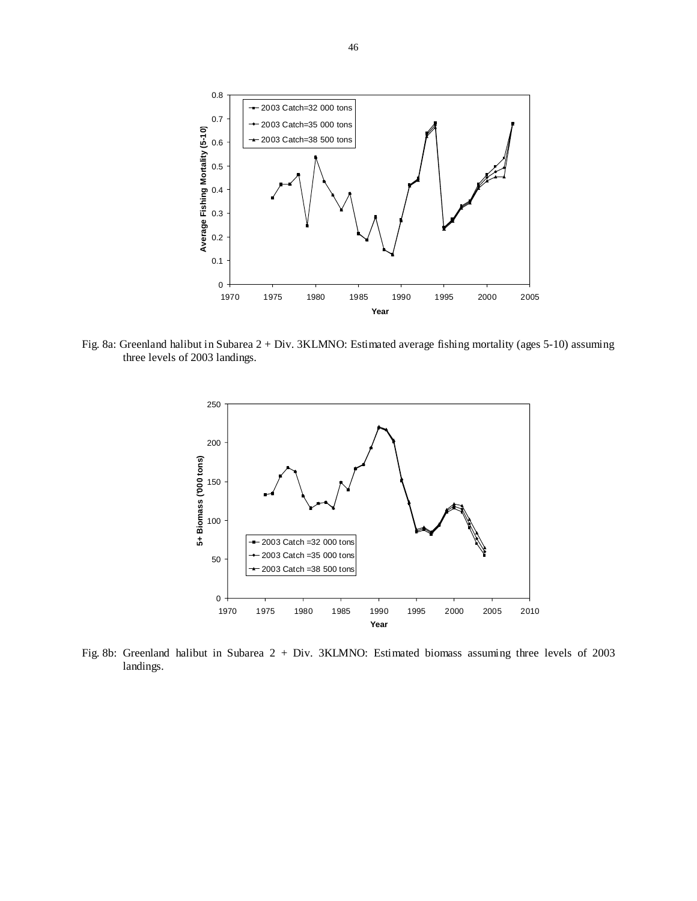

Fig. 8a: Greenland halibut in Subarea 2 + Div. 3KLMNO: Estimated average fishing mortality (ages 5-10) assuming three levels of 2003 landings.



Fig. 8b: Greenland halibut in Subarea 2 + Div. 3KLMNO: Estimated biomass assuming three levels of 2003 landings.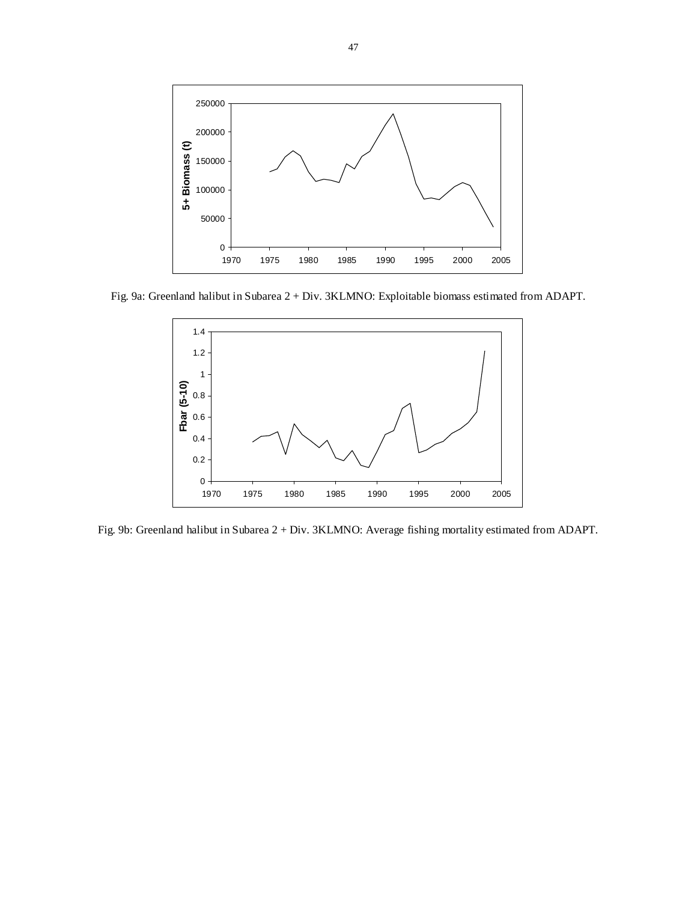

Fig. 9a: Greenland halibut in Subarea 2 + Div. 3KLMNO: Exploitable biomass estimated from ADAPT.



Fig. 9b: Greenland halibut in Subarea 2 + Div. 3KLMNO: Average fishing mortality estimated from ADAPT.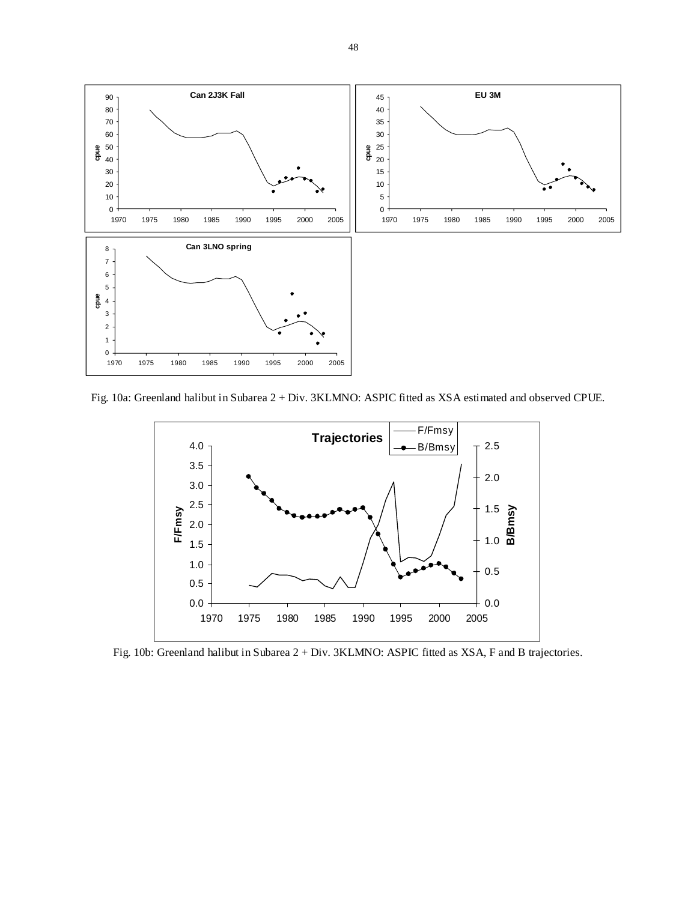

Fig. 10a: Greenland halibut in Subarea 2 + Div. 3KLMNO: ASPIC fitted as XSA estimated and observed CPUE.



Fig. 10b: Greenland halibut in Subarea 2 + Div. 3KLMNO: ASPIC fitted as XSA, F and B trajectories.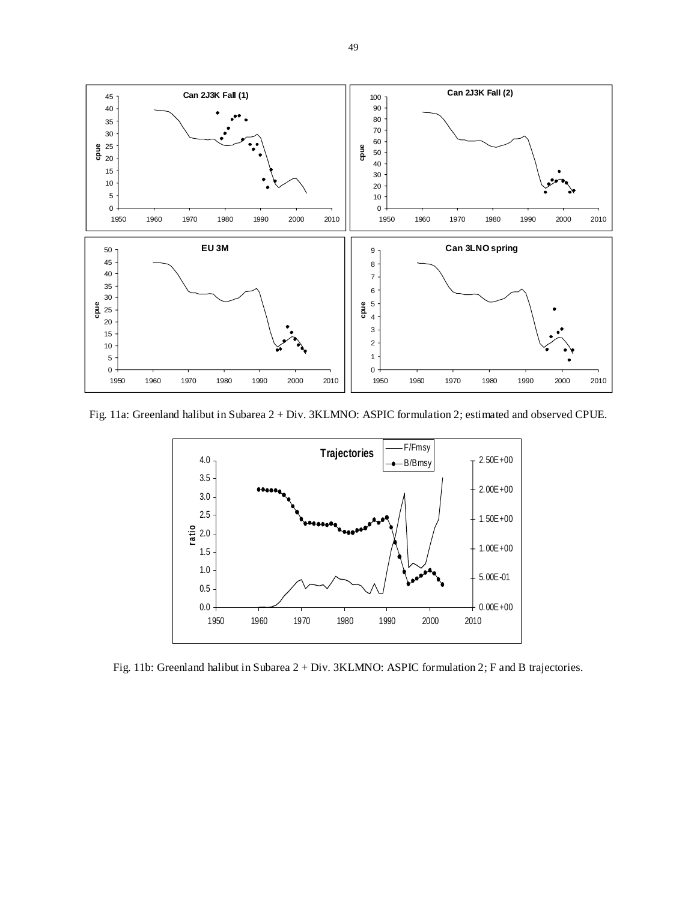

Fig. 11a: Greenland halibut in Subarea 2 + Div. 3KLMNO: ASPIC formulation 2; estimated and observed CPUE.



Fig. 11b: Greenland halibut in Subarea 2 + Div. 3KLMNO: ASPIC formulation 2; F and B trajectories.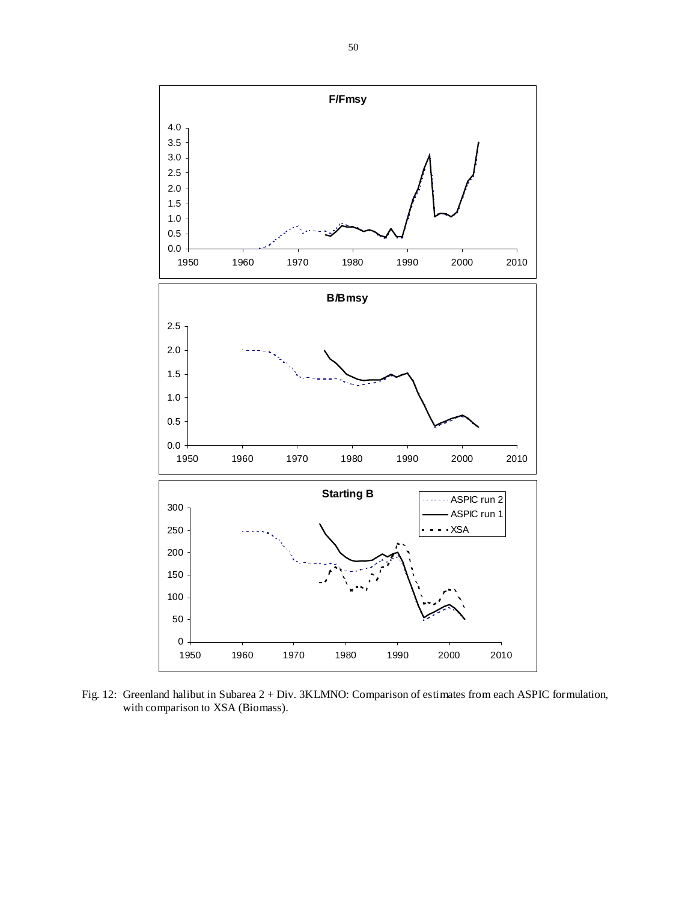

Fig. 12: Greenland halibut in Subarea 2 + Div. 3KLMNO: Comparison of estimates from each ASPIC formulation, with comparison to XSA (Biomass).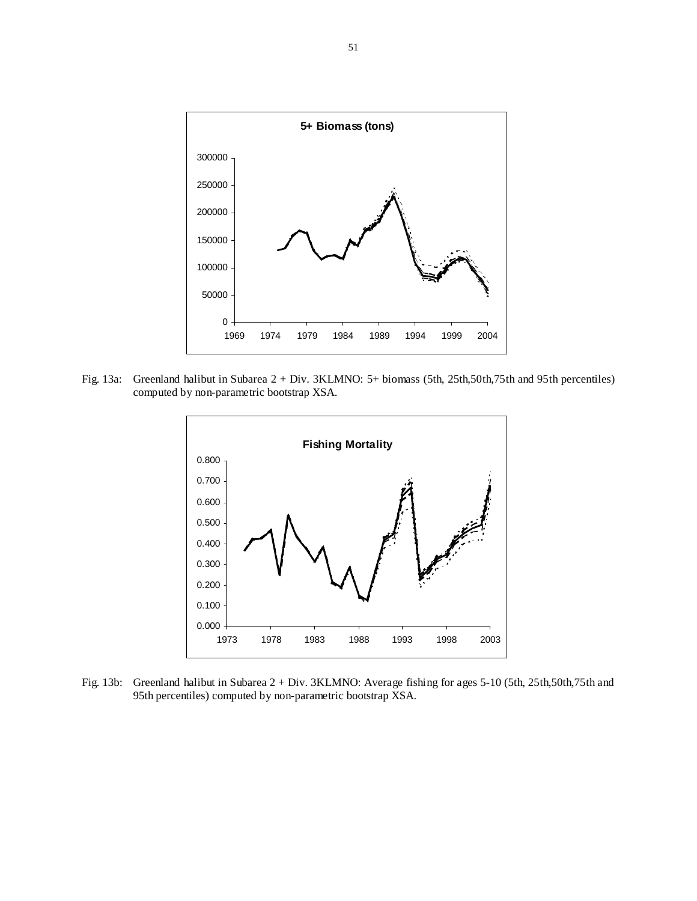

Fig. 13a: Greenland halibut in Subarea 2 + Div. 3KLMNO: 5+ biomass (5th, 25th,50th,75th and 95th percentiles) computed by non-parametric bootstrap XSA.



Fig. 13b: Greenland halibut in Subarea 2 + Div. 3KLMNO: Average fishing for ages 5-10 (5th, 25th,50th,75th and 95th percentiles) computed by non-parametric bootstrap XSA.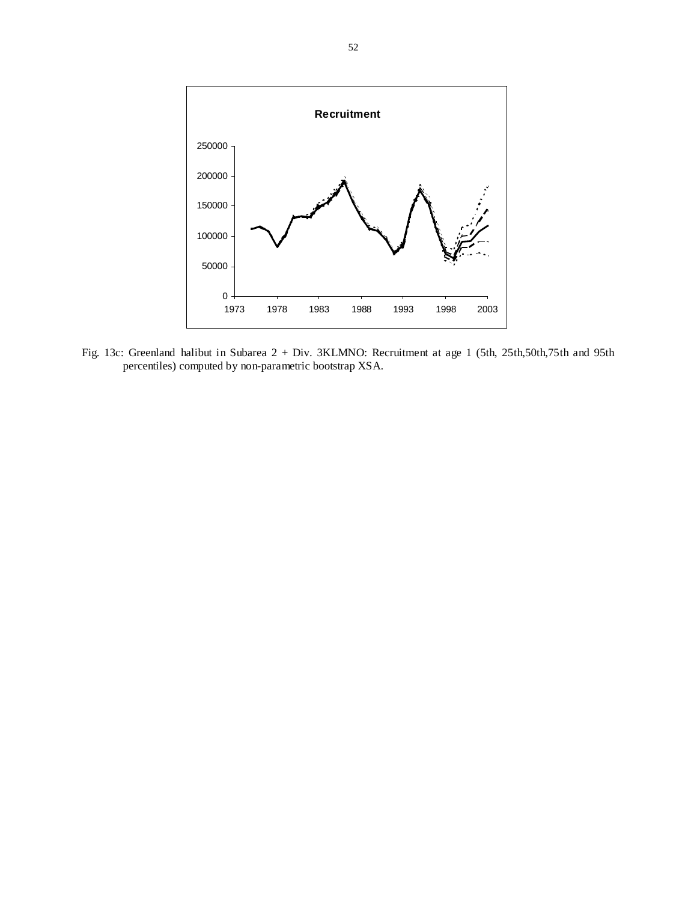

Fig. 13c: Greenland halibut in Subarea 2 + Div. 3KLMNO: Recruitment at age 1 (5th, 25th,50th,75th and 95th percentiles) computed by non-parametric bootstrap XSA.